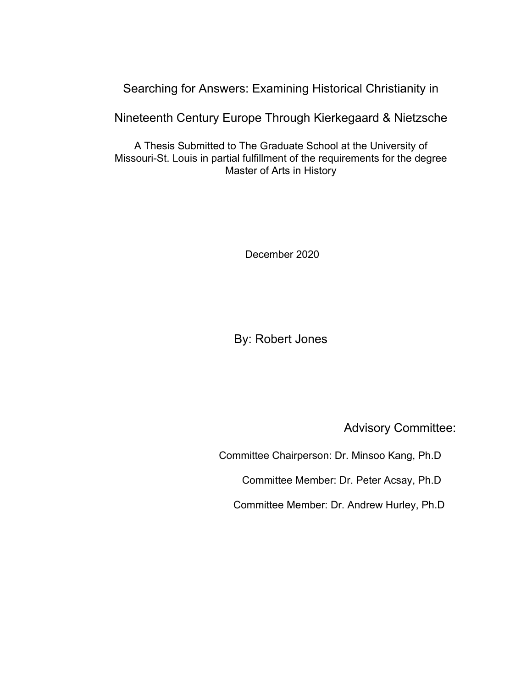# Searching for Answers: Examining Historical Christianity in

Nineteenth Century Europe Through Kierkegaard & Nietzsche

A Thesis Submitted to The Graduate School at the University of Missouri-St. Louis in partial fulfillment of the requirements for the degree Master of Arts in History

December 2020

By: Robert Jones

**Advisory Committee:** 

Committee Chairperson: Dr. Minsoo Kang, Ph.D

Committee Member: Dr. Peter Acsay, Ph.D

Committee Member: Dr. Andrew Hurley, Ph.D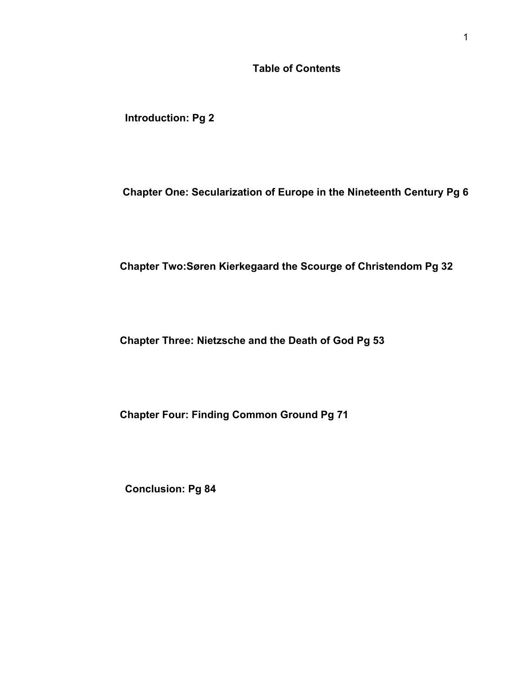# **Table of Contents**

**Introduction: Pg 2**

 **Chapter One: Secularization of Europe in the Nineteenth Century Pg 6**

 **Chapter Two:Søren Kierkegaard the Scourge of Christendom Pg 32**

 **Chapter Three: Nietzsche and the Death of God Pg 53**

 **Chapter Four: Finding Common Ground Pg 71**

**Conclusion: Pg 84**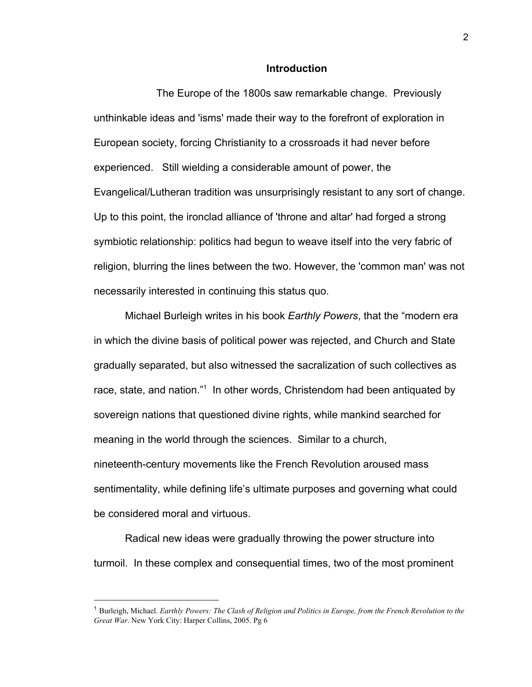## **Introduction**

The Europe of the 1800s saw remarkable change. Previously unthinkable ideas and 'isms' made their way to the forefront of exploration in European society, forcing Christianity to a crossroads it had never before experienced. Still wielding a considerable amount of power, the Evangelical/Lutheran tradition was unsurprisingly resistant to any sort of change. Up to this point, the ironclad alliance of 'throne and altar' had forged a strong symbiotic relationship: politics had begun to weave itself into the very fabric of religion, blurring the lines between the two. However, the 'common man' was not necessarily interested in continuing this status quo.

Michael Burleigh writes in his book *Earthly Powers*, that the "modern era in which the divine basis of political power was rejected, and Church and State gradually separated, but also witnessed the sacralization of such collectives as race, state, and nation."<sup>1</sup> In other words, Christendom had been antiquated by sovereign nations that questioned divine rights, while mankind searched for meaning in the world through the sciences. Similar to a church, nineteenth-century movements like the French Revolution aroused mass sentimentality, while defining life's ultimate purposes and governing what could be considered moral and virtuous.

Radical new ideas were gradually throwing the power structure into turmoil. In these complex and consequential times, two of the most prominent

<sup>1</sup> Burleigh, Michael. *Earthly Powers: The Clash of Religion and Politics in Europe, from the French Revolution to the Great War*. New York City: Harper Collins, 2005. Pg 6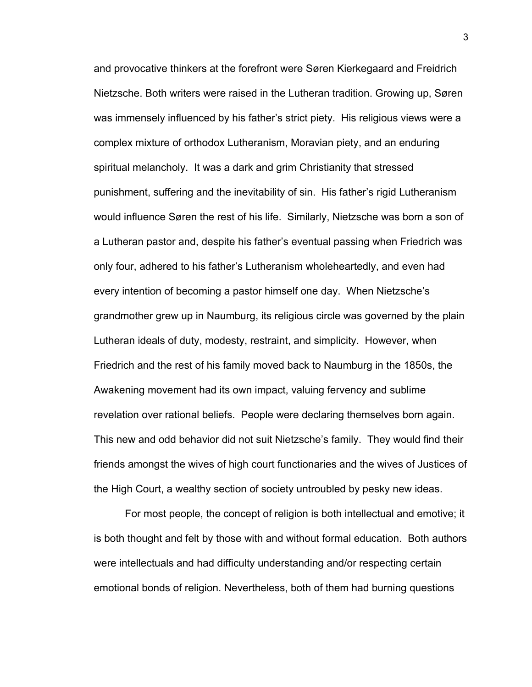and provocative thinkers at the forefront were Søren Kierkegaard and Freidrich Nietzsche. Both writers were raised in the Lutheran tradition. Growing up, Søren was immensely influenced by his father's strict piety. His religious views were a complex mixture of orthodox Lutheranism, Moravian piety, and an enduring spiritual melancholy. It was a dark and grim Christianity that stressed punishment, suffering and the inevitability of sin. His father's rigid Lutheranism would influence Søren the rest of his life. Similarly, Nietzsche was born a son of a Lutheran pastor and, despite his father's eventual passing when Friedrich was only four, adhered to his father's Lutheranism wholeheartedly, and even had every intention of becoming a pastor himself one day. When Nietzsche's grandmother grew up in Naumburg, its religious circle was governed by the plain Lutheran ideals of duty, modesty, restraint, and simplicity. However, when Friedrich and the rest of his family moved back to Naumburg in the 1850s, the Awakening movement had its own impact, valuing fervency and sublime revelation over rational beliefs. People were declaring themselves born again. This new and odd behavior did not suit Nietzsche's family. They would find their friends amongst the wives of high court functionaries and the wives of Justices of the High Court, a wealthy section of society untroubled by pesky new ideas.

For most people, the concept of religion is both intellectual and emotive; it is both thought and felt by those with and without formal education. Both authors were intellectuals and had difficulty understanding and/or respecting certain emotional bonds of religion. Nevertheless, both of them had burning questions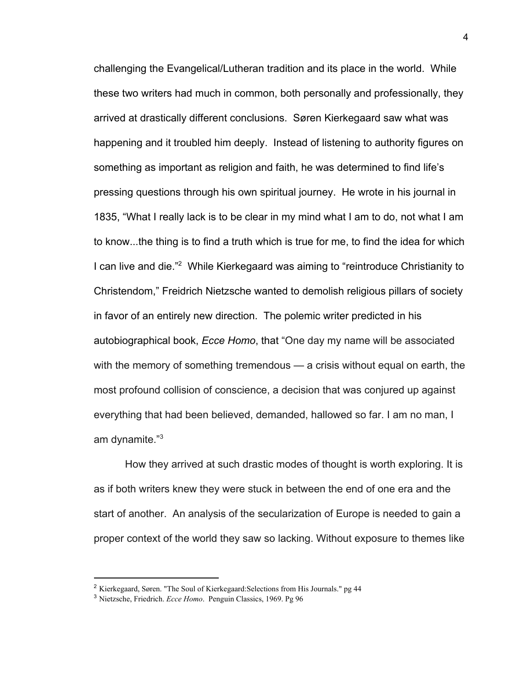challenging the Evangelical/Lutheran tradition and its place in the world. While these two writers had much in common, both personally and professionally, they arrived at drastically different conclusions. Søren Kierkegaard saw what was happening and it troubled him deeply. Instead of listening to authority figures on something as important as religion and faith, he was determined to find life's pressing questions through his own spiritual journey. He wrote in his journal in 1835, "What I really lack is to be clear in my mind what I am to do, not what I am to know...the thing is to find a truth which is true for me, to find the idea for which I can live and die."<sup>2</sup> While Kierkegaard was aiming to "reintroduce Christianity to Christendom," Freidrich Nietzsche wanted to demolish religious pillars of society in favor of an entirely new direction. The polemic writer predicted in his autobiographical book, *Ecce Homo*, that "One day my name will be associated with the memory of something tremendous — a crisis without equal on earth, the most profound collision of conscience, a decision that was conjured up against everything that had been believed, demanded, hallowed so far. I am no man, I am dynamite."<sup>3</sup>

How they arrived at such drastic modes of thought is worth exploring. It is as if both writers knew they were stuck in between the end of one era and the start of another. An analysis of the secularization of Europe is needed to gain a proper context of the world they saw so lacking. Without exposure to themes like

<sup>&</sup>lt;sup>2</sup> Kierkegaard, Søren. "The Soul of Kierkegaard: Selections from His Journals." pg 44

<sup>3</sup> Nietzsche, Friedrich. *Ecce Homo*. Penguin Classics, 1969. Pg 96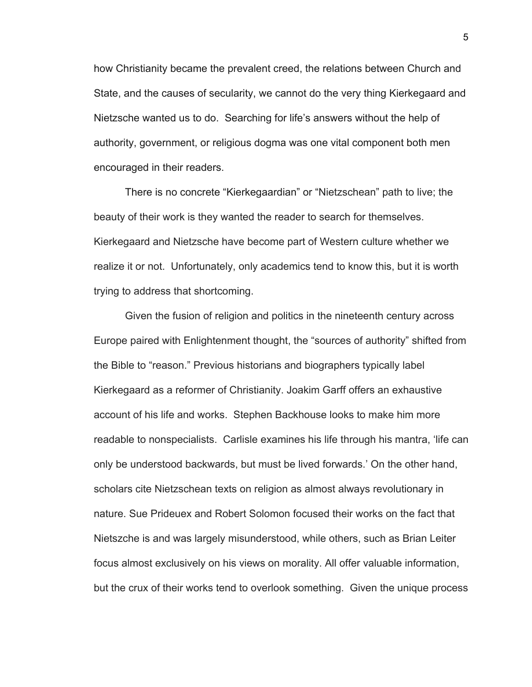how Christianity became the prevalent creed, the relations between Church and State, and the causes of secularity, we cannot do the very thing Kierkegaard and Nietzsche wanted us to do. Searching for life's answers without the help of authority, government, or religious dogma was one vital component both men encouraged in their readers.

There is no concrete "Kierkegaardian" or "Nietzschean" path to live; the beauty of their work is they wanted the reader to search for themselves. Kierkegaard and Nietzsche have become part of Western culture whether we realize it or not. Unfortunately, only academics tend to know this, but it is worth trying to address that shortcoming.

Given the fusion of religion and politics in the nineteenth century across Europe paired with Enlightenment thought, the "sources of authority" shifted from the Bible to "reason." Previous historians and biographers typically label Kierkegaard as a reformer of Christianity. Joakim Garff offers an exhaustive account of his life and works. Stephen Backhouse looks to make him more readable to nonspecialists. Carlisle examines his life through his mantra, 'life can only be understood backwards, but must be lived forwards.' On the other hand, scholars cite Nietzschean texts on religion as almost always revolutionary in nature. Sue Prideuex and Robert Solomon focused their works on the fact that Nietszche is and was largely misunderstood, while others, such as Brian Leiter focus almost exclusively on his views on morality. All offer valuable information, but the crux of their works tend to overlook something. Given the unique process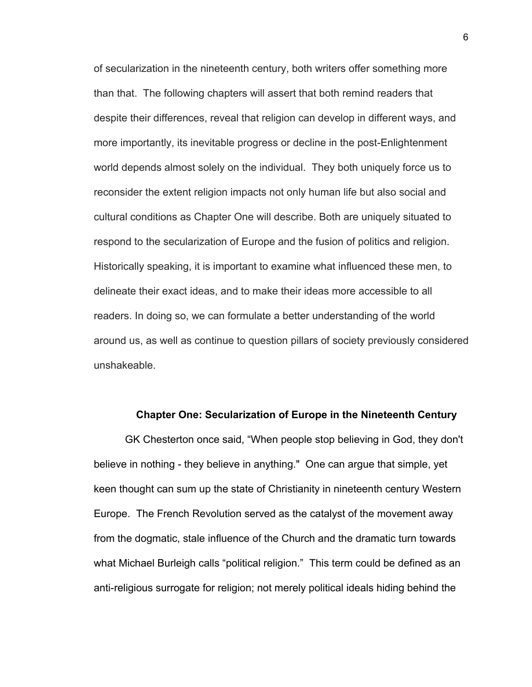of secularization in the nineteenth century, both writers offer something more than that. The following chapters will assert that both remind readers that despite their differences, reveal that religion can develop in different ways, and more importantly, its inevitable progress or decline in the post-Enlightenment world depends almost solely on the individual. They both uniquely force us to reconsider the extent religion impacts not only human life but also social and cultural conditions as Chapter One will describe. Both are uniquely situated to respond to the secularization of Europe and the fusion of politics and religion. Historically speaking, it is important to examine what influenced these men, to delineate their exact ideas, and to make their ideas more accessible to all readers. In doing so, we can formulate a better understanding of the world around us, as well as continue to question pillars of society previously considered unshakeable.

### **Chapter One: Secularization of Europe in the Nineteenth Century**

GK Chesterton once said, "When people stop believing in God, they don't believe in nothing - they believe in anything." One can argue that simple, yet keen thought can sum up the state of Christianity in nineteenth century Western Europe. The French Revolution served as the catalyst of the movement away from the dogmatic, stale influence of the Church and the dramatic turn towards what Michael Burleigh calls "political religion." This term could be defined as an anti-religious surrogate for religion; not merely political ideals hiding behind the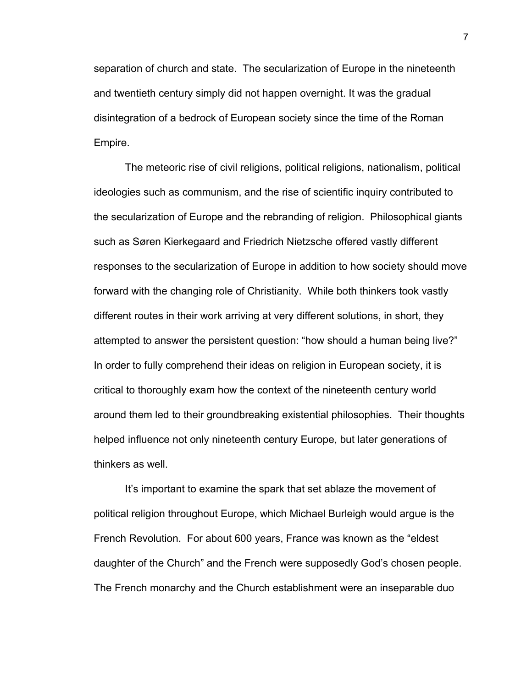separation of church and state. The secularization of Europe in the nineteenth and twentieth century simply did not happen overnight. It was the gradual disintegration of a bedrock of European society since the time of the Roman Empire.

The meteoric rise of civil religions, political religions, nationalism, political ideologies such as communism, and the rise of scientific inquiry contributed to the secularization of Europe and the rebranding of religion. Philosophical giants such as Søren Kierkegaard and Friedrich Nietzsche offered vastly different responses to the secularization of Europe in addition to how society should move forward with the changing role of Christianity. While both thinkers took vastly different routes in their work arriving at very different solutions, in short, they attempted to answer the persistent question: "how should a human being live?" In order to fully comprehend their ideas on religion in European society, it is critical to thoroughly exam how the context of the nineteenth century world around them led to their groundbreaking existential philosophies. Their thoughts helped influence not only nineteenth century Europe, but later generations of thinkers as well.

It's important to examine the spark that set ablaze the movement of political religion throughout Europe, which Michael Burleigh would argue is the French Revolution. For about 600 years, France was known as the "eldest daughter of the Church" and the French were supposedly God's chosen people. The French monarchy and the Church establishment were an inseparable duo

7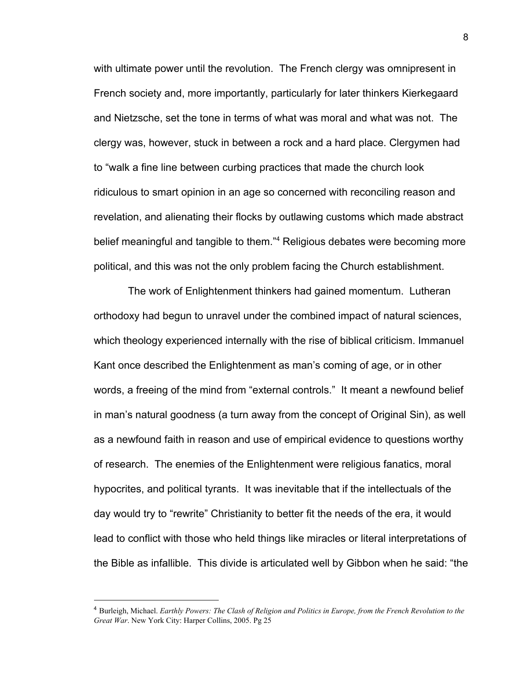with ultimate power until the revolution. The French clergy was omnipresent in French society and, more importantly, particularly for later thinkers Kierkegaard and Nietzsche, set the tone in terms of what was moral and what was not. The clergy was, however, stuck in between a rock and a hard place. Clergymen had to "walk a fine line between curbing practices that made the church look ridiculous to smart opinion in an age so concerned with reconciling reason and revelation, and alienating their flocks by outlawing customs which made abstract belief meaningful and tangible to them."<sup>4</sup> Religious debates were becoming more political, and this was not the only problem facing the Church establishment.

 The work of Enlightenment thinkers had gained momentum. Lutheran orthodoxy had begun to unravel under the combined impact of natural sciences, which theology experienced internally with the rise of biblical criticism. Immanuel Kant once described the Enlightenment as man's coming of age, or in other words, a freeing of the mind from "external controls." It meant a newfound belief in man's natural goodness (a turn away from the concept of Original Sin), as well as a newfound faith in reason and use of empirical evidence to questions worthy of research. The enemies of the Enlightenment were religious fanatics, moral hypocrites, and political tyrants. It was inevitable that if the intellectuals of the day would try to "rewrite" Christianity to better fit the needs of the era, it would lead to conflict with those who held things like miracles or literal interpretations of the Bible as infallible. This divide is articulated well by Gibbon when he said: "the

<sup>4</sup> Burleigh, Michael. *Earthly Powers: The Clash of Religion and Politics in Europe, from the French Revolution to the Great War*. New York City: Harper Collins, 2005. Pg 25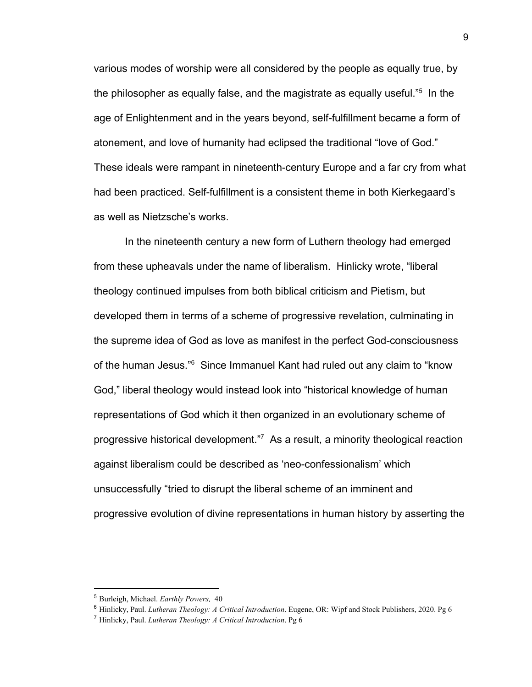various modes of worship were all considered by the people as equally true, by the philosopher as equally false, and the magistrate as equally useful. $^{5}$  In the age of Enlightenment and in the years beyond, self-fulfillment became a form of atonement, and love of humanity had eclipsed the traditional "love of God." These ideals were rampant in nineteenth-century Europe and a far cry from what had been practiced. Self-fulfillment is a consistent theme in both Kierkegaard's as well as Nietzsche's works.

In the nineteenth century a new form of Luthern theology had emerged from these upheavals under the name of liberalism. Hinlicky wrote, "liberal theology continued impulses from both biblical criticism and Pietism, but developed them in terms of a scheme of progressive revelation, culminating in the supreme idea of God as love as manifest in the perfect God-consciousness of the human Jesus.<sup>"6</sup> Since Immanuel Kant had ruled out any claim to "know God," liberal theology would instead look into "historical knowledge of human representations of God which it then organized in an evolutionary scheme of progressive historical development."<sup>7</sup> As a result, a minority theological reaction against liberalism could be described as 'neo-confessionalism' which unsuccessfully "tried to disrupt the liberal scheme of an imminent and progressive evolution of divine representations in human history by asserting the

<sup>5</sup> Burleigh, Michael. *Earthly Powers,* 40

<sup>6</sup> Hinlicky, Paul. *Lutheran Theology: A Critical Introduction*. Eugene, OR: Wipf and Stock Publishers, 2020. Pg 6

<sup>7</sup> Hinlicky, Paul. *Lutheran Theology: A Critical Introduction*. Pg 6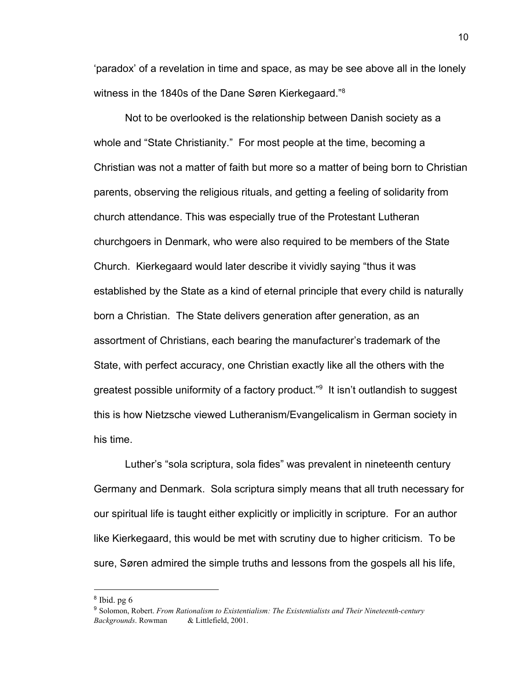'paradox' of a revelation in time and space, as may be see above all in the lonely witness in the 1840s of the Dane Søren Kierkegaard."<sup>8</sup>

Not to be overlooked is the relationship between Danish society as a whole and "State Christianity." For most people at the time, becoming a Christian was not a matter of faith but more so a matter of being born to Christian parents, observing the religious rituals, and getting a feeling of solidarity from church attendance. This was especially true of the Protestant Lutheran churchgoers in Denmark, who were also required to be members of the State Church. Kierkegaard would later describe it vividly saying "thus it was established by the State as a kind of eternal principle that every child is naturally born a Christian. The State delivers generation after generation, as an assortment of Christians, each bearing the manufacturer's trademark of the State, with perfect accuracy, one Christian exactly like all the others with the greatest possible uniformity of a factory product."<sup>9</sup> It isn't outlandish to suggest this is how Nietzsche viewed Lutheranism/Evangelicalism in German society in his time.

Luther's "sola scriptura, sola fides" was prevalent in nineteenth century Germany and Denmark. Sola scriptura simply means that all truth necessary for our spiritual life is taught either explicitly or implicitly in scripture. For an author like Kierkegaard, this would be met with scrutiny due to higher criticism. To be sure, Søren admired the simple truths and lessons from the gospels all his life,

<sup>8</sup> Ibid. pg 6

<sup>9</sup> Solomon, Robert. *From Rationalism to Existentialism: The Existentialists and Their Nineteenth-century Backgrounds*. Rowman & Littlefield, 2001.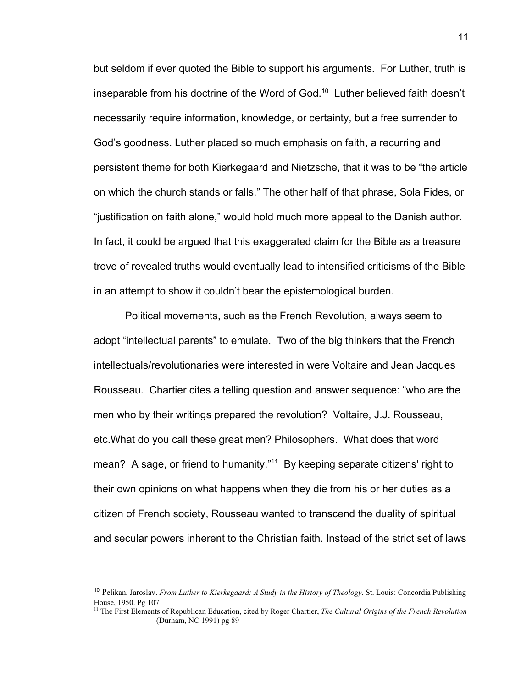but seldom if ever quoted the Bible to support his arguments. For Luther, truth is inseparable from his doctrine of the Word of God.<sup>10</sup> Luther believed faith doesn't necessarily require information, knowledge, or certainty, but a free surrender to God's goodness. Luther placed so much emphasis on faith, a recurring and persistent theme for both Kierkegaard and Nietzsche, that it was to be "the article on which the church stands or falls." The other half of that phrase, Sola Fides, or "justification on faith alone," would hold much more appeal to the Danish author. In fact, it could be argued that this exaggerated claim for the Bible as a treasure trove of revealed truths would eventually lead to intensified criticisms of the Bible in an attempt to show it couldn't bear the epistemological burden.

Political movements, such as the French Revolution, always seem to adopt "intellectual parents" to emulate. Two of the big thinkers that the French intellectuals/revolutionaries were interested in were Voltaire and Jean Jacques Rousseau. Chartier cites a telling question and answer sequence: "who are the men who by their writings prepared the revolution? Voltaire, J.J. Rousseau, etc.What do you call these great men? Philosophers. What does that word mean? A sage, or friend to humanity."<sup>11</sup> By keeping separate citizens' right to their own opinions on what happens when they die from his or her duties as a citizen of French society, Rousseau wanted to transcend the duality of spiritual and secular powers inherent to the Christian faith. Instead of the strict set of laws

<sup>10</sup> Pelikan, Jaroslav. *From Luther to Kierkegaard: A Study in the History of Theology*. St. Louis: Concordia Publishing House, 1950. Pg 107

<sup>&</sup>lt;sup>11</sup> The First Elements of Republican Education, cited by Roger Chartier, *The Cultural Origins of the French Revolution* (Durham, NC 1991) pg 89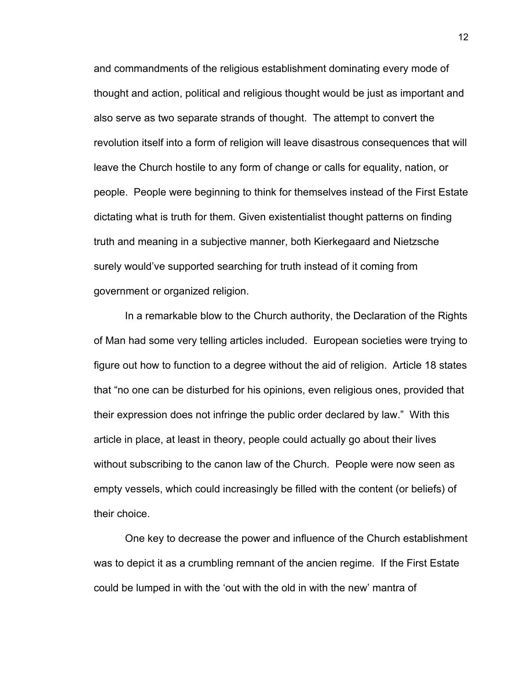and commandments of the religious establishment dominating every mode of thought and action, political and religious thought would be just as important and also serve as two separate strands of thought. The attempt to convert the revolution itself into a form of religion will leave disastrous consequences that will leave the Church hostile to any form of change or calls for equality, nation, or people. People were beginning to think for themselves instead of the First Estate dictating what is truth for them. Given existentialist thought patterns on finding truth and meaning in a subjective manner, both Kierkegaard and Nietzsche surely would've supported searching for truth instead of it coming from government or organized religion.

In a remarkable blow to the Church authority, the Declaration of the Rights of Man had some very telling articles included. European societies were trying to figure out how to function to a degree without the aid of religion. Article 18 states that "no one can be disturbed for his opinions, even religious ones, provided that their expression does not infringe the public order declared by law." With this article in place, at least in theory, people could actually go about their lives without subscribing to the canon law of the Church. People were now seen as empty vessels, which could increasingly be filled with the content (or beliefs) of their choice.

One key to decrease the power and influence of the Church establishment was to depict it as a crumbling remnant of the ancien regime. If the First Estate could be lumped in with the 'out with the old in with the new' mantra of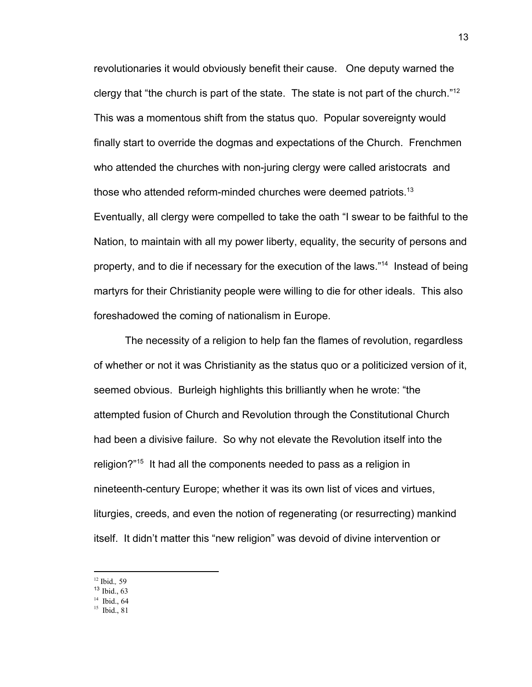revolutionaries it would obviously benefit their cause. One deputy warned the clergy that "the church is part of the state. The state is not part of the church."<sup>12</sup> This was a momentous shift from the status quo. Popular sovereignty would finally start to override the dogmas and expectations of the Church. Frenchmen who attended the churches with non-juring clergy were called aristocrats and those who attended reform-minded churches were deemed patriots.<sup>13</sup> Eventually, all clergy were compelled to take the oath "I swear to be faithful to the Nation, to maintain with all my power liberty, equality, the security of persons and property, and to die if necessary for the execution of the laws."<sup>14</sup> Instead of being martyrs for their Christianity people were willing to die for other ideals. This also

The necessity of a religion to help fan the flames of revolution, regardless of whether or not it was Christianity as the status quo or a politicized version of it, seemed obvious. Burleigh highlights this brilliantly when he wrote: "the attempted fusion of Church and Revolution through the Constitutional Church had been a divisive failure. So why not elevate the Revolution itself into the religion?"<sup>15</sup> It had all the components needed to pass as a religion in nineteenth-century Europe; whether it was its own list of vices and virtues, liturgies, creeds, and even the notion of regenerating (or resurrecting) mankind itself. It didn't matter this "new religion" was devoid of divine intervention or

foreshadowed the coming of nationalism in Europe.

<sup>12</sup> Ibid.*,* 59

<sup>13</sup> Ibid., 63

 $14$  Ibid., 64

<sup>15</sup> Ibid., 81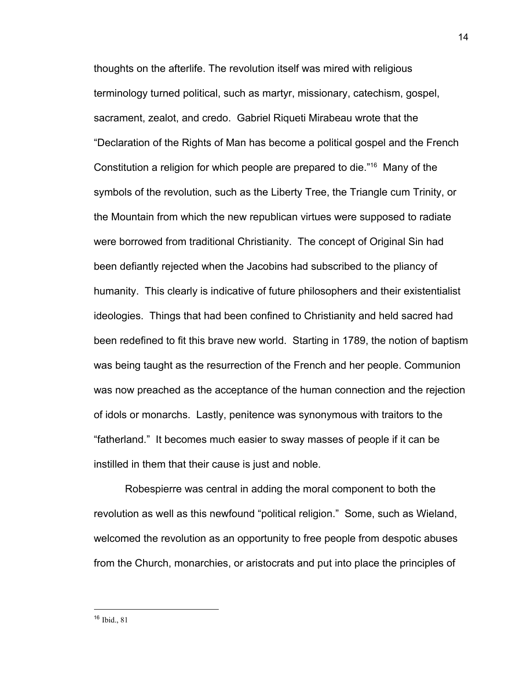thoughts on the afterlife. The revolution itself was mired with religious terminology turned political, such as martyr, missionary, catechism, gospel, sacrament, zealot, and credo. Gabriel Riqueti Mirabeau wrote that the "Declaration of the Rights of Man has become a political gospel and the French Constitution a religion for which people are prepared to die.<sup>"16</sup> Many of the symbols of the revolution, such as the Liberty Tree, the Triangle cum Trinity, or the Mountain from which the new republican virtues were supposed to radiate were borrowed from traditional Christianity. The concept of Original Sin had been defiantly rejected when the Jacobins had subscribed to the pliancy of humanity. This clearly is indicative of future philosophers and their existentialist ideologies. Things that had been confined to Christianity and held sacred had been redefined to fit this brave new world. Starting in 1789, the notion of baptism was being taught as the resurrection of the French and her people. Communion was now preached as the acceptance of the human connection and the rejection of idols or monarchs. Lastly, penitence was synonymous with traitors to the "fatherland." It becomes much easier to sway masses of people if it can be instilled in them that their cause is just and noble.

Robespierre was central in adding the moral component to both the revolution as well as this newfound "political religion." Some, such as Wieland, welcomed the revolution as an opportunity to free people from despotic abuses from the Church, monarchies, or aristocrats and put into place the principles of

14

<sup>16</sup> Ibid., 81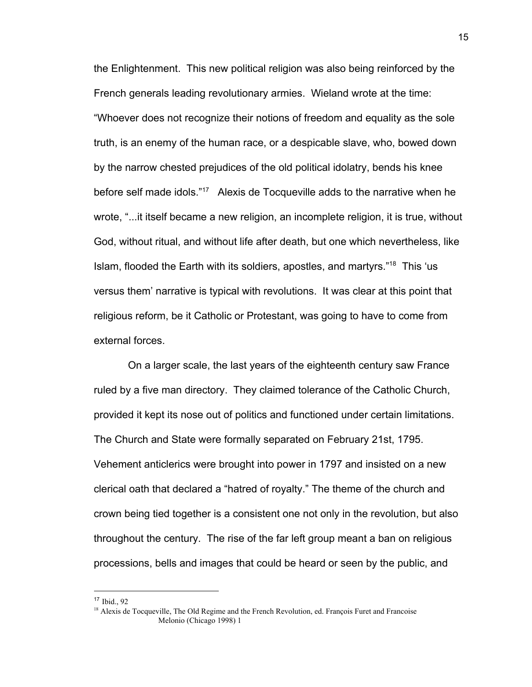the Enlightenment. This new political religion was also being reinforced by the French generals leading revolutionary armies. Wieland wrote at the time: "Whoever does not recognize their notions of freedom and equality as the sole truth, is an enemy of the human race, or a despicable slave, who, bowed down by the narrow chested prejudices of the old political idolatry, bends his knee before self made idols."<sup>17</sup> Alexis de Tocqueville adds to the narrative when he wrote, "...it itself became a new religion, an incomplete religion, it is true, without God, without ritual, and without life after death, but one which nevertheless, like Islam, flooded the Earth with its soldiers, apostles, and martyrs."<sup>18</sup> This 'us versus them' narrative is typical with revolutions. It was clear at this point that religious reform, be it Catholic or Protestant, was going to have to come from external forces.

 On a larger scale, the last years of the eighteenth century saw France ruled by a five man directory. They claimed tolerance of the Catholic Church, provided it kept its nose out of politics and functioned under certain limitations. The Church and State were formally separated on February 21st, 1795. Vehement anticlerics were brought into power in 1797 and insisted on a new clerical oath that declared a "hatred of royalty." The theme of the church and crown being tied together is a consistent one not only in the revolution, but also throughout the century. The rise of the far left group meant a ban on religious processions, bells and images that could be heard or seen by the public, and

<sup>17</sup> Ibid., 92

<sup>&</sup>lt;sup>18</sup> Alexis de Tocqueville, The Old Regime and the French Revolution, ed. François Furet and Francoise Melonio (Chicago 1998) 1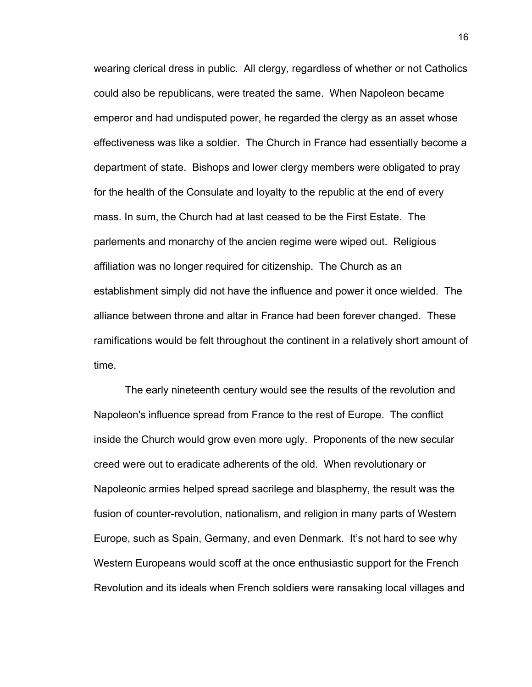wearing clerical dress in public. All clergy, regardless of whether or not Catholics could also be republicans, were treated the same. When Napoleon became emperor and had undisputed power, he regarded the clergy as an asset whose effectiveness was like a soldier. The Church in France had essentially become a department of state. Bishops and lower clergy members were obligated to pray for the health of the Consulate and loyalty to the republic at the end of every mass. In sum, the Church had at last ceased to be the First Estate. The parlements and monarchy of the ancien regime were wiped out. Religious affiliation was no longer required for citizenship. The Church as an establishment simply did not have the influence and power it once wielded. The alliance between throne and altar in France had been forever changed. These ramifications would be felt throughout the continent in a relatively short amount of time.

The early nineteenth century would see the results of the revolution and Napoleon's influence spread from France to the rest of Europe. The conflict inside the Church would grow even more ugly. Proponents of the new secular creed were out to eradicate adherents of the old. When revolutionary or Napoleonic armies helped spread sacrilege and blasphemy, the result was the fusion of counter-revolution, nationalism, and religion in many parts of Western Europe, such as Spain, Germany, and even Denmark. It's not hard to see why Western Europeans would scoff at the once enthusiastic support for the French Revolution and its ideals when French soldiers were ransaking local villages and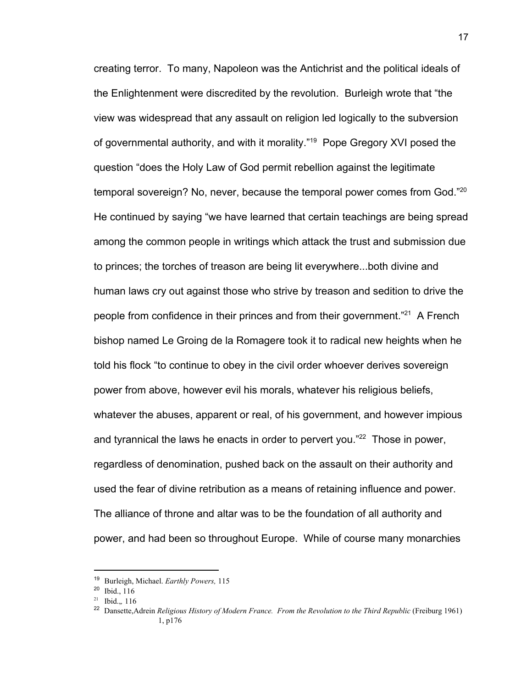creating terror. To many, Napoleon was the Antichrist and the political ideals of the Enlightenment were discredited by the revolution. Burleigh wrote that "the view was widespread that any assault on religion led logically to the subversion of governmental authority, and with it morality."<sup>19</sup> Pope Gregory XVI posed the question "does the Holy Law of God permit rebellion against the legitimate temporal sovereign? No, never, because the temporal power comes from God."<sup>20</sup> He continued by saying "we have learned that certain teachings are being spread among the common people in writings which attack the trust and submission due to princes; the torches of treason are being lit everywhere...both divine and human laws cry out against those who strive by treason and sedition to drive the people from confidence in their princes and from their government."<sup>21</sup> A French bishop named Le Groing de la Romagere took it to radical new heights when he told his flock "to continue to obey in the civil order whoever derives sovereign power from above, however evil his morals, whatever his religious beliefs, whatever the abuses, apparent or real, of his government, and however impious and tyrannical the laws he enacts in order to pervert you." $22$  Those in power, regardless of denomination, pushed back on the assault on their authority and used the fear of divine retribution as a means of retaining influence and power. The alliance of throne and altar was to be the foundation of all authority and power, and had been so throughout Europe. While of course many monarchies

<sup>19</sup> Burleigh, Michael. *Earthly Powers,* 115

<sup>20</sup> Ibid., 116

<sup>21</sup> Ibid.,*,* 116

<sup>&</sup>lt;sup>22</sup> Dansette, Adrein *Religious History of Modern France. From the Revolution to the Third Republic* (Freiburg 1961) 1, p176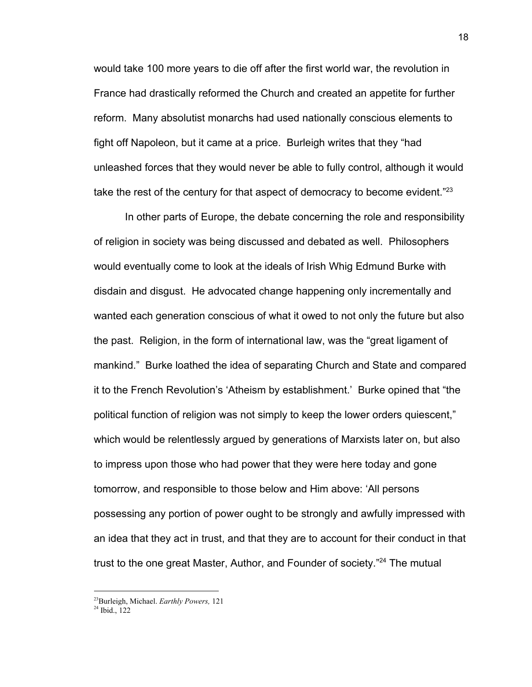would take 100 more years to die off after the first world war, the revolution in France had drastically reformed the Church and created an appetite for further reform. Many absolutist monarchs had used nationally conscious elements to fight off Napoleon, but it came at a price. Burleigh writes that they "had unleashed forces that they would never be able to fully control, although it would take the rest of the century for that aspect of democracy to become evident." $23$ 

In other parts of Europe, the debate concerning the role and responsibility of religion in society was being discussed and debated as well. Philosophers would eventually come to look at the ideals of Irish Whig Edmund Burke with disdain and disgust. He advocated change happening only incrementally and wanted each generation conscious of what it owed to not only the future but also the past. Religion, in the form of international law, was the "great ligament of mankind." Burke loathed the idea of separating Church and State and compared it to the French Revolution's 'Atheism by establishment.' Burke opined that "the political function of religion was not simply to keep the lower orders quiescent," which would be relentlessly argued by generations of Marxists later on, but also to impress upon those who had power that they were here today and gone tomorrow, and responsible to those below and Him above: 'All persons possessing any portion of power ought to be strongly and awfully impressed with an idea that they act in trust, and that they are to account for their conduct in that trust to the one great Master, Author, and Founder of society."<sup>24</sup> The mutual

<sup>23</sup>Burleigh, Michael. *Earthly Powers,* 121

<sup>24</sup> Ibid., 122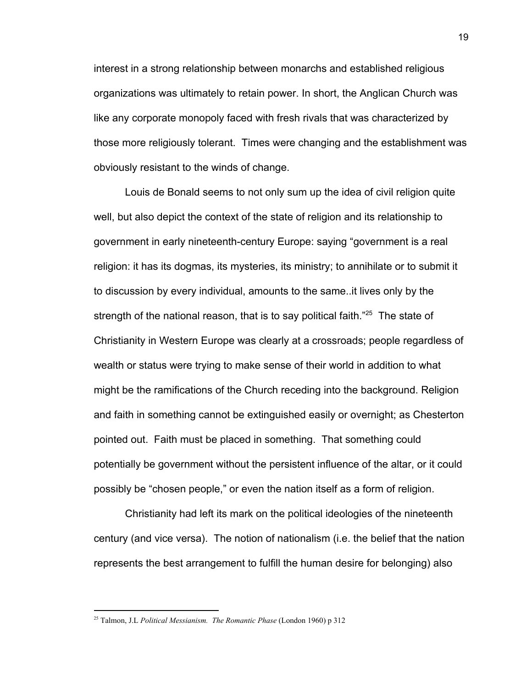interest in a strong relationship between monarchs and established religious organizations was ultimately to retain power. In short, the Anglican Church was like any corporate monopoly faced with fresh rivals that was characterized by those more religiously tolerant. Times were changing and the establishment was obviously resistant to the winds of change.

Louis de Bonald seems to not only sum up the idea of civil religion quite well, but also depict the context of the state of religion and its relationship to government in early nineteenth-century Europe: saying "government is a real religion: it has its dogmas, its mysteries, its ministry; to annihilate or to submit it to discussion by every individual, amounts to the same..it lives only by the strength of the national reason, that is to say political faith." $25$  The state of Christianity in Western Europe was clearly at a crossroads; people regardless of wealth or status were trying to make sense of their world in addition to what might be the ramifications of the Church receding into the background. Religion and faith in something cannot be extinguished easily or overnight; as Chesterton pointed out. Faith must be placed in something. That something could potentially be government without the persistent influence of the altar, or it could possibly be "chosen people," or even the nation itself as a form of religion.

Christianity had left its mark on the political ideologies of the nineteenth century (and vice versa). The notion of nationalism (i.e. the belief that the nation represents the best arrangement to fulfill the human desire for belonging) also

<sup>25</sup> Talmon, J.L *Political Messianism. The Romantic Phase* (London 1960) p 312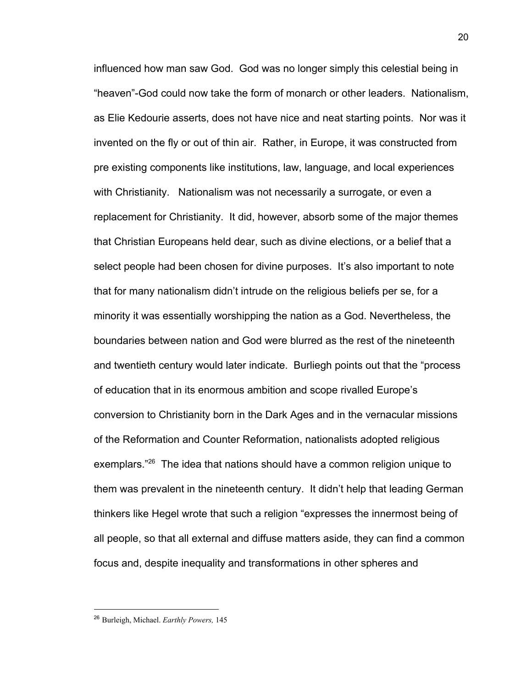influenced how man saw God. God was no longer simply this celestial being in "heaven"-God could now take the form of monarch or other leaders. Nationalism, as Elie Kedourie asserts, does not have nice and neat starting points. Nor was it invented on the fly or out of thin air. Rather, in Europe, it was constructed from pre existing components like institutions, law, language, and local experiences with Christianity. Nationalism was not necessarily a surrogate, or even a replacement for Christianity. It did, however, absorb some of the major themes that Christian Europeans held dear, such as divine elections, or a belief that a select people had been chosen for divine purposes. It's also important to note that for many nationalism didn't intrude on the religious beliefs per se, for a minority it was essentially worshipping the nation as a God. Nevertheless, the boundaries between nation and God were blurred as the rest of the nineteenth and twentieth century would later indicate. Burliegh points out that the "process of education that in its enormous ambition and scope rivalled Europe's conversion to Christianity born in the Dark Ages and in the vernacular missions of the Reformation and Counter Reformation, nationalists adopted religious exemplars. $126$  The idea that nations should have a common religion unique to them was prevalent in the nineteenth century. It didn't help that leading German thinkers like Hegel wrote that such a religion "expresses the innermost being of all people, so that all external and diffuse matters aside, they can find a common focus and, despite inequality and transformations in other spheres and

<sup>26</sup> Burleigh, Michael. *Earthly Powers,* 145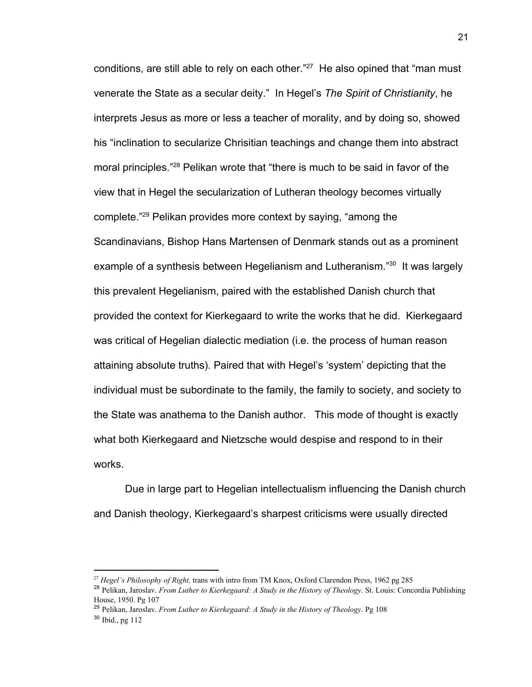conditions, are still able to rely on each other." $27$  He also opined that "man must venerate the State as a secular deity." In Hegel's *The Spirit of Christianity*, he interprets Jesus as more or less a teacher of morality, and by doing so, showed his "inclination to secularize Chrisitian teachings and change them into abstract moral principles."<sup>28</sup> Pelikan wrote that "there is much to be said in favor of the view that in Hegel the secularization of Lutheran theology becomes virtually complete."<sup>29</sup> Pelikan provides more context by saying, "among the Scandinavians, Bishop Hans Martensen of Denmark stands out as a prominent example of a synthesis between Hegelianism and Lutheranism."<sup>30</sup> It was largely this prevalent Hegelianism, paired with the established Danish church that provided the context for Kierkegaard to write the works that he did. Kierkegaard was critical of Hegelian dialectic mediation (i.e. the process of human reason attaining absolute truths). Paired that with Hegel's 'system' depicting that the individual must be subordinate to the family, the family to society, and society to the State was anathema to the Danish author. This mode of thought is exactly what both Kierkegaard and Nietzsche would despise and respond to in their works.

Due in large part to Hegelian intellectualism influencing the Danish church and Danish theology, Kierkegaard's sharpest criticisms were usually directed

<sup>27</sup> *Hegel's Philosophy of Right,* trans with intro from TM Knox, Oxford Clarendon Press, 1962 pg 285

<sup>28</sup> Pelikan, Jaroslav. *From Luther to Kierkegaard: A Study in the History of Theology*. St. Louis: Concordia Publishing House, 1950. Pg 107

<sup>29</sup> Pelikan, Jaroslav. *From Luther to Kierkegaard: A Study in the History of Theology*. Pg 108 <sup>30</sup> Ibid., pg 112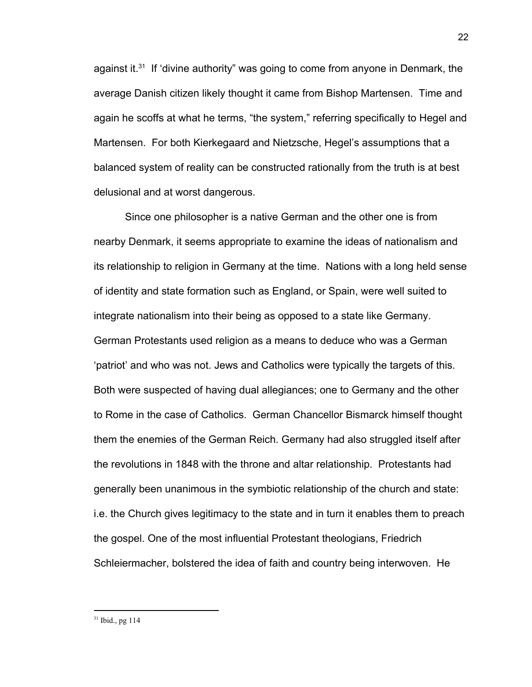against it.<sup>31</sup> If 'divine authority" was going to come from anyone in Denmark, the average Danish citizen likely thought it came from Bishop Martensen. Time and again he scoffs at what he terms, "the system," referring specifically to Hegel and Martensen. For both Kierkegaard and Nietzsche, Hegel's assumptions that a balanced system of reality can be constructed rationally from the truth is at best delusional and at worst dangerous.

Since one philosopher is a native German and the other one is from nearby Denmark, it seems appropriate to examine the ideas of nationalism and its relationship to religion in Germany at the time. Nations with a long held sense of identity and state formation such as England, or Spain, were well suited to integrate nationalism into their being as opposed to a state like Germany. German Protestants used religion as a means to deduce who was a German 'patriot' and who was not. Jews and Catholics were typically the targets of this. Both were suspected of having dual allegiances; one to Germany and the other to Rome in the case of Catholics. German Chancellor Bismarck himself thought them the enemies of the German Reich. Germany had also struggled itself after the revolutions in 1848 with the throne and altar relationship. Protestants had generally been unanimous in the symbiotic relationship of the church and state: i.e. the Church gives legitimacy to the state and in turn it enables them to preach the gospel. One of the most influential Protestant theologians, Friedrich Schleiermacher, bolstered the idea of faith and country being interwoven. He

 $31$  Ibid., pg 114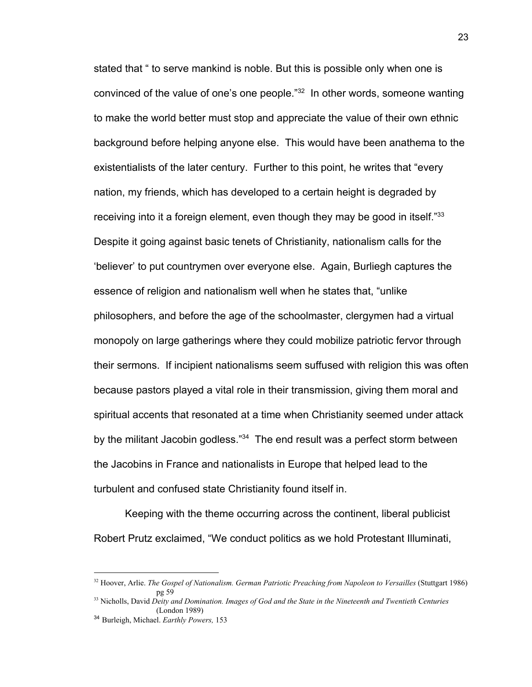stated that " to serve mankind is noble. But this is possible only when one is convinced of the value of one's one people."<sup>32</sup> In other words, someone wanting to make the world better must stop and appreciate the value of their own ethnic background before helping anyone else. This would have been anathema to the existentialists of the later century. Further to this point, he writes that "every nation, my friends, which has developed to a certain height is degraded by receiving into it a foreign element, even though they may be good in itself."<sup>33</sup> Despite it going against basic tenets of Christianity, nationalism calls for the 'believer' to put countrymen over everyone else. Again, Burliegh captures the essence of religion and nationalism well when he states that, "unlike philosophers, and before the age of the schoolmaster, clergymen had a virtual monopoly on large gatherings where they could mobilize patriotic fervor through their sermons. If incipient nationalisms seem suffused with religion this was often because pastors played a vital role in their transmission, giving them moral and spiritual accents that resonated at a time when Christianity seemed under attack by the militant Jacobin godless."<sup>34</sup> The end result was a perfect storm between the Jacobins in France and nationalists in Europe that helped lead to the turbulent and confused state Christianity found itself in.

Keeping with the theme occurring across the continent, liberal publicist Robert Prutz exclaimed, "We conduct politics as we hold Protestant Illuminati,

<sup>32</sup> Hoover, Arlie. *The Gospel of Nationalism. German Patriotic Preaching from Napoleon to Versailles* (Stuttgart 1986) pg 59

<sup>33</sup> Nicholls, David *Deity and Domination. Images of God and the State in the Nineteenth and Twentieth Centuries* (London 1989)

<sup>34</sup> Burleigh, Michael. *Earthly Powers,* 153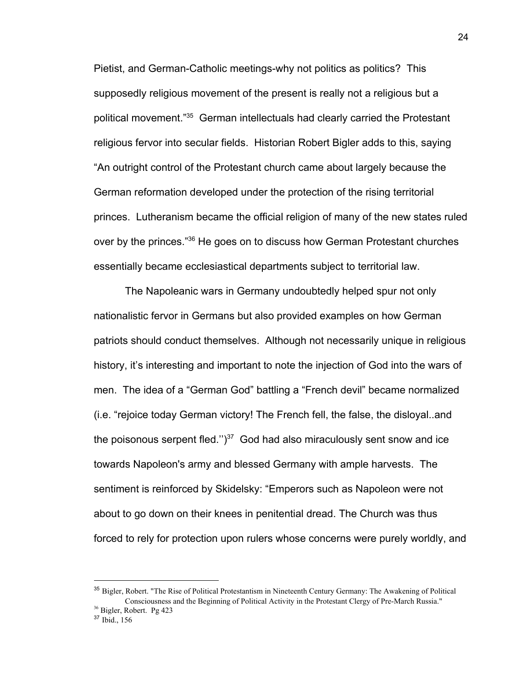Pietist, and German-Catholic meetings-why not politics as politics? This supposedly religious movement of the present is really not a religious but a political movement."<sup>35</sup> German intellectuals had clearly carried the Protestant religious fervor into secular fields. Historian Robert Bigler adds to this, saying "An outright control of the Protestant church came about largely because the German reformation developed under the protection of the rising territorial princes. Lutheranism became the official religion of many of the new states ruled over by the princes."<sup>36</sup> He goes on to discuss how German Protestant churches essentially became ecclesiastical departments subject to territorial law.

The Napoleanic wars in Germany undoubtedly helped spur not only nationalistic fervor in Germans but also provided examples on how German patriots should conduct themselves. Although not necessarily unique in religious history, it's interesting and important to note the injection of God into the wars of men. The idea of a "German God" battling a "French devil" became normalized (i.e. "rejoice today German victory! The French fell, the false, the disloyal..and the poisonous serpent fled." $)^{37}$  God had also miraculously sent snow and ice towards Napoleon's army and blessed Germany with ample harvests. The sentiment is reinforced by Skidelsky: "Emperors such as Napoleon were not about to go down on their knees in penitential dread. The Church was thus forced to rely for protection upon rulers whose concerns were purely worldly, and

<sup>35</sup> Bigler, Robert. "The Rise of Political Protestantism in Nineteenth Century Germany: The Awakening of Political Consciousness and the Beginning of Political Activity in the Protestant Clergy of Pre-March Russia."

<sup>36</sup> Bigler, Robert. Pg 423

<sup>37</sup> Ibid., 156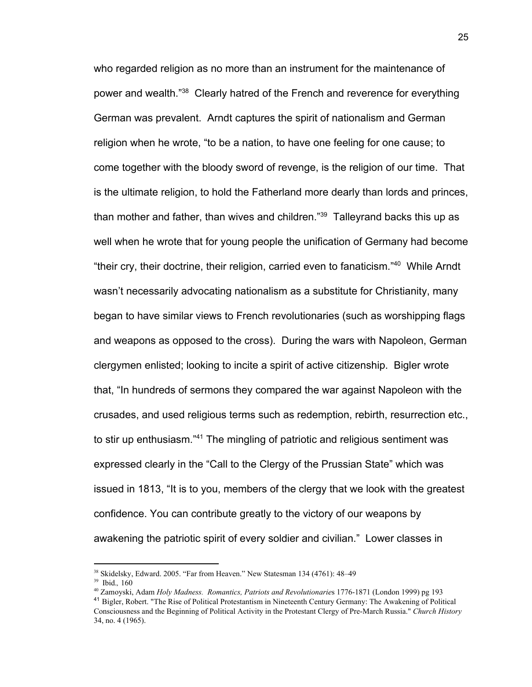who regarded religion as no more than an instrument for the maintenance of power and wealth."<sup>38</sup> Clearly hatred of the French and reverence for everything German was prevalent. Arndt captures the spirit of nationalism and German religion when he wrote, "to be a nation, to have one feeling for one cause; to come together with the bloody sword of revenge, is the religion of our time. That is the ultimate religion, to hold the Fatherland more dearly than lords and princes, than mother and father, than wives and children." $39$  Talleyrand backs this up as well when he wrote that for young people the unification of Germany had become "their cry, their doctrine, their religion, carried even to fanaticism."<sup>40</sup> While Arndt wasn't necessarily advocating nationalism as a substitute for Christianity, many began to have similar views to French revolutionaries (such as worshipping flags and weapons as opposed to the cross). During the wars with Napoleon, German clergymen enlisted; looking to incite a spirit of active citizenship. Bigler wrote that, "In hundreds of sermons they compared the war against Napoleon with the crusades, and used religious terms such as redemption, rebirth, resurrection etc., to stir up enthusiasm."<sup>41</sup> The mingling of patriotic and religious sentiment was expressed clearly in the "Call to the Clergy of the Prussian State" which was issued in 1813, "It is to you, members of the clergy that we look with the greatest confidence. You can contribute greatly to the victory of our weapons by awakening the patriotic spirit of every soldier and civilian." Lower classes in

<sup>38</sup> Skidelsky, Edward. 2005. "Far from Heaven." New Statesman 134 (4761): 48–49

<sup>39</sup> Ibid.*,* 160

<sup>40</sup> Zamoyski, Adam *Holy Madness. Romantics, Patriots and Revolutionarie*s 1776-1871 (London 1999) pg 193 <sup>41</sup> Bigler, Robert. "The Rise of Political Protestantism in Nineteenth Century Germany: The Awakening of Political Consciousness and the Beginning of Political Activity in the Protestant Clergy of Pre-March Russia." *Church History* 34, no. 4 (1965).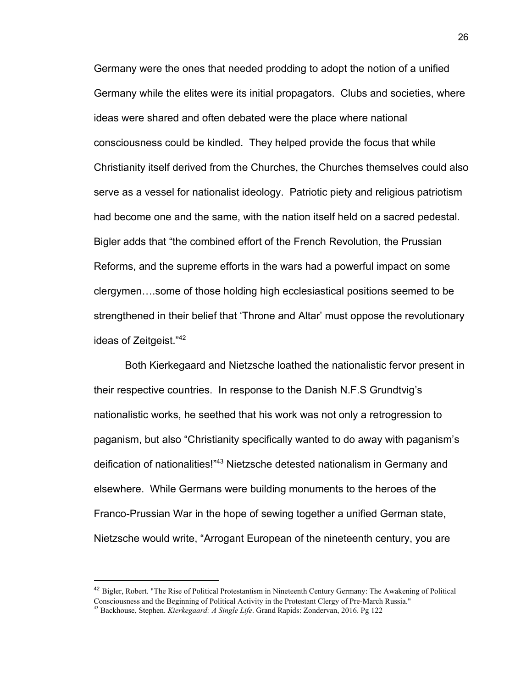Germany were the ones that needed prodding to adopt the notion of a unified Germany while the elites were its initial propagators. Clubs and societies, where ideas were shared and often debated were the place where national consciousness could be kindled. They helped provide the focus that while Christianity itself derived from the Churches, the Churches themselves could also serve as a vessel for nationalist ideology. Patriotic piety and religious patriotism had become one and the same, with the nation itself held on a sacred pedestal. Bigler adds that "the combined effort of the French Revolution, the Prussian Reforms, and the supreme efforts in the wars had a powerful impact on some clergymen….some of those holding high ecclesiastical positions seemed to be strengthened in their belief that 'Throne and Altar' must oppose the revolutionary ideas of Zeitgeist."<sup>42</sup>

Both Kierkegaard and Nietzsche loathed the nationalistic fervor present in their respective countries. In response to the Danish N.F.S Grundtvig's nationalistic works, he seethed that his work was not only a retrogression to paganism, but also "Christianity specifically wanted to do away with paganism's deification of nationalities!"<sup>43</sup> Nietzsche detested nationalism in Germany and elsewhere. While Germans were building monuments to the heroes of the Franco-Prussian War in the hope of sewing together a unified German state, Nietzsche would write, "Arrogant European of the nineteenth century, you are

<sup>42</sup> Bigler, Robert. "The Rise of Political Protestantism in Nineteenth Century Germany: The Awakening of Political Consciousness and the Beginning of Political Activity in the Protestant Clergy of Pre-March Russia."

26

<sup>43</sup> Backhouse, Stephen. *Kierkegaard: A Single Life*. Grand Rapids: Zondervan, 2016. Pg 122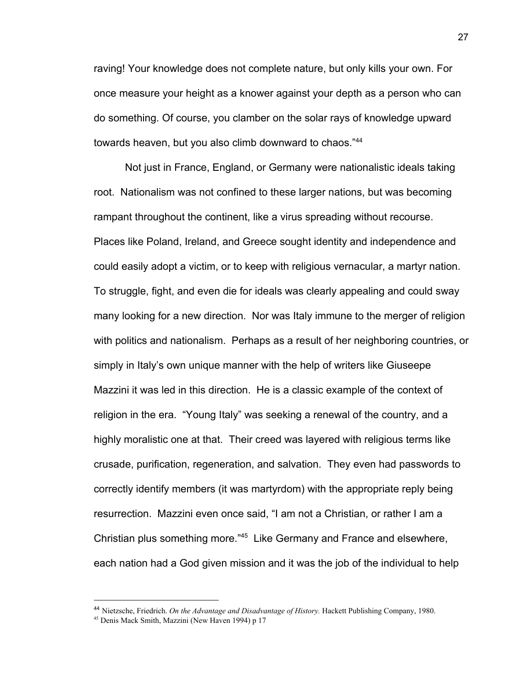raving! Your knowledge does not complete nature, but only kills your own. For once measure your height as a knower against your depth as a person who can do something. Of course, you clamber on the solar rays of knowledge upward towards heaven, but you also climb downward to chaos."<sup>44</sup>

Not just in France, England, or Germany were nationalistic ideals taking root. Nationalism was not confined to these larger nations, but was becoming rampant throughout the continent, like a virus spreading without recourse. Places like Poland, Ireland, and Greece sought identity and independence and could easily adopt a victim, or to keep with religious vernacular, a martyr nation. To struggle, fight, and even die for ideals was clearly appealing and could sway many looking for a new direction. Nor was Italy immune to the merger of religion with politics and nationalism. Perhaps as a result of her neighboring countries, or simply in Italy's own unique manner with the help of writers like Giuseepe Mazzini it was led in this direction. He is a classic example of the context of religion in the era. "Young Italy" was seeking a renewal of the country, and a highly moralistic one at that. Their creed was layered with religious terms like crusade, purification, regeneration, and salvation. They even had passwords to correctly identify members (it was martyrdom) with the appropriate reply being resurrection. Mazzini even once said, "I am not a Christian, or rather I am a Christian plus something more."<sup>45</sup> Like Germany and France and elsewhere, each nation had a God given mission and it was the job of the individual to help

<sup>44</sup> Nietzsche, Friedrich. *On the Advantage and Disadvantage of History.* Hackett Publishing Company, 1980.

<sup>45</sup> Denis Mack Smith, Mazzini (New Haven 1994) p 17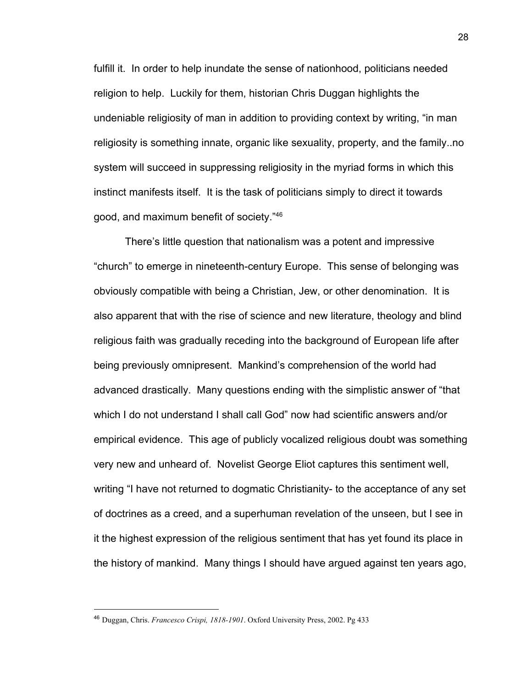fulfill it. In order to help inundate the sense of nationhood, politicians needed religion to help. Luckily for them, historian Chris Duggan highlights the undeniable religiosity of man in addition to providing context by writing, "in man religiosity is something innate, organic like sexuality, property, and the family..no system will succeed in suppressing religiosity in the myriad forms in which this instinct manifests itself. It is the task of politicians simply to direct it towards good, and maximum benefit of society."<sup>46</sup>

There's little question that nationalism was a potent and impressive "church" to emerge in nineteenth-century Europe. This sense of belonging was obviously compatible with being a Christian, Jew, or other denomination. It is also apparent that with the rise of science and new literature, theology and blind religious faith was gradually receding into the background of European life after being previously omnipresent. Mankind's comprehension of the world had advanced drastically. Many questions ending with the simplistic answer of "that which I do not understand I shall call God" now had scientific answers and/or empirical evidence. This age of publicly vocalized religious doubt was something very new and unheard of. Novelist George Eliot captures this sentiment well, writing "I have not returned to dogmatic Christianity- to the acceptance of any set of doctrines as a creed, and a superhuman revelation of the unseen, but I see in it the highest expression of the religious sentiment that has yet found its place in the history of mankind. Many things I should have argued against ten years ago,

<sup>46</sup> Duggan, Chris. *Francesco Crispi, 1818-1901*. Oxford University Press, 2002. Pg 433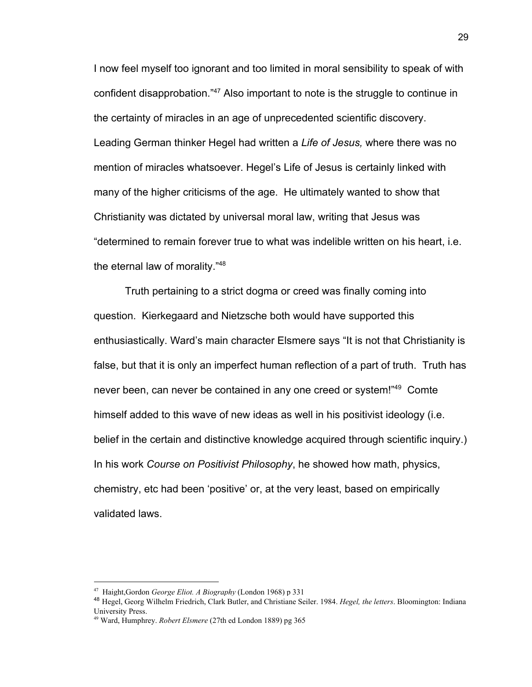I now feel myself too ignorant and too limited in moral sensibility to speak of with confident disapprobation."<sup>47</sup> Also important to note is the struggle to continue in the certainty of miracles in an age of unprecedented scientific discovery. Leading German thinker Hegel had written a *Life of Jesus,* where there was no mention of miracles whatsoever. Hegel's Life of Jesus is certainly linked with many of the higher criticisms of the age. He ultimately wanted to show that Christianity was dictated by universal moral law, writing that Jesus was "determined to remain forever true to what was indelible written on his heart, i.e. the eternal law of morality."<sup>48</sup>

Truth pertaining to a strict dogma or creed was finally coming into question. Kierkegaard and Nietzsche both would have supported this enthusiastically. Ward's main character Elsmere says "It is not that Christianity is false, but that it is only an imperfect human reflection of a part of truth. Truth has never been, can never be contained in any one creed or system!"<sup>49</sup> Comte himself added to this wave of new ideas as well in his positivist ideology (i.e. belief in the certain and distinctive knowledge acquired through scientific inquiry.) In his work *Course on Positivist Philosophy*, he showed how math, physics, chemistry, etc had been 'positive' or, at the very least, based on empirically validated laws.

<sup>47</sup> Haight,Gordon *George Eliot. A Biography* (London 1968) p 331

<sup>48</sup> Hegel, Georg Wilhelm Friedrich, Clark Butler, and Christiane Seiler. 1984. *Hegel, the letters*. Bloomington: Indiana University Press.

<sup>49</sup> Ward, Humphrey. *Robert Elsmere* (27th ed London 1889) pg 365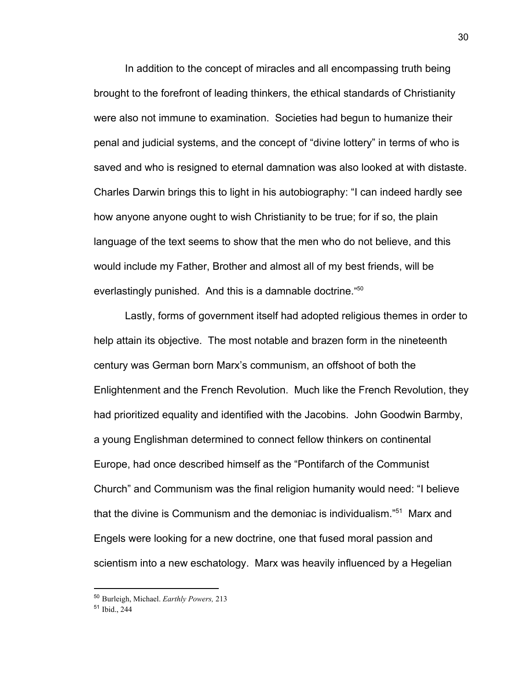In addition to the concept of miracles and all encompassing truth being brought to the forefront of leading thinkers, the ethical standards of Christianity were also not immune to examination. Societies had begun to humanize their penal and judicial systems, and the concept of "divine lottery" in terms of who is saved and who is resigned to eternal damnation was also looked at with distaste. Charles Darwin brings this to light in his autobiography: "I can indeed hardly see how anyone anyone ought to wish Christianity to be true; for if so, the plain language of the text seems to show that the men who do not believe, and this would include my Father, Brother and almost all of my best friends, will be everlastingly punished. And this is a damnable doctrine." 50

Lastly, forms of government itself had adopted religious themes in order to help attain its objective. The most notable and brazen form in the nineteenth century was German born Marx's communism, an offshoot of both the Enlightenment and the French Revolution. Much like the French Revolution, they had prioritized equality and identified with the Jacobins. John Goodwin Barmby, a young Englishman determined to connect fellow thinkers on continental Europe, had once described himself as the "Pontifarch of the Communist Church" and Communism was the final religion humanity would need: "I believe that the divine is Communism and the demoniac is individualism." $51$  Marx and Engels were looking for a new doctrine, one that fused moral passion and scientism into a new eschatology. Marx was heavily influenced by a Hegelian

30

<sup>50</sup> Burleigh, Michael. *Earthly Powers,* 213

<sup>51</sup> Ibid., 244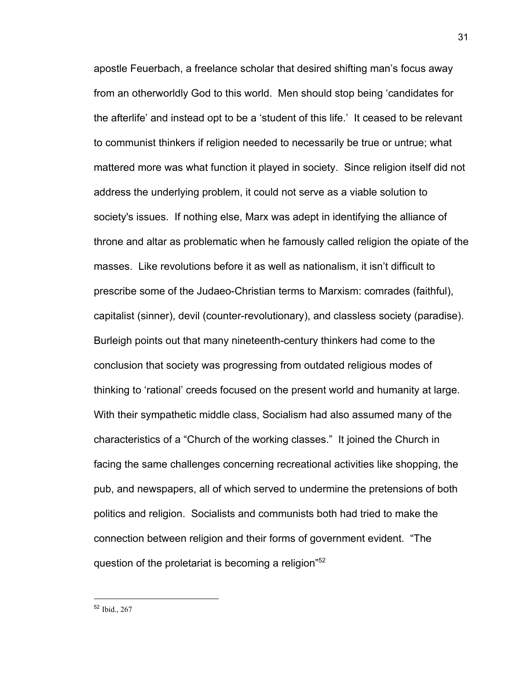apostle Feuerbach, a freelance scholar that desired shifting man's focus away from an otherworldly God to this world. Men should stop being 'candidates for the afterlife' and instead opt to be a 'student of this life.' It ceased to be relevant to communist thinkers if religion needed to necessarily be true or untrue; what mattered more was what function it played in society. Since religion itself did not address the underlying problem, it could not serve as a viable solution to society's issues. If nothing else, Marx was adept in identifying the alliance of throne and altar as problematic when he famously called religion the opiate of the masses. Like revolutions before it as well as nationalism, it isn't difficult to prescribe some of the Judaeo-Christian terms to Marxism: comrades (faithful), capitalist (sinner), devil (counter-revolutionary), and classless society (paradise). Burleigh points out that many nineteenth-century thinkers had come to the conclusion that society was progressing from outdated religious modes of thinking to 'rational' creeds focused on the present world and humanity at large. With their sympathetic middle class, Socialism had also assumed many of the characteristics of a "Church of the working classes." It joined the Church in facing the same challenges concerning recreational activities like shopping, the pub, and newspapers, all of which served to undermine the pretensions of both politics and religion. Socialists and communists both had tried to make the connection between religion and their forms of government evident. "The question of the proletariat is becoming a religion"<sup>52</sup>

<sup>52</sup> Ibid., 267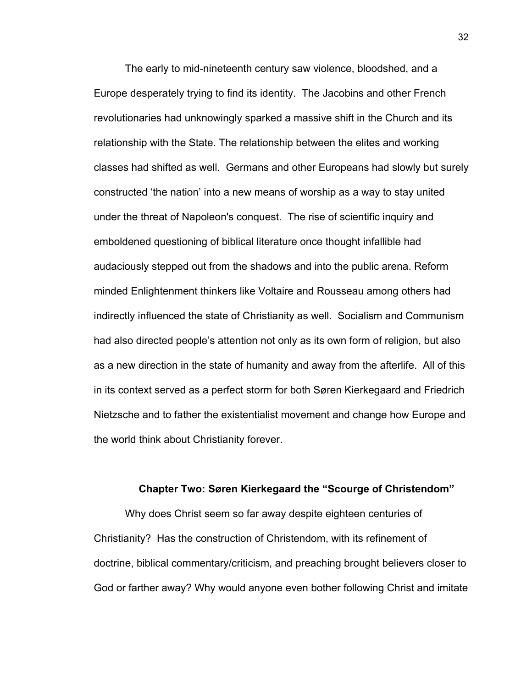The early to mid-nineteenth century saw violence, bloodshed, and a Europe desperately trying to find its identity. The Jacobins and other French revolutionaries had unknowingly sparked a massive shift in the Church and its relationship with the State. The relationship between the elites and working classes had shifted as well. Germans and other Europeans had slowly but surely constructed 'the nation' into a new means of worship as a way to stay united under the threat of Napoleon's conquest. The rise of scientific inquiry and emboldened questioning of biblical literature once thought infallible had audaciously stepped out from the shadows and into the public arena. Reform minded Enlightenment thinkers like Voltaire and Rousseau among others had indirectly influenced the state of Christianity as well. Socialism and Communism had also directed people's attention not only as its own form of religion, but also as a new direction in the state of humanity and away from the afterlife. All of this in its context served as a perfect storm for both Søren Kierkegaard and Friedrich Nietzsche and to father the existentialist movement and change how Europe and the world think about Christianity forever.

### **Chapter Two: Søren Kierkegaard the "Scourge of Christendom"**

Why does Christ seem so far away despite eighteen centuries of Christianity? Has the construction of Christendom, with its refinement of doctrine, biblical commentary/criticism, and preaching brought believers closer to God or farther away? Why would anyone even bother following Christ and imitate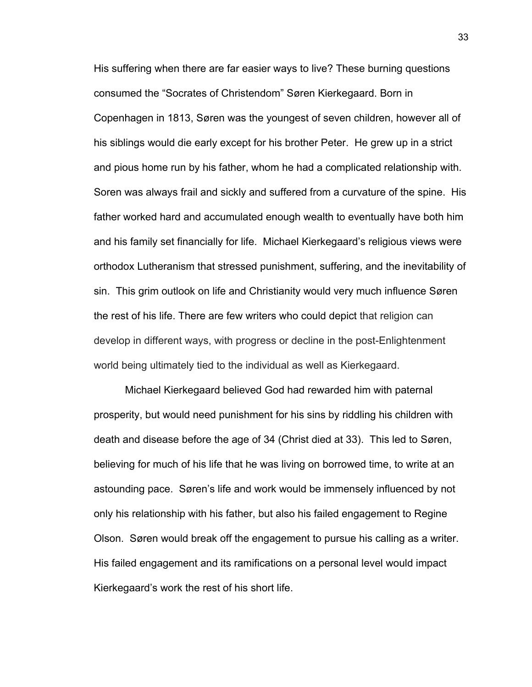His suffering when there are far easier ways to live? These burning questions consumed the "Socrates of Christendom" Søren Kierkegaard. Born in Copenhagen in 1813, Søren was the youngest of seven children, however all of his siblings would die early except for his brother Peter. He grew up in a strict and pious home run by his father, whom he had a complicated relationship with. Soren was always frail and sickly and suffered from a curvature of the spine. His father worked hard and accumulated enough wealth to eventually have both him and his family set financially for life. Michael Kierkegaard's religious views were orthodox Lutheranism that stressed punishment, suffering, and the inevitability of sin. This grim outlook on life and Christianity would very much influence Søren the rest of his life. There are few writers who could depict that religion can develop in different ways, with progress or decline in the post-Enlightenment world being ultimately tied to the individual as well as Kierkegaard.

Michael Kierkegaard believed God had rewarded him with paternal prosperity, but would need punishment for his sins by riddling his children with death and disease before the age of 34 (Christ died at 33). This led to Søren, believing for much of his life that he was living on borrowed time, to write at an astounding pace. Søren's life and work would be immensely influenced by not only his relationship with his father, but also his failed engagement to Regine Olson. Søren would break off the engagement to pursue his calling as a writer. His failed engagement and its ramifications on a personal level would impact Kierkegaard's work the rest of his short life.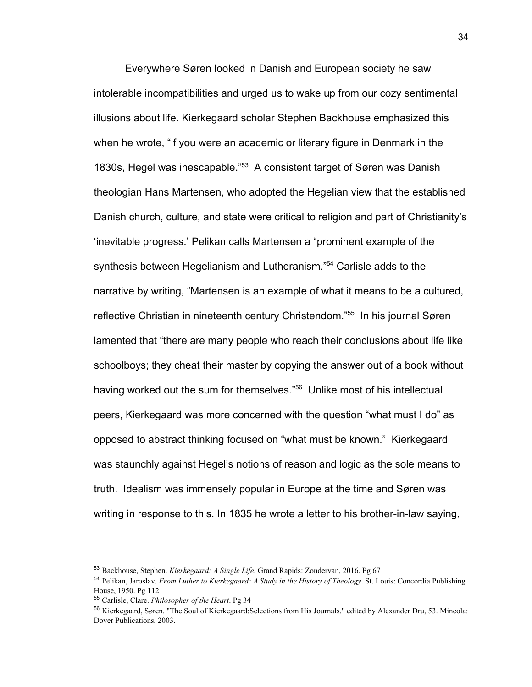Everywhere Søren looked in Danish and European society he saw intolerable incompatibilities and urged us to wake up from our cozy sentimental illusions about life. Kierkegaard scholar Stephen Backhouse emphasized this when he wrote, "if you were an academic or literary figure in Denmark in the 1830s, Hegel was inescapable."<sup>53</sup> A consistent target of Søren was Danish theologian Hans Martensen, who adopted the Hegelian view that the established Danish church, culture, and state were critical to religion and part of Christianity's 'inevitable progress.' Pelikan calls Martensen a "prominent example of the synthesis between Hegelianism and Lutheranism."<sup>54</sup> Carlisle adds to the narrative by writing, "Martensen is an example of what it means to be a cultured, reflective Christian in nineteenth century Christendom."<sup>55</sup> In his journal Søren lamented that "there are many people who reach their conclusions about life like schoolboys; they cheat their master by copying the answer out of a book without having worked out the sum for themselves."<sup>56</sup> Unlike most of his intellectual peers, Kierkegaard was more concerned with the question "what must I do" as opposed to abstract thinking focused on "what must be known." Kierkegaard was staunchly against Hegel's notions of reason and logic as the sole means to truth. Idealism was immensely popular in Europe at the time and Søren was writing in response to this. In 1835 he wrote a letter to his brother-in-law saying,

<sup>53</sup> Backhouse, Stephen. *Kierkegaard: A Single Life*. Grand Rapids: Zondervan, 2016. Pg 67

<sup>54</sup> Pelikan, Jaroslav. *From Luther to Kierkegaard: A Study in the History of Theology*. St. Louis: Concordia Publishing House, 1950. Pg 112

<sup>55</sup> Carlisle, Clare. *Philosopher of the Heart*. Pg 34

<sup>56</sup> Kierkegaard, Søren. "The Soul of Kierkegaard:Selections from His Journals." edited by Alexander Dru, 53. Mineola: Dover Publications, 2003.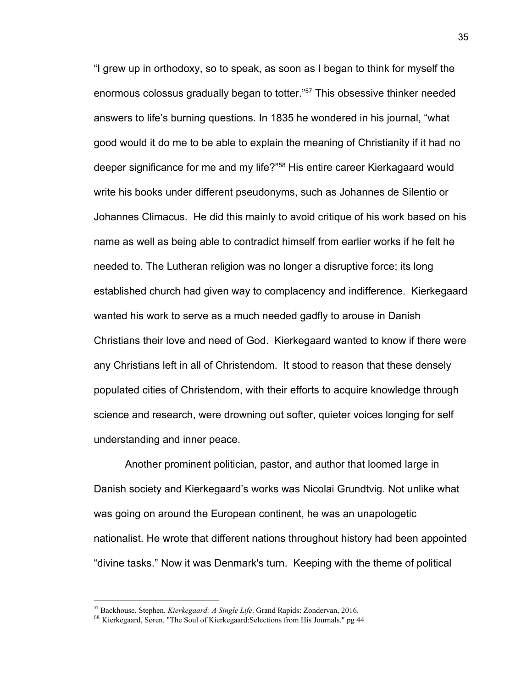"I grew up in orthodoxy, so to speak, as soon as I began to think for myself the enormous colossus gradually began to totter."<sup>57</sup> This obsessive thinker needed answers to life's burning questions. In 1835 he wondered in his journal, "what good would it do me to be able to explain the meaning of Christianity if it had no deeper significance for me and my life?"<sup>58</sup> His entire career Kierkagaard would write his books under different pseudonyms, such as Johannes de Silentio or Johannes Climacus. He did this mainly to avoid critique of his work based on his name as well as being able to contradict himself from earlier works if he felt he needed to. The Lutheran religion was no longer a disruptive force; its long established church had given way to complacency and indifference. Kierkegaard wanted his work to serve as a much needed gadfly to arouse in Danish Christians their love and need of God. Kierkegaard wanted to know if there were any Christians left in all of Christendom. It stood to reason that these densely populated cities of Christendom, with their efforts to acquire knowledge through science and research, were drowning out softer, quieter voices longing for self understanding and inner peace.

Another prominent politician, pastor, and author that loomed large in Danish society and Kierkegaard's works was Nicolai Grundtvig. Not unlike what was going on around the European continent, he was an unapologetic nationalist. He wrote that different nations throughout history had been appointed "divine tasks." Now it was Denmark's turn. Keeping with the theme of political

<sup>57</sup> Backhouse, Stephen. *Kierkegaard: A Single Life*. Grand Rapids: Zondervan, 2016.

<sup>58</sup> Kierkegaard, Søren. "The Soul of Kierkegaard:Selections from His Journals." pg 44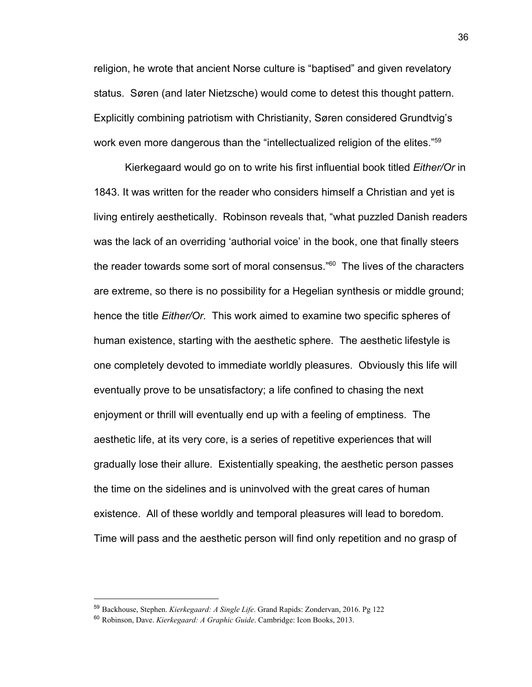religion, he wrote that ancient Norse culture is "baptised" and given revelatory status. Søren (and later Nietzsche) would come to detest this thought pattern. Explicitly combining patriotism with Christianity, Søren considered Grundtvig's work even more dangerous than the "intellectualized religion of the elites."<sup>59</sup>

Kierkegaard would go on to write his first influential book titled *Either/Or* in 1843. It was written for the reader who considers himself a Christian and yet is living entirely aesthetically. Robinson reveals that, "what puzzled Danish readers was the lack of an overriding 'authorial voice' in the book, one that finally steers the reader towards some sort of moral consensus." $60$  The lives of the characters are extreme, so there is no possibility for a Hegelian synthesis or middle ground; hence the title *Either/Or.* This work aimed to examine two specific spheres of human existence, starting with the aesthetic sphere. The aesthetic lifestyle is one completely devoted to immediate worldly pleasures. Obviously this life will eventually prove to be unsatisfactory; a life confined to chasing the next enjoyment or thrill will eventually end up with a feeling of emptiness. The aesthetic life, at its very core, is a series of repetitive experiences that will gradually lose their allure. Existentially speaking, the aesthetic person passes the time on the sidelines and is uninvolved with the great cares of human existence. All of these worldly and temporal pleasures will lead to boredom. Time will pass and the aesthetic person will find only repetition and no grasp of

<sup>59</sup> Backhouse, Stephen. *Kierkegaard: A Single Life*. Grand Rapids: Zondervan, 2016. Pg 122

<sup>60</sup> Robinson, Dave. *Kierkegaard: A Graphic Guide*. Cambridge: Icon Books, 2013.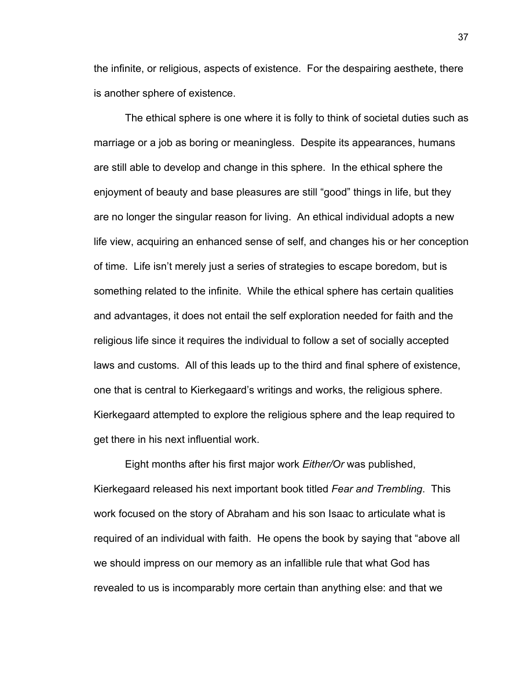the infinite, or religious, aspects of existence. For the despairing aesthete, there is another sphere of existence.

The ethical sphere is one where it is folly to think of societal duties such as marriage or a job as boring or meaningless. Despite its appearances, humans are still able to develop and change in this sphere. In the ethical sphere the enjoyment of beauty and base pleasures are still "good" things in life, but they are no longer the singular reason for living. An ethical individual adopts a new life view, acquiring an enhanced sense of self, and changes his or her conception of time. Life isn't merely just a series of strategies to escape boredom, but is something related to the infinite. While the ethical sphere has certain qualities and advantages, it does not entail the self exploration needed for faith and the religious life since it requires the individual to follow a set of socially accepted laws and customs. All of this leads up to the third and final sphere of existence, one that is central to Kierkegaard's writings and works, the religious sphere. Kierkegaard attempted to explore the religious sphere and the leap required to get there in his next influential work.

Eight months after his first major work *Either/Or* was published, Kierkegaard released his next important book titled *Fear and Trembling*. This work focused on the story of Abraham and his son Isaac to articulate what is required of an individual with faith. He opens the book by saying that "above all we should impress on our memory as an infallible rule that what God has revealed to us is incomparably more certain than anything else: and that we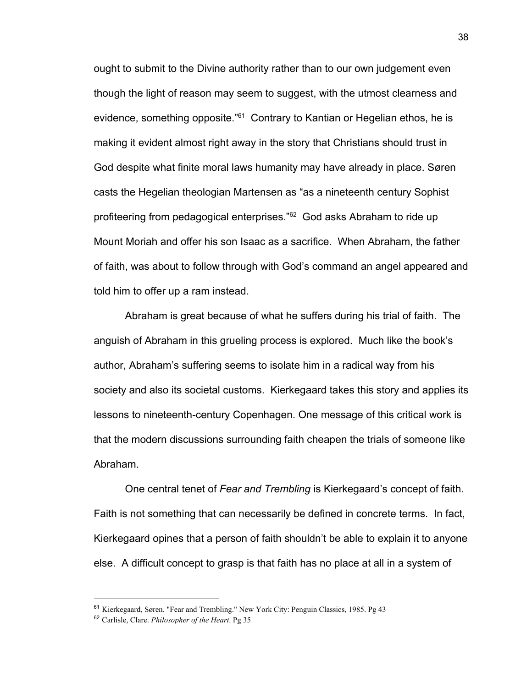ought to submit to the Divine authority rather than to our own judgement even though the light of reason may seem to suggest, with the utmost clearness and evidence, something opposite.<sup>" $61$ </sup> Contrary to Kantian or Hegelian ethos, he is making it evident almost right away in the story that Christians should trust in God despite what finite moral laws humanity may have already in place. Søren casts the Hegelian theologian Martensen as "as a nineteenth century Sophist profiteering from pedagogical enterprises."<sup>62</sup> God asks Abraham to ride up Mount Moriah and offer his son Isaac as a sacrifice. When Abraham, the father of faith, was about to follow through with God's command an angel appeared and told him to offer up a ram instead.

Abraham is great because of what he suffers during his trial of faith. The anguish of Abraham in this grueling process is explored. Much like the book's author, Abraham's suffering seems to isolate him in a radical way from his society and also its societal customs. Kierkegaard takes this story and applies its lessons to nineteenth-century Copenhagen. One message of this critical work is that the modern discussions surrounding faith cheapen the trials of someone like Abraham.

One central tenet of *Fear and Trembling* is Kierkegaard's concept of faith. Faith is not something that can necessarily be defined in concrete terms. In fact, Kierkegaard opines that a person of faith shouldn't be able to explain it to anyone else. A difficult concept to grasp is that faith has no place at all in a system of

<sup>61</sup> Kierkegaard, Søren. "Fear and Trembling." New York City: Penguin Classics, 1985. Pg 43

<sup>62</sup> Carlisle, Clare. *Philosopher of the Heart*. Pg 35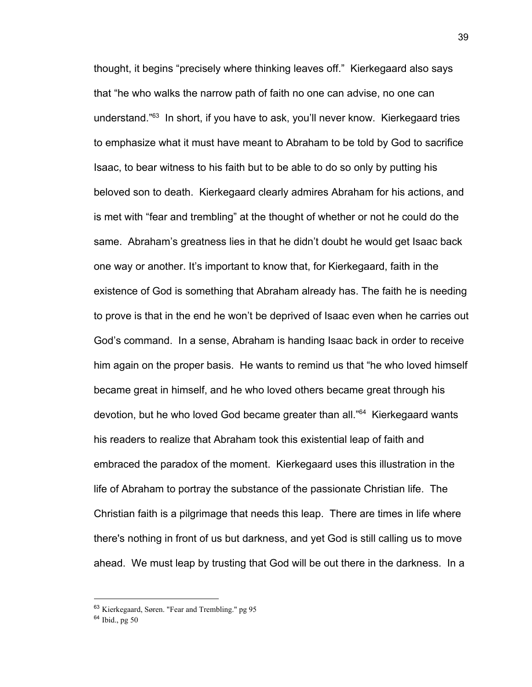thought, it begins "precisely where thinking leaves off." Kierkegaard also says that "he who walks the narrow path of faith no one can advise, no one can understand." $63$  In short, if you have to ask, you'll never know. Kierkegaard tries to emphasize what it must have meant to Abraham to be told by God to sacrifice Isaac, to bear witness to his faith but to be able to do so only by putting his beloved son to death. Kierkegaard clearly admires Abraham for his actions, and is met with "fear and trembling" at the thought of whether or not he could do the same. Abraham's greatness lies in that he didn't doubt he would get Isaac back one way or another. It's important to know that, for Kierkegaard, faith in the existence of God is something that Abraham already has. The faith he is needing to prove is that in the end he won't be deprived of Isaac even when he carries out God's command. In a sense, Abraham is handing Isaac back in order to receive him again on the proper basis. He wants to remind us that "he who loved himself became great in himself, and he who loved others became great through his devotion, but he who loved God became greater than all."<sup>64</sup> Kierkegaard wants his readers to realize that Abraham took this existential leap of faith and embraced the paradox of the moment. Kierkegaard uses this illustration in the life of Abraham to portray the substance of the passionate Christian life. The Christian faith is a pilgrimage that needs this leap. There are times in life where there's nothing in front of us but darkness, and yet God is still calling us to move ahead. We must leap by trusting that God will be out there in the darkness. In a

<sup>63</sup> Kierkegaard, Søren. "Fear and Trembling." pg 95

<sup>64</sup> Ibid., pg 50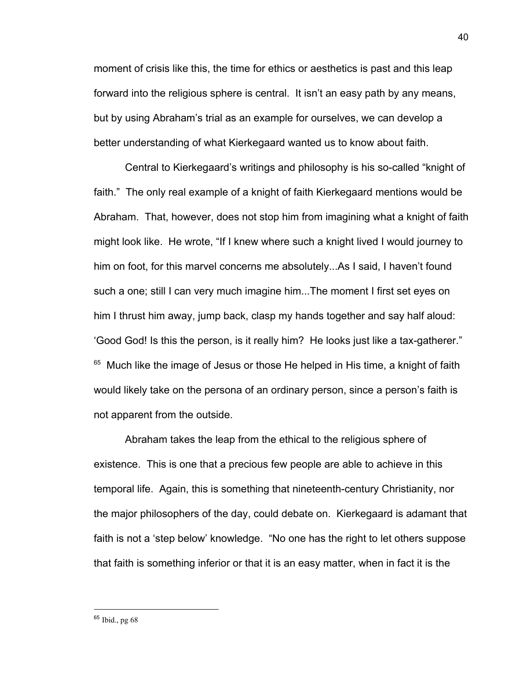moment of crisis like this, the time for ethics or aesthetics is past and this leap forward into the religious sphere is central. It isn't an easy path by any means, but by using Abraham's trial as an example for ourselves, we can develop a better understanding of what Kierkegaard wanted us to know about faith.

Central to Kierkegaard's writings and philosophy is his so-called "knight of faith." The only real example of a knight of faith Kierkegaard mentions would be Abraham. That, however, does not stop him from imagining what a knight of faith might look like. He wrote, "If I knew where such a knight lived I would journey to him on foot, for this marvel concerns me absolutely...As I said, I haven't found such a one; still I can very much imagine him...The moment I first set eyes on him I thrust him away, jump back, clasp my hands together and say half aloud: 'Good God! Is this the person, is it really him? He looks just like a tax-gatherer."  $<sup>65</sup>$  Much like the image of Jesus or those He helped in His time, a knight of faith</sup> would likely take on the persona of an ordinary person, since a person's faith is not apparent from the outside.

Abraham takes the leap from the ethical to the religious sphere of existence. This is one that a precious few people are able to achieve in this temporal life. Again, this is something that nineteenth-century Christianity, nor the major philosophers of the day, could debate on. Kierkegaard is adamant that faith is not a 'step below' knowledge. "No one has the right to let others suppose that faith is something inferior or that it is an easy matter, when in fact it is the

<sup>65</sup> Ibid., pg 68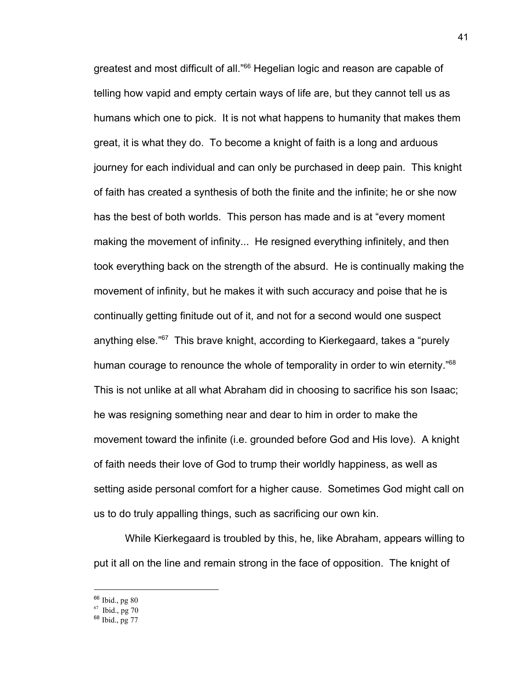greatest and most difficult of all."<sup>66</sup> Hegelian logic and reason are capable of telling how vapid and empty certain ways of life are, but they cannot tell us as humans which one to pick. It is not what happens to humanity that makes them great, it is what they do. To become a knight of faith is a long and arduous journey for each individual and can only be purchased in deep pain. This knight of faith has created a synthesis of both the finite and the infinite; he or she now has the best of both worlds. This person has made and is at "every moment making the movement of infinity... He resigned everything infinitely, and then took everything back on the strength of the absurd. He is continually making the movement of infinity, but he makes it with such accuracy and poise that he is continually getting finitude out of it, and not for a second would one suspect anything else." $67$  This brave knight, according to Kierkegaard, takes a "purely human courage to renounce the whole of temporality in order to win eternity."<sup>68</sup> This is not unlike at all what Abraham did in choosing to sacrifice his son Isaac; he was resigning something near and dear to him in order to make the movement toward the infinite (i.e. grounded before God and His love). A knight of faith needs their love of God to trump their worldly happiness, as well as setting aside personal comfort for a higher cause. Sometimes God might call on us to do truly appalling things, such as sacrificing our own kin.

While Kierkegaard is troubled by this, he, like Abraham, appears willing to put it all on the line and remain strong in the face of opposition. The knight of

<sup>66</sup> Ibid., pg 80

<sup>67</sup> Ibid., pg 70

<sup>68</sup> Ibid., pg 77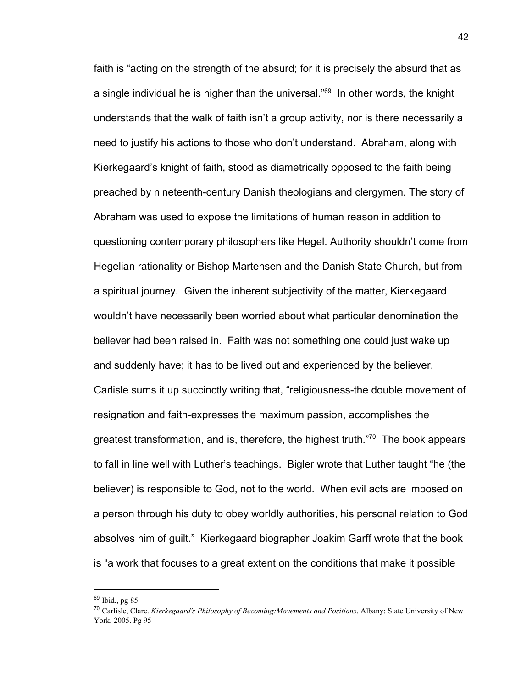faith is "acting on the strength of the absurd; for it is precisely the absurd that as a single individual he is higher than the universal." $69$  In other words, the knight understands that the walk of faith isn't a group activity, nor is there necessarily a need to justify his actions to those who don't understand. Abraham, along with Kierkegaard's knight of faith, stood as diametrically opposed to the faith being preached by nineteenth-century Danish theologians and clergymen. The story of Abraham was used to expose the limitations of human reason in addition to questioning contemporary philosophers like Hegel. Authority shouldn't come from Hegelian rationality or Bishop Martensen and the Danish State Church, but from a spiritual journey. Given the inherent subjectivity of the matter, Kierkegaard wouldn't have necessarily been worried about what particular denomination the believer had been raised in. Faith was not something one could just wake up and suddenly have; it has to be lived out and experienced by the believer. Carlisle sums it up succinctly writing that, "religiousness-the double movement of resignation and faith-expresses the maximum passion, accomplishes the greatest transformation, and is, therefore, the highest truth. $\frac{70}{2}$  The book appears to fall in line well with Luther's teachings. Bigler wrote that Luther taught "he (the believer) is responsible to God, not to the world. When evil acts are imposed on a person through his duty to obey worldly authorities, his personal relation to God absolves him of guilt." Kierkegaard biographer Joakim Garff wrote that the book is "a work that focuses to a great extent on the conditions that make it possible

<sup>69</sup> Ibid., pg 85

<sup>70</sup> Carlisle, Clare. *Kierkegaard's Philosophy of Becoming:Movements and Positions*. Albany: State University of New York, 2005. Pg 95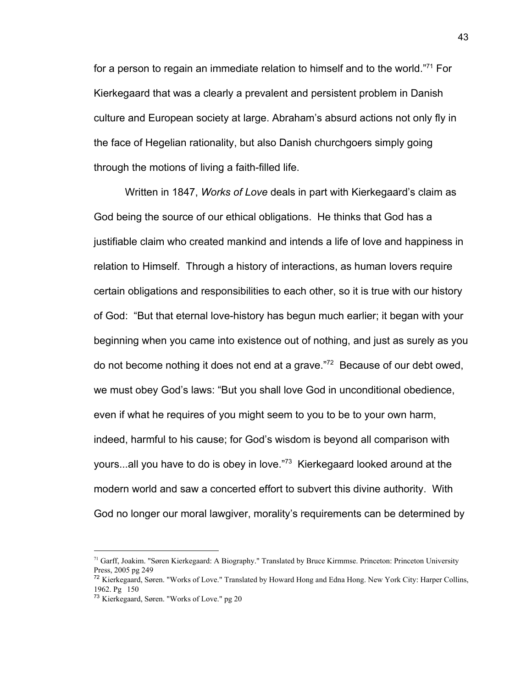for a person to regain an immediate relation to himself and to the world."<sup>71</sup> For Kierkegaard that was a clearly a prevalent and persistent problem in Danish culture and European society at large. Abraham's absurd actions not only fly in the face of Hegelian rationality, but also Danish churchgoers simply going through the motions of living a faith-filled life.

Written in 1847, *Works of Love* deals in part with Kierkegaard's claim as God being the source of our ethical obligations. He thinks that God has a justifiable claim who created mankind and intends a life of love and happiness in relation to Himself. Through a history of interactions, as human lovers require certain obligations and responsibilities to each other, so it is true with our history of God: "But that eternal love-history has begun much earlier; it began with your beginning when you came into existence out of nothing, and just as surely as you do not become nothing it does not end at a grave." $72$  Because of our debt owed, we must obey God's laws: "But you shall love God in unconditional obedience, even if what he requires of you might seem to you to be to your own harm, indeed, harmful to his cause; for God's wisdom is beyond all comparison with yours...all you have to do is obey in love."<sup>73</sup> Kierkegaard looked around at the modern world and saw a concerted effort to subvert this divine authority. With God no longer our moral lawgiver, morality's requirements can be determined by

<sup>71</sup> Garff, Joakim. "Søren Kierkegaard: A Biography." Translated by Bruce Kirmmse. Princeton: Princeton University Press, 2005 pg 249

<sup>&</sup>lt;sup>72</sup> Kierkegaard, Søren. "Works of Love." Translated by Howard Hong and Edna Hong. New York City: Harper Collins, 1962. Pg 150

<sup>73</sup> Kierkegaard, Søren. "Works of Love." pg 20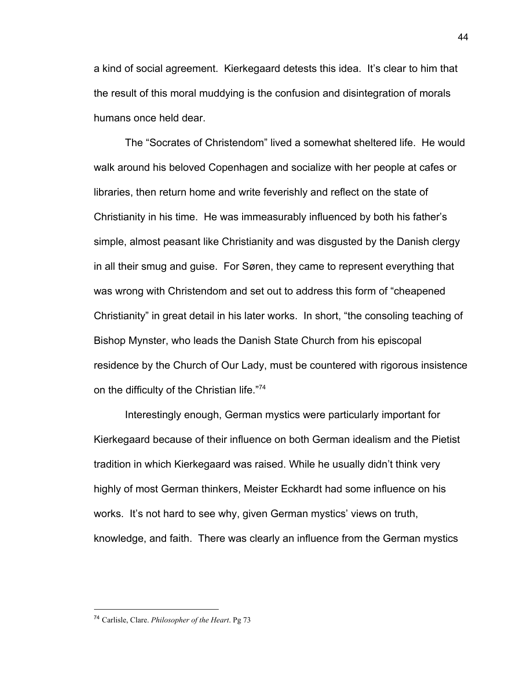a kind of social agreement. Kierkegaard detests this idea. It's clear to him that the result of this moral muddying is the confusion and disintegration of morals humans once held dear.

The "Socrates of Christendom" lived a somewhat sheltered life. He would walk around his beloved Copenhagen and socialize with her people at cafes or libraries, then return home and write feverishly and reflect on the state of Christianity in his time. He was immeasurably influenced by both his father's simple, almost peasant like Christianity and was disgusted by the Danish clergy in all their smug and guise. For Søren, they came to represent everything that was wrong with Christendom and set out to address this form of "cheapened Christianity" in great detail in his later works. In short, "the consoling teaching of Bishop Mynster, who leads the Danish State Church from his episcopal residence by the Church of Our Lady, must be countered with rigorous insistence on the difficulty of the Christian life."74

Interestingly enough, German mystics were particularly important for Kierkegaard because of their influence on both German idealism and the Pietist tradition in which Kierkegaard was raised. While he usually didn't think very highly of most German thinkers, Meister Eckhardt had some influence on his works. It's not hard to see why, given German mystics' views on truth, knowledge, and faith. There was clearly an influence from the German mystics

<sup>74</sup> Carlisle, Clare. *Philosopher of the Heart*. Pg 73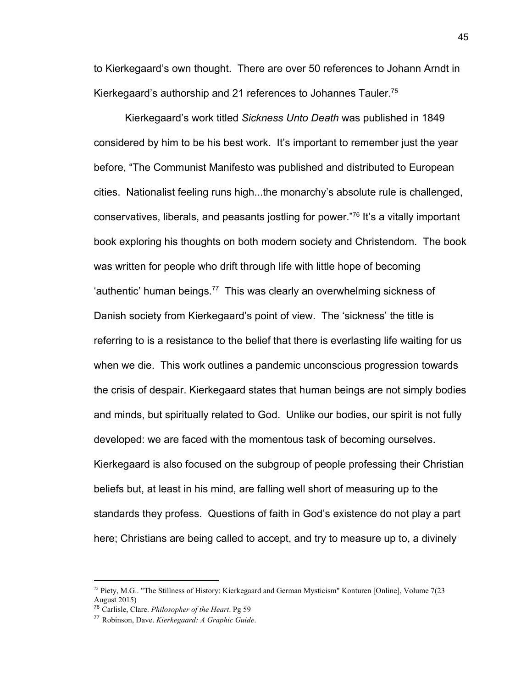to Kierkegaard's own thought. There are over 50 references to Johann Arndt in Kierkegaard's authorship and 21 references to Johannes Tauler.<sup>75</sup>

Kierkegaard's work titled *Sickness Unto Death* was published in 1849 considered by him to be his best work. It's important to remember just the year before, "The Communist Manifesto was published and distributed to European cities. Nationalist feeling runs high...the monarchy's absolute rule is challenged, conservatives, liberals, and peasants jostling for power."<sup>76</sup> It's a vitally important book exploring his thoughts on both modern society and Christendom. The book was written for people who drift through life with little hope of becoming 'authentic' human beings.<sup>77</sup> This was clearly an overwhelming sickness of Danish society from Kierkegaard's point of view. The 'sickness' the title is referring to is a resistance to the belief that there is everlasting life waiting for us when we die. This work outlines a pandemic unconscious progression towards the crisis of despair. Kierkegaard states that human beings are not simply bodies and minds, but spiritually related to God. Unlike our bodies, our spirit is not fully developed: we are faced with the momentous task of becoming ourselves. Kierkegaard is also focused on the subgroup of people professing their Christian beliefs but, at least in his mind, are falling well short of measuring up to the standards they profess. Questions of faith in God's existence do not play a part here; Christians are being called to accept, and try to measure up to, a divinely

<sup>&</sup>lt;sup>75</sup> Piety, M.G.. "The Stillness of History: Kierkegaard and German Mysticism" Konturen [Online], Volume 7(23 August 2015)

<sup>76</sup> Carlisle, Clare. *Philosopher of the Heart*. Pg 59

<sup>77</sup> Robinson, Dave. *Kierkegaard: A Graphic Guide*.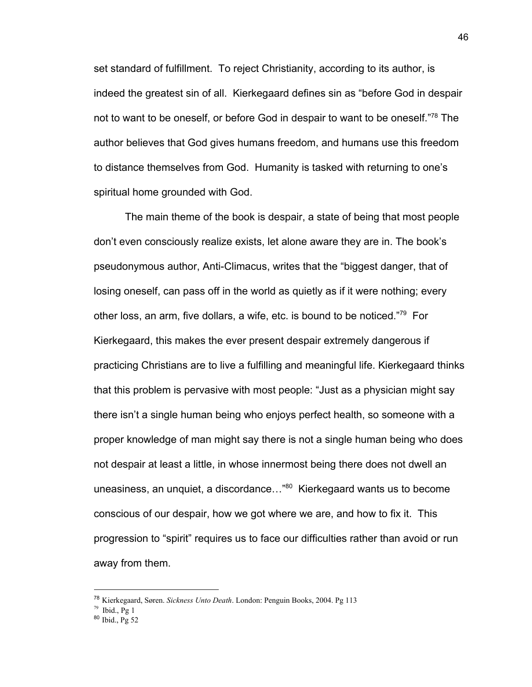set standard of fulfillment. To reject Christianity, according to its author, is indeed the greatest sin of all. Kierkegaard defines sin as "before God in despair not to want to be oneself, or before God in despair to want to be oneself."<sup>78</sup> The author believes that God gives humans freedom, and humans use this freedom to distance themselves from God. Humanity is tasked with returning to one's spiritual home grounded with God.

The main theme of the book is despair, a state of being that most people don't even consciously realize exists, let alone aware they are in. The book's pseudonymous author, Anti-Climacus, writes that the "biggest danger, that of losing oneself, can pass off in the world as quietly as if it were nothing; every other loss, an arm, five dollars, a wife, etc. is bound to be noticed."<sup>79</sup> For Kierkegaard, this makes the ever present despair extremely dangerous if practicing Christians are to live a fulfilling and meaningful life. Kierkegaard thinks that this problem is pervasive with most people: "Just as a physician might say there isn't a single human being who enjoys perfect health, so someone with a proper knowledge of man might say there is not a single human being who does not despair at least a little, in whose innermost being there does not dwell an uneasiness, an unquiet, a discordance..." $80$  Kierkegaard wants us to become conscious of our despair, how we got where we are, and how to fix it. This progression to "spirit" requires us to face our difficulties rather than avoid or run away from them.

<sup>78</sup> Kierkegaard, Søren. *Sickness Unto Death*. London: Penguin Books, 2004. Pg 113

 $79$  Ibid., Pg 1

<sup>80</sup> Ibid., Pg 52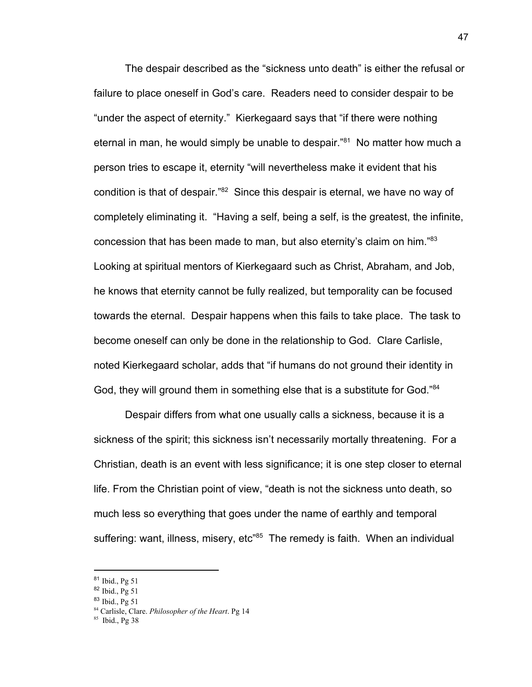The despair described as the "sickness unto death" is either the refusal or failure to place oneself in God's care. Readers need to consider despair to be "under the aspect of eternity." Kierkegaard says that "if there were nothing eternal in man, he would simply be unable to despair." $81$  No matter how much a person tries to escape it, eternity "will nevertheless make it evident that his condition is that of despair."<sup>82</sup> Since this despair is eternal, we have no way of completely eliminating it. "Having a self, being a self, is the greatest, the infinite, concession that has been made to man, but also eternity's claim on him."<sup>83</sup> Looking at spiritual mentors of Kierkegaard such as Christ, Abraham, and Job, he knows that eternity cannot be fully realized, but temporality can be focused towards the eternal. Despair happens when this fails to take place. The task to become oneself can only be done in the relationship to God. Clare Carlisle, noted Kierkegaard scholar, adds that "if humans do not ground their identity in God, they will ground them in something else that is a substitute for God."<sup>84</sup>

Despair differs from what one usually calls a sickness, because it is a sickness of the spirit; this sickness isn't necessarily mortally threatening. For a Christian, death is an event with less significance; it is one step closer to eternal life. From the Christian point of view, "death is not the sickness unto death, so much less so everything that goes under the name of earthly and temporal suffering: want, illness, misery, etc<sup>"85</sup> The remedy is faith. When an individual

<sup>81</sup> Ibid., Pg 51

<sup>82</sup> Ibid., Pg 51

<sup>83</sup> Ibid., Pg 51

<sup>84</sup> Carlisle, Clare. *Philosopher of the Heart*. Pg 14

<sup>85</sup> Ibid., Pg 38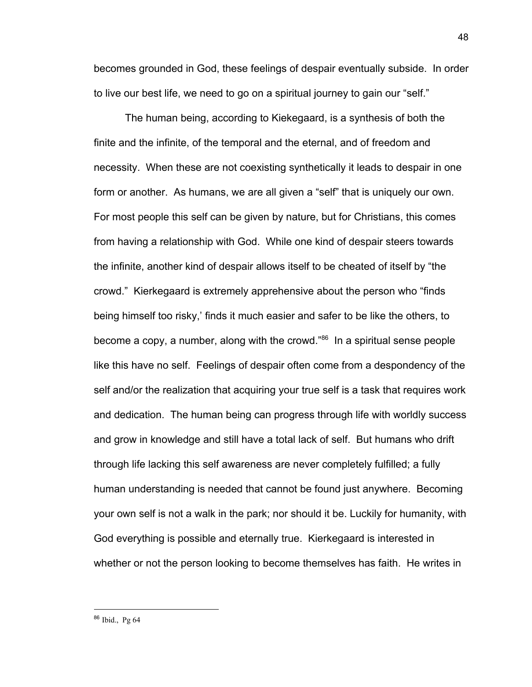becomes grounded in God, these feelings of despair eventually subside. In order to live our best life, we need to go on a spiritual journey to gain our "self."

The human being, according to Kiekegaard, is a synthesis of both the finite and the infinite, of the temporal and the eternal, and of freedom and necessity. When these are not coexisting synthetically it leads to despair in one form or another. As humans, we are all given a "self" that is uniquely our own. For most people this self can be given by nature, but for Christians, this comes from having a relationship with God. While one kind of despair steers towards the infinite, another kind of despair allows itself to be cheated of itself by "the crowd." Kierkegaard is extremely apprehensive about the person who "finds being himself too risky,' finds it much easier and safer to be like the others, to become a copy, a number, along with the crowd."<sup>86</sup> In a spiritual sense people like this have no self. Feelings of despair often come from a despondency of the self and/or the realization that acquiring your true self is a task that requires work and dedication. The human being can progress through life with worldly success and grow in knowledge and still have a total lack of self. But humans who drift through life lacking this self awareness are never completely fulfilled; a fully human understanding is needed that cannot be found just anywhere. Becoming your own self is not a walk in the park; nor should it be. Luckily for humanity, with God everything is possible and eternally true. Kierkegaard is interested in whether or not the person looking to become themselves has faith. He writes in

<sup>86</sup> Ibid., Pg 64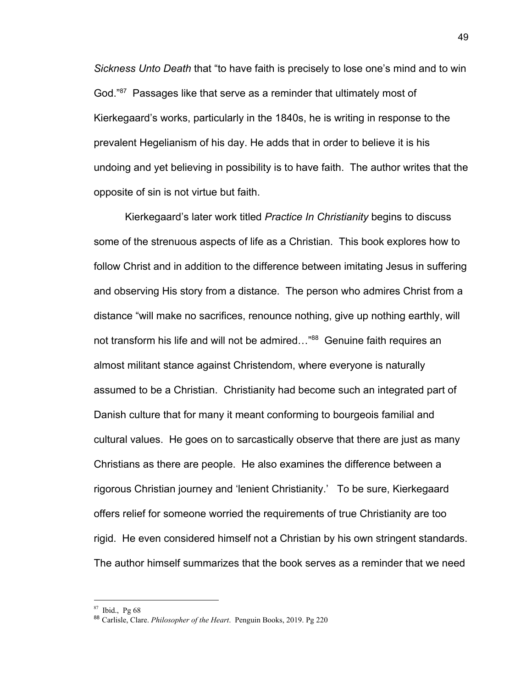*Sickness Unto Death* that "to have faith is precisely to lose one's mind and to win God."<sup>87</sup> Passages like that serve as a reminder that ultimately most of Kierkegaard's works, particularly in the 1840s, he is writing in response to the prevalent Hegelianism of his day. He adds that in order to believe it is his undoing and yet believing in possibility is to have faith. The author writes that the opposite of sin is not virtue but faith.

Kierkegaard's later work titled *Practice In Christianity* begins to discuss some of the strenuous aspects of life as a Christian. This book explores how to follow Christ and in addition to the difference between imitating Jesus in suffering and observing His story from a distance. The person who admires Christ from a distance "will make no sacrifices, renounce nothing, give up nothing earthly, will not transform his life and will not be admired..."<sup>88</sup> Genuine faith requires an almost militant stance against Christendom, where everyone is naturally assumed to be a Christian. Christianity had become such an integrated part of Danish culture that for many it meant conforming to bourgeois familial and cultural values. He goes on to sarcastically observe that there are just as many Christians as there are people. He also examines the difference between a rigorous Christian journey and 'lenient Christianity.' To be sure, Kierkegaard offers relief for someone worried the requirements of true Christianity are too rigid. He even considered himself not a Christian by his own stringent standards. The author himself summarizes that the book serves as a reminder that we need

<sup>87</sup> Ibid., Pg 68

<sup>88</sup> Carlisle, Clare. *Philosopher of the Heart*. Penguin Books, 2019. Pg 220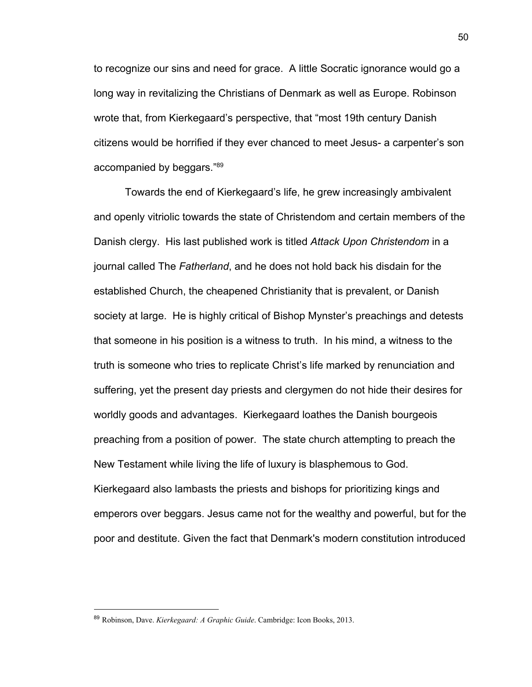to recognize our sins and need for grace. A little Socratic ignorance would go a long way in revitalizing the Christians of Denmark as well as Europe. Robinson wrote that, from Kierkegaard's perspective, that "most 19th century Danish citizens would be horrified if they ever chanced to meet Jesus- a carpenter's son accompanied by beggars."<sup>89</sup>

Towards the end of Kierkegaard's life, he grew increasingly ambivalent and openly vitriolic towards the state of Christendom and certain members of the Danish clergy. His last published work is titled *Attack Upon Christendom* in a journal called The *Fatherland*, and he does not hold back his disdain for the established Church, the cheapened Christianity that is prevalent, or Danish society at large. He is highly critical of Bishop Mynster's preachings and detests that someone in his position is a witness to truth. In his mind, a witness to the truth is someone who tries to replicate Christ's life marked by renunciation and suffering, yet the present day priests and clergymen do not hide their desires for worldly goods and advantages. Kierkegaard loathes the Danish bourgeois preaching from a position of power. The state church attempting to preach the New Testament while living the life of luxury is blasphemous to God. Kierkegaard also lambasts the priests and bishops for prioritizing kings and emperors over beggars. Jesus came not for the wealthy and powerful, but for the poor and destitute. Given the fact that Denmark's modern constitution introduced

<sup>89</sup> Robinson, Dave. *Kierkegaard: A Graphic Guide*. Cambridge: Icon Books, 2013.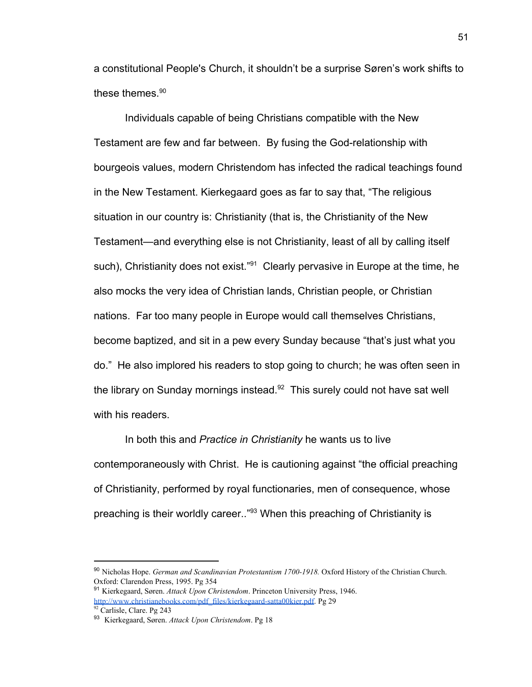a constitutional People's Church, it shouldn't be a surprise Søren's work shifts to these themes.<sup>90</sup>

Individuals capable of being Christians compatible with the New Testament are few and far between. By fusing the God-relationship with bourgeois values, modern Christendom has infected the radical teachings found in the New Testament. Kierkegaard goes as far to say that, "The religious situation in our country is: Christianity (that is, the Christianity of the New Testament—and everything else is not Christianity, least of all by calling itself such), Christianity does not exist."<sup>91</sup> Clearly pervasive in Europe at the time, he also mocks the very idea of Christian lands, Christian people, or Christian nations. Far too many people in Europe would call themselves Christians, become baptized, and sit in a pew every Sunday because "that's just what you do." He also implored his readers to stop going to church; he was often seen in the library on Sunday mornings instead. $92$  This surely could not have sat well with his readers.

In both this and *Practice in Christianity* he wants us to live contemporaneously with Christ. He is cautioning against "the official preaching of Christianity, performed by royal functionaries, men of consequence, whose preaching is their worldly career.."<sup>93</sup> When this preaching of Christianity is

<sup>90</sup> Nicholas Hope. *German and Scandinavian Protestantism 1700-1918.* Oxford History of the Christian Church. Oxford: Clarendon Press, 1995. Pg 354

<sup>91</sup> Kierkegaard, Søren. *Attack Upon Christendom*. Princeton University Press, 1946. [http://www.christianebooks.com/pdf\\_files/kierkegaard-satta00kier.pdf.](http://www.christianebooks.com/pdf_files/kierkegaard-satta00kier.pdf) Pg 29

<sup>92</sup> Carlisle, Clare. Pg 243

<sup>93</sup> Kierkegaard, Søren. *Attack Upon Christendom*. Pg 18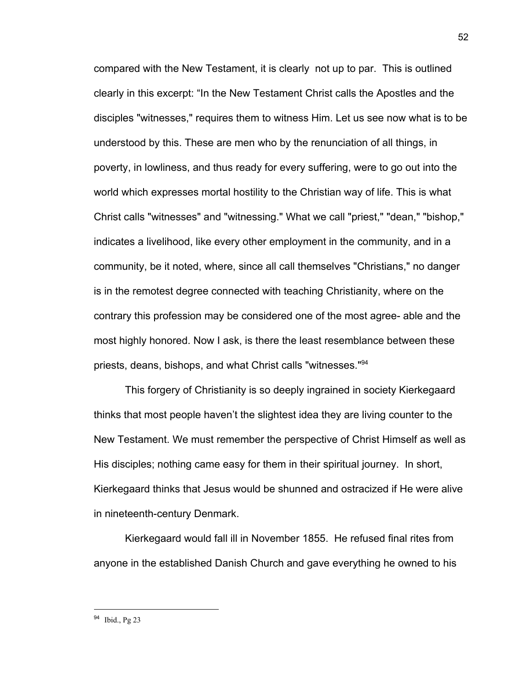compared with the New Testament, it is clearly not up to par. This is outlined clearly in this excerpt: "In the New Testament Christ calls the Apostles and the disciples "witnesses," requires them to witness Him. Let us see now what is to be understood by this. These are men who by the renunciation of all things, in poverty, in lowliness, and thus ready for every suffering, were to go out into the world which expresses mortal hostility to the Christian way of life. This is what Christ calls "witnesses" and "witnessing." What we call "priest," "dean," "bishop," indicates a livelihood, like every other employment in the community, and in a community, be it noted, where, since all call themselves "Christians," no danger is in the remotest degree connected with teaching Christianity, where on the contrary this profession may be considered one of the most agree- able and the most highly honored. Now I ask, is there the least resemblance between these priests, deans, bishops, and what Christ calls "witnesses."<sup>94</sup>

This forgery of Christianity is so deeply ingrained in society Kierkegaard thinks that most people haven't the slightest idea they are living counter to the New Testament. We must remember the perspective of Christ Himself as well as His disciples; nothing came easy for them in their spiritual journey. In short, Kierkegaard thinks that Jesus would be shunned and ostracized if He were alive in nineteenth-century Denmark.

Kierkegaard would fall ill in November 1855. He refused final rites from anyone in the established Danish Church and gave everything he owned to his

<sup>94</sup> Ibid., Pg 23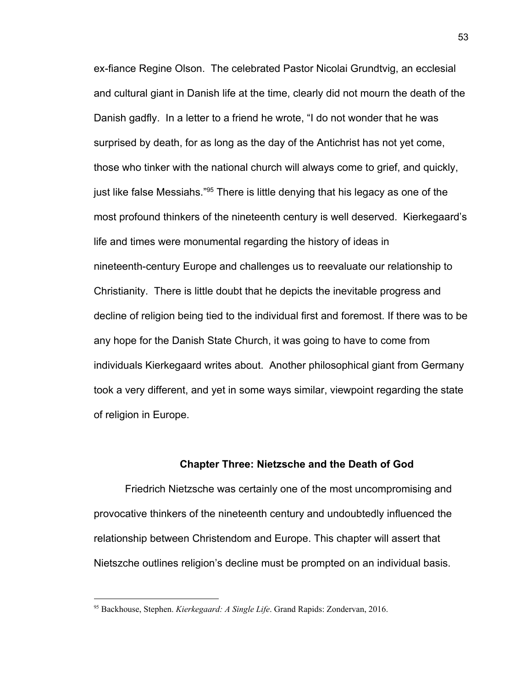ex-fiance Regine Olson. The celebrated Pastor Nicolai Grundtvig, an ecclesial and cultural giant in Danish life at the time, clearly did not mourn the death of the Danish gadfly. In a letter to a friend he wrote, "I do not wonder that he was surprised by death, for as long as the day of the Antichrist has not yet come, those who tinker with the national church will always come to grief, and quickly, just like false Messiahs." $95$  There is little denying that his legacy as one of the most profound thinkers of the nineteenth century is well deserved. Kierkegaard's life and times were monumental regarding the history of ideas in nineteenth-century Europe and challenges us to reevaluate our relationship to Christianity. There is little doubt that he depicts the inevitable progress and decline of religion being tied to the individual first and foremost. If there was to be any hope for the Danish State Church, it was going to have to come from individuals Kierkegaard writes about. Another philosophical giant from Germany took a very different, and yet in some ways similar, viewpoint regarding the state of religion in Europe.

## **Chapter Three: Nietzsche and the Death of God**

Friedrich Nietzsche was certainly one of the most uncompromising and provocative thinkers of the nineteenth century and undoubtedly influenced the relationship between Christendom and Europe. This chapter will assert that Nietszche outlines religion's decline must be prompted on an individual basis.

<sup>95</sup> Backhouse, Stephen. *Kierkegaard: A Single Life*. Grand Rapids: Zondervan, 2016.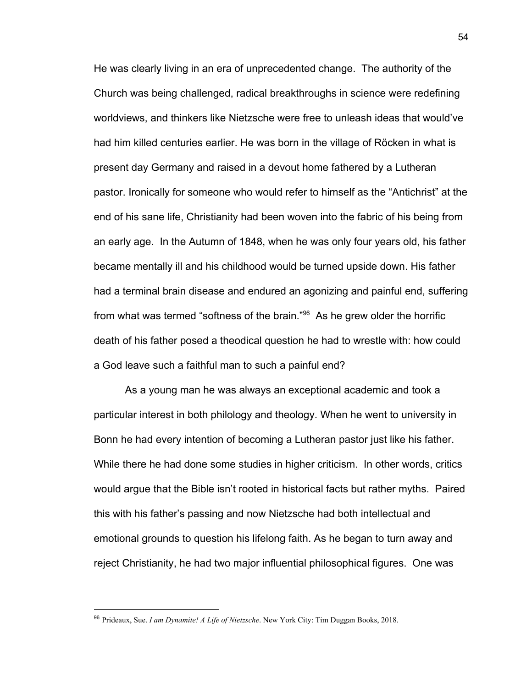He was clearly living in an era of unprecedented change. The authority of the Church was being challenged, radical breakthroughs in science were redefining worldviews, and thinkers like Nietzsche were free to unleash ideas that would've had him killed centuries earlier. He was born in the village of Röcken in what is present day Germany and raised in a devout home fathered by a Lutheran pastor. Ironically for someone who would refer to himself as the "Antichrist" at the end of his sane life, Christianity had been woven into the fabric of his being from an early age. In the Autumn of 1848, when he was only four years old, his father became mentally ill and his childhood would be turned upside down. His father had a terminal brain disease and endured an agonizing and painful end, suffering from what was termed "softness of the brain." $96$  As he grew older the horrific death of his father posed a theodical question he had to wrestle with: how could a God leave such a faithful man to such a painful end?

As a young man he was always an exceptional academic and took a particular interest in both philology and theology. When he went to university in Bonn he had every intention of becoming a Lutheran pastor just like his father. While there he had done some studies in higher criticism. In other words, critics would argue that the Bible isn't rooted in historical facts but rather myths. Paired this with his father's passing and now Nietzsche had both intellectual and emotional grounds to question his lifelong faith. As he began to turn away and reject Christianity, he had two major influential philosophical figures. One was

<sup>96</sup> Prideaux, Sue. *I am Dynamite! A Life of Nietzsche*. New York City: Tim Duggan Books, 2018.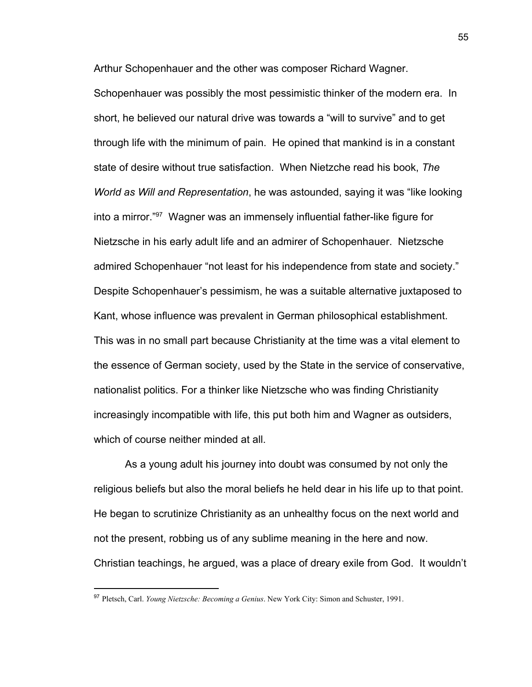Arthur Schopenhauer and the other was composer Richard Wagner.

Schopenhauer was possibly the most pessimistic thinker of the modern era. In short, he believed our natural drive was towards a "will to survive" and to get through life with the minimum of pain. He opined that mankind is in a constant state of desire without true satisfaction. When Nietzche read his book, *The World as Will and Representation*, he was astounded, saying it was "like looking into a mirror."<sup>97</sup> Wagner was an immensely influential father-like figure for Nietzsche in his early adult life and an admirer of Schopenhauer. Nietzsche admired Schopenhauer "not least for his independence from state and society." Despite Schopenhauer's pessimism, he was a suitable alternative juxtaposed to Kant, whose influence was prevalent in German philosophical establishment. This was in no small part because Christianity at the time was a vital element to the essence of German society, used by the State in the service of conservative, nationalist politics. For a thinker like Nietzsche who was finding Christianity increasingly incompatible with life, this put both him and Wagner as outsiders, which of course neither minded at all.

As a young adult his journey into doubt was consumed by not only the religious beliefs but also the moral beliefs he held dear in his life up to that point. He began to scrutinize Christianity as an unhealthy focus on the next world and not the present, robbing us of any sublime meaning in the here and now. Christian teachings, he argued, was a place of dreary exile from God. It wouldn't

<sup>97</sup> Pletsch, Carl. *Young Nietzsche: Becoming a Genius*. New York City: Simon and Schuster, 1991.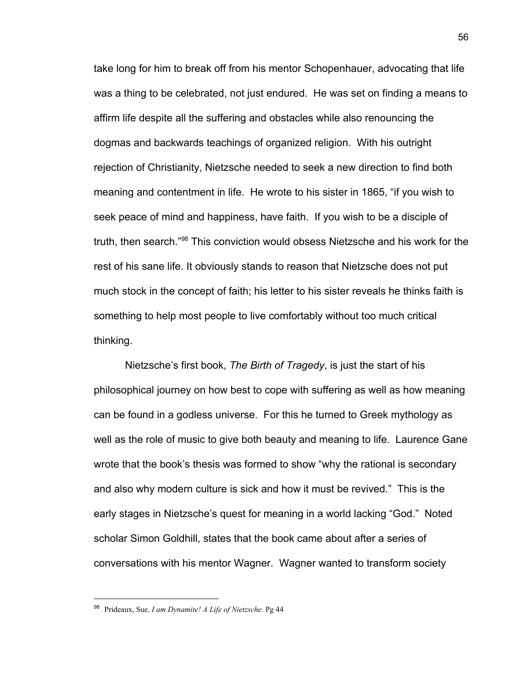take long for him to break off from his mentor Schopenhauer, advocating that life was a thing to be celebrated, not just endured. He was set on finding a means to affirm life despite all the suffering and obstacles while also renouncing the dogmas and backwards teachings of organized religion. With his outright rejection of Christianity, Nietzsche needed to seek a new direction to find both meaning and contentment in life. He wrote to his sister in 1865, "if you wish to seek peace of mind and happiness, have faith. If you wish to be a disciple of truth, then search."<sup>98</sup> This conviction would obsess Nietzsche and his work for the rest of his sane life. It obviously stands to reason that Nietzsche does not put much stock in the concept of faith; his letter to his sister reveals he thinks faith is something to help most people to live comfortably without too much critical thinking.

Nietzsche's first book, *The Birth of Tragedy*, is just the start of his philosophical journey on how best to cope with suffering as well as how meaning can be found in a godless universe. For this he turned to Greek mythology as well as the role of music to give both beauty and meaning to life. Laurence Gane wrote that the book's thesis was formed to show "why the rational is secondary and also why modern culture is sick and how it must be revived." This is the early stages in Nietzsche's quest for meaning in a world lacking "God." Noted scholar Simon Goldhill, states that the book came about after a series of conversations with his mentor Wagner. Wagner wanted to transform society

<sup>98</sup> Prideaux, Sue. *I am Dynamite! A Life of Nietzsche*. Pg 44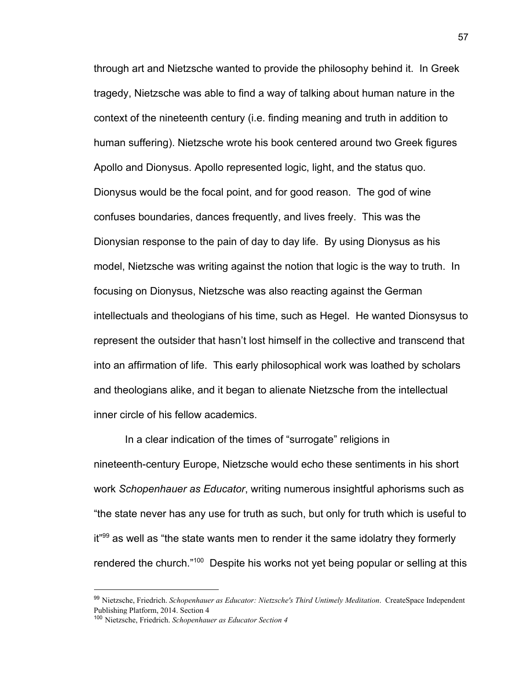through art and Nietzsche wanted to provide the philosophy behind it. In Greek tragedy, Nietzsche was able to find a way of talking about human nature in the context of the nineteenth century (i.e. finding meaning and truth in addition to human suffering). Nietzsche wrote his book centered around two Greek figures Apollo and Dionysus. Apollo represented logic, light, and the status quo. Dionysus would be the focal point, and for good reason. The god of wine confuses boundaries, dances frequently, and lives freely. This was the Dionysian response to the pain of day to day life. By using Dionysus as his model, Nietzsche was writing against the notion that logic is the way to truth. In focusing on Dionysus, Nietzsche was also reacting against the German intellectuals and theologians of his time, such as Hegel. He wanted Dionsysus to represent the outsider that hasn't lost himself in the collective and transcend that into an affirmation of life. This early philosophical work was loathed by scholars and theologians alike, and it began to alienate Nietzsche from the intellectual inner circle of his fellow academics.

In a clear indication of the times of "surrogate" religions in nineteenth-century Europe, Nietzsche would echo these sentiments in his short work *Schopenhauer as Educator*, writing numerous insightful aphorisms such as "the state never has any use for truth as such, but only for truth which is useful to  $it<sup>99</sup>$  as well as "the state wants men to render it the same idolatry they formerly rendered the church."<sup>100</sup> Despite his works not yet being popular or selling at this

<sup>99</sup> Nietzsche, Friedrich. *Schopenhauer as Educator: Nietzsche's Third Untimely Meditation*. CreateSpace Independent Publishing Platform, 2014. Section 4

<sup>100</sup> Nietzsche, Friedrich. *Schopenhauer as Educator Section 4*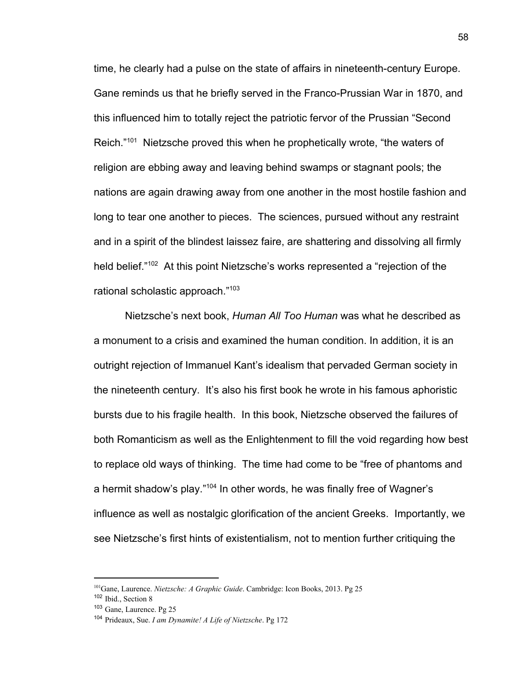time, he clearly had a pulse on the state of affairs in nineteenth-century Europe. Gane reminds us that he briefly served in the Franco-Prussian War in 1870, and this influenced him to totally reject the patriotic fervor of the Prussian "Second Reich. $101$  Nietzsche proved this when he prophetically wrote, "the waters of religion are ebbing away and leaving behind swamps or stagnant pools; the nations are again drawing away from one another in the most hostile fashion and long to tear one another to pieces. The sciences, pursued without any restraint and in a spirit of the blindest laissez faire, are shattering and dissolving all firmly held belief."<sup>102</sup> At this point Nietzsche's works represented a "rejection of the rational scholastic approach."<sup>103</sup>

Nietzsche's next book, *Human All Too Human* was what he described as a monument to a crisis and examined the human condition. In addition, it is an outright rejection of Immanuel Kant's idealism that pervaded German society in the nineteenth century. It's also his first book he wrote in his famous aphoristic bursts due to his fragile health. In this book, Nietzsche observed the failures of both Romanticism as well as the Enlightenment to fill the void regarding how best to replace old ways of thinking. The time had come to be "free of phantoms and a hermit shadow's play."<sup>104</sup> In other words, he was finally free of Wagner's influence as well as nostalgic glorification of the ancient Greeks. Importantly, we see Nietzsche's first hints of existentialism, not to mention further critiquing the

<sup>101</sup>Gane, Laurence. *Nietzsche: A Graphic Guide*. Cambridge: Icon Books, 2013. Pg 25

<sup>102</sup> Ibid., Section 8

<sup>103</sup> Gane, Laurence. Pg 25

<sup>104</sup> Prideaux, Sue. *I am Dynamite! A Life of Nietzsche*. Pg 172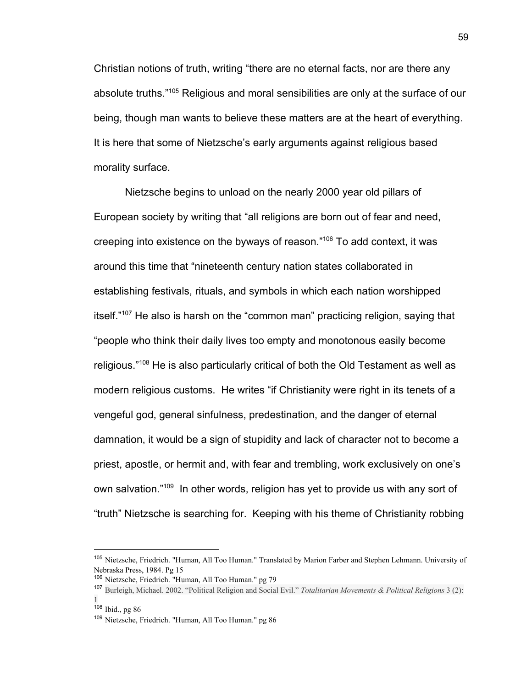Christian notions of truth, writing "there are no eternal facts, nor are there any absolute truths."<sup>105</sup> Religious and moral sensibilities are only at the surface of our being, though man wants to believe these matters are at the heart of everything. It is here that some of Nietzsche's early arguments against religious based morality surface.

Nietzsche begins to unload on the nearly 2000 year old pillars of European society by writing that "all religions are born out of fear and need, creeping into existence on the byways of reason." $106$  To add context, it was around this time that "nineteenth century nation states collaborated in establishing festivals, rituals, and symbols in which each nation worshipped itself. $107$  He also is harsh on the "common man" practicing religion, saying that "people who think their daily lives too empty and monotonous easily become religious." $108$  He is also particularly critical of both the Old Testament as well as modern religious customs. He writes "if Christianity were right in its tenets of a vengeful god, general sinfulness, predestination, and the danger of eternal damnation, it would be a sign of stupidity and lack of character not to become a priest, apostle, or hermit and, with fear and trembling, work exclusively on one's own salvation."<sup>109</sup> In other words, religion has yet to provide us with any sort of "truth" Nietzsche is searching for. Keeping with his theme of Christianity robbing

<sup>105</sup> Nietzsche, Friedrich. "Human, All Too Human." Translated by Marion Farber and Stephen Lehmann. University of Nebraska Press, 1984. Pg 15

<sup>106</sup> Nietzsche, Friedrich. "Human, All Too Human." pg 79

<sup>107</sup> Burleigh, Michael. 2002. "Political Religion and Social Evil." *Totalitarian Movements & Political Religions* 3 (2): 1

 $108$  Ibid., pg 86

<sup>109</sup> Nietzsche, Friedrich. "Human, All Too Human." pg 86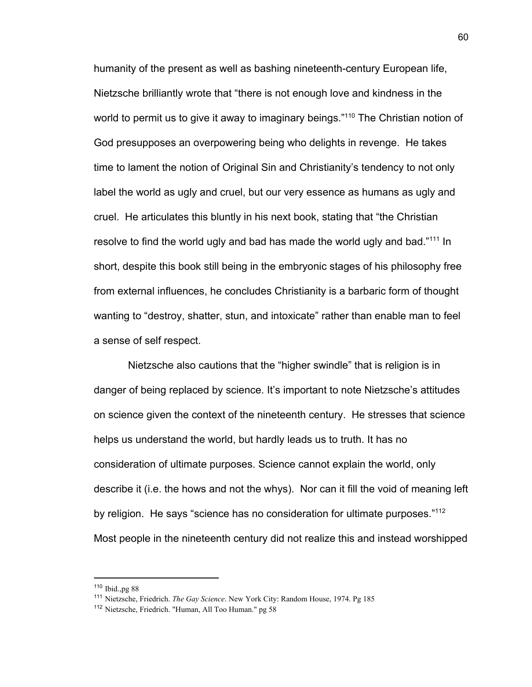humanity of the present as well as bashing nineteenth-century European life, Nietzsche brilliantly wrote that "there is not enough love and kindness in the world to permit us to give it away to imaginary beings."<sup>110</sup> The Christian notion of God presupposes an overpowering being who delights in revenge. He takes time to lament the notion of Original Sin and Christianity's tendency to not only label the world as ugly and cruel, but our very essence as humans as ugly and cruel. He articulates this bluntly in his next book, stating that "the Christian resolve to find the world ugly and bad has made the world ugly and bad. $1111$  In short, despite this book still being in the embryonic stages of his philosophy free from external influences, he concludes Christianity is a barbaric form of thought wanting to "destroy, shatter, stun, and intoxicate" rather than enable man to feel a sense of self respect.

 Nietzsche also cautions that the "higher swindle" that is religion is in danger of being replaced by science. It's important to note Nietzsche's attitudes on science given the context of the nineteenth century. He stresses that science helps us understand the world, but hardly leads us to truth. It has no consideration of ultimate purposes. Science cannot explain the world, only describe it (i.e. the hows and not the whys). Nor can it fill the void of meaning left by religion. He says "science has no consideration for ultimate purposes."<sup>112</sup> Most people in the nineteenth century did not realize this and instead worshipped

<sup>110</sup> Ibid.,pg 88

<sup>111</sup> Nietzsche, Friedrich. *The Gay Science*. New York City: Random House, 1974. Pg 185

<sup>112</sup> Nietzsche, Friedrich. "Human, All Too Human." pg 58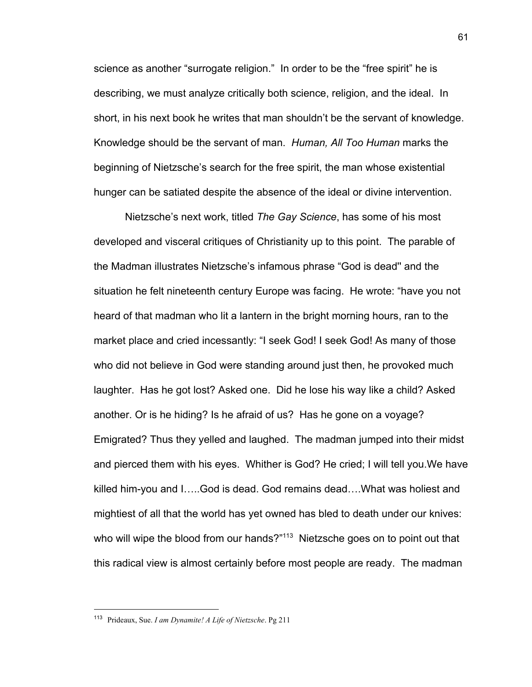science as another "surrogate religion." In order to be the "free spirit" he is describing, we must analyze critically both science, religion, and the ideal. In short, in his next book he writes that man shouldn't be the servant of knowledge. Knowledge should be the servant of man. *Human, All Too Human* marks the beginning of Nietzsche's search for the free spirit, the man whose existential hunger can be satiated despite the absence of the ideal or divine intervention.

Nietzsche's next work, titled *The Gay Science*, has some of his most developed and visceral critiques of Christianity up to this point. The parable of the Madman illustrates Nietzsche's infamous phrase "God is dead'' and the situation he felt nineteenth century Europe was facing. He wrote: "have you not heard of that madman who lit a lantern in the bright morning hours, ran to the market place and cried incessantly: "I seek God! I seek God! As many of those who did not believe in God were standing around just then, he provoked much laughter. Has he got lost? Asked one. Did he lose his way like a child? Asked another. Or is he hiding? Is he afraid of us? Has he gone on a voyage? Emigrated? Thus they yelled and laughed. The madman jumped into their midst and pierced them with his eyes. Whither is God? He cried; I will tell you.We have killed him-you and I…..God is dead. God remains dead….What was holiest and mightiest of all that the world has yet owned has bled to death under our knives: who will wipe the blood from our hands? $113$  Nietzsche goes on to point out that this radical view is almost certainly before most people are ready. The madman

<sup>113</sup> Prideaux, Sue. *I am Dynamite! A Life of Nietzsche*. Pg 211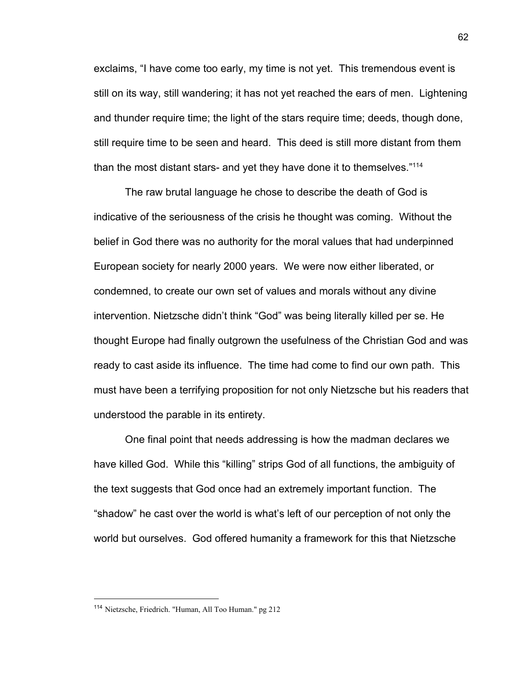exclaims, "I have come too early, my time is not yet. This tremendous event is still on its way, still wandering; it has not yet reached the ears of men. Lightening and thunder require time; the light of the stars require time; deeds, though done, still require time to be seen and heard. This deed is still more distant from them than the most distant stars- and yet they have done it to themselves."<sup>114</sup>

The raw brutal language he chose to describe the death of God is indicative of the seriousness of the crisis he thought was coming. Without the belief in God there was no authority for the moral values that had underpinned European society for nearly 2000 years. We were now either liberated, or condemned, to create our own set of values and morals without any divine intervention. Nietzsche didn't think "God" was being literally killed per se. He thought Europe had finally outgrown the usefulness of the Christian God and was ready to cast aside its influence. The time had come to find our own path. This must have been a terrifying proposition for not only Nietzsche but his readers that understood the parable in its entirety.

One final point that needs addressing is how the madman declares we have killed God. While this "killing" strips God of all functions, the ambiguity of the text suggests that God once had an extremely important function. The "shadow" he cast over the world is what's left of our perception of not only the world but ourselves. God offered humanity a framework for this that Nietzsche

<sup>114</sup> Nietzsche, Friedrich. "Human, All Too Human." pg 212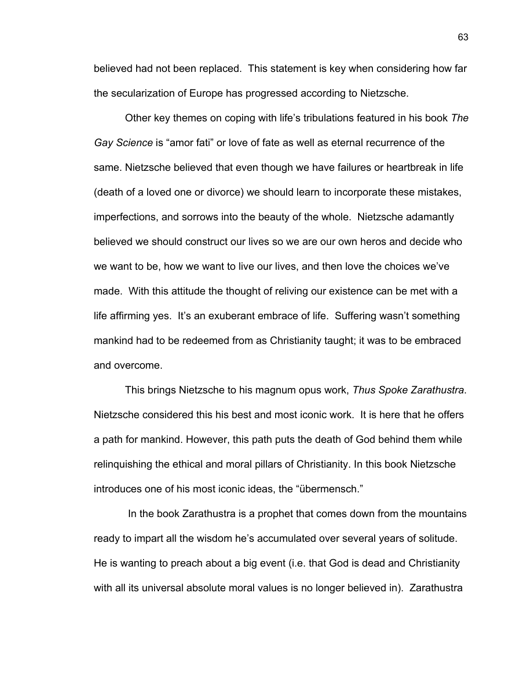believed had not been replaced. This statement is key when considering how far the secularization of Europe has progressed according to Nietzsche.

Other key themes on coping with life's tribulations featured in his book *The Gay Science* is "amor fati" or love of fate as well as eternal recurrence of the same. Nietzsche believed that even though we have failures or heartbreak in life (death of a loved one or divorce) we should learn to incorporate these mistakes, imperfections, and sorrows into the beauty of the whole. Nietzsche adamantly believed we should construct our lives so we are our own heros and decide who we want to be, how we want to live our lives, and then love the choices we've made. With this attitude the thought of reliving our existence can be met with a life affirming yes. It's an exuberant embrace of life. Suffering wasn't something mankind had to be redeemed from as Christianity taught; it was to be embraced and overcome.

This brings Nietzsche to his magnum opus work, *Thus Spoke Zarathustra*. Nietzsche considered this his best and most iconic work. It is here that he offers a path for mankind. However, this path puts the death of God behind them while relinquishing the ethical and moral pillars of Christianity. In this book Nietzsche introduces one of his most iconic ideas, the "übermensch."

 In the book Zarathustra is a prophet that comes down from the mountains ready to impart all the wisdom he's accumulated over several years of solitude. He is wanting to preach about a big event (i.e. that God is dead and Christianity with all its universal absolute moral values is no longer believed in). Zarathustra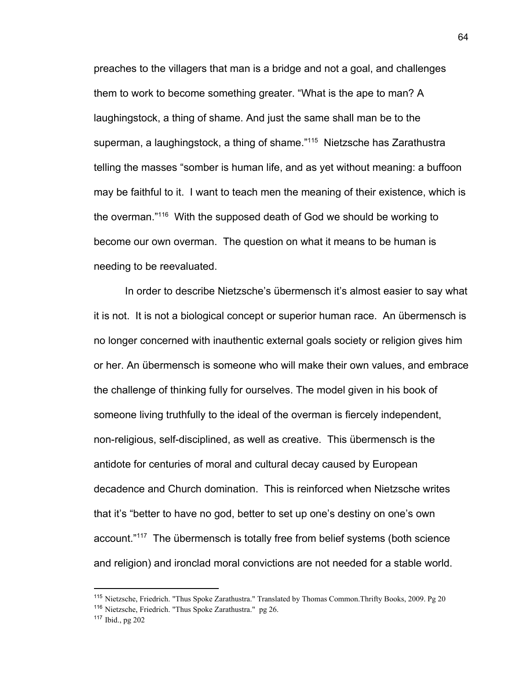preaches to the villagers that man is a bridge and not a goal, and challenges them to work to become something greater. "What is the ape to man? A laughingstock, a thing of shame. And just the same shall man be to the superman, a laughingstock, a thing of shame."<sup>115</sup> Nietzsche has Zarathustra telling the masses "somber is human life, and as yet without meaning: a buffoon may be faithful to it. I want to teach men the meaning of their existence, which is the overman. $116$  With the supposed death of God we should be working to become our own overman. The question on what it means to be human is needing to be reevaluated.

In order to describe Nietzsche's übermensch it's almost easier to say what it is not. It is not a biological concept or superior human race. An übermensch is no longer concerned with inauthentic external goals society or religion gives him or her. An übermensch is someone who will make their own values, and embrace the challenge of thinking fully for ourselves. The model given in his book of someone living truthfully to the ideal of the overman is fiercely independent, non-religious, self-disciplined, as well as creative. This übermensch is the antidote for centuries of moral and cultural decay caused by European decadence and Church domination. This is reinforced when Nietzsche writes that it's "better to have no god, better to set up one's destiny on one's own account."<sup>117</sup> The übermensch is totally free from belief systems (both science and religion) and ironclad moral convictions are not needed for a stable world.

<sup>&</sup>lt;sup>115</sup> Nietzsche, Friedrich. "Thus Spoke Zarathustra." Translated by Thomas Common.Thrifty Books, 2009. Pg 20

<sup>116</sup> Nietzsche, Friedrich. "Thus Spoke Zarathustra." pg 26.

<sup>117</sup> Ibid., pg 202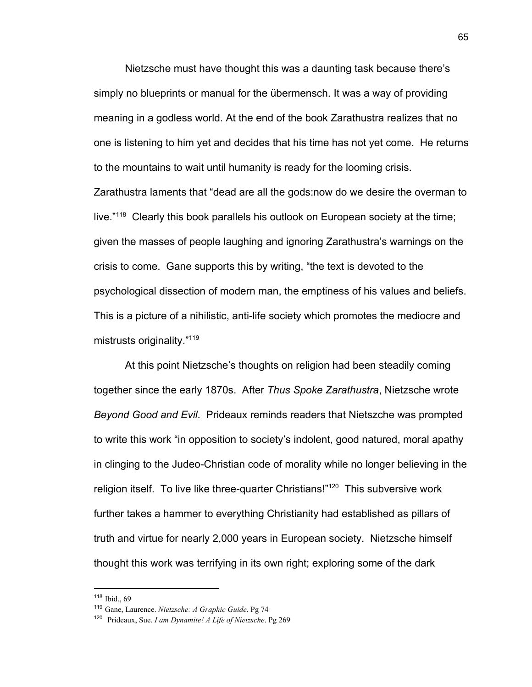Nietzsche must have thought this was a daunting task because there's simply no blueprints or manual for the übermensch. It was a way of providing meaning in a godless world. At the end of the book Zarathustra realizes that no one is listening to him yet and decides that his time has not yet come. He returns to the mountains to wait until humanity is ready for the looming crisis.

Zarathustra laments that "dead are all the gods:now do we desire the overman to live."<sup>118</sup> Clearly this book parallels his outlook on European society at the time; given the masses of people laughing and ignoring Zarathustra's warnings on the crisis to come. Gane supports this by writing, "the text is devoted to the psychological dissection of modern man, the emptiness of his values and beliefs. This is a picture of a nihilistic, anti-life society which promotes the mediocre and mistrusts originality."<sup>119</sup>

At this point Nietzsche's thoughts on religion had been steadily coming together since the early 1870s. After *Thus Spoke Zarathustra*, Nietzsche wrote *Beyond Good and Evil*. Prideaux reminds readers that Nietszche was prompted to write this work "in opposition to society's indolent, good natured, moral apathy in clinging to the Judeo-Christian code of morality while no longer believing in the religion itself. To live like three-quarter Christians!" $120$  This subversive work further takes a hammer to everything Christianity had established as pillars of truth and virtue for nearly 2,000 years in European society. Nietzsche himself thought this work was terrifying in its own right; exploring some of the dark

 $118$  Ibid. 69

<sup>119</sup> Gane, Laurence. *Nietzsche: A Graphic Guide*. Pg 74

<sup>120</sup> Prideaux, Sue. *I am Dynamite! A Life of Nietzsche*. Pg 269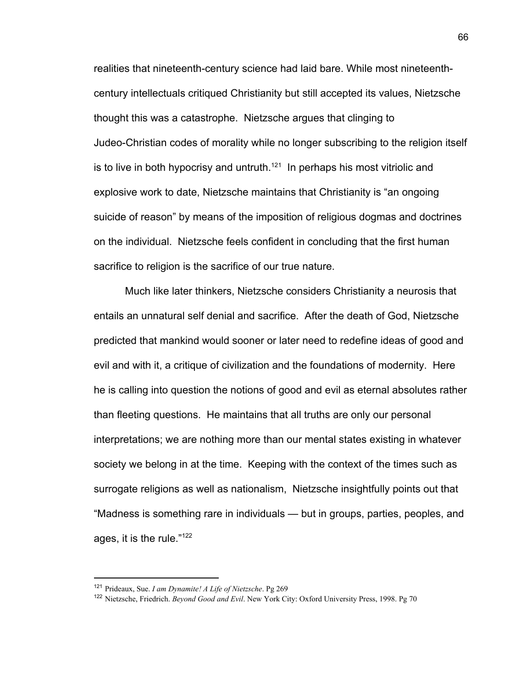realities that nineteenth-century science had laid bare. While most nineteenthcentury intellectuals critiqued Christianity but still accepted its values, Nietzsche thought this was a catastrophe. Nietzsche argues that clinging to Judeo-Christian codes of morality while no longer subscribing to the religion itself is to live in both hypocrisy and untruth.<sup>121</sup> In perhaps his most vitriolic and explosive work to date, Nietzsche maintains that Christianity is "an ongoing suicide of reason" by means of the imposition of religious dogmas and doctrines on the individual. Nietzsche feels confident in concluding that the first human sacrifice to religion is the sacrifice of our true nature.

Much like later thinkers, Nietzsche considers Christianity a neurosis that entails an unnatural self denial and sacrifice. After the death of God, Nietzsche predicted that mankind would sooner or later need to redefine ideas of good and evil and with it, a critique of civilization and the foundations of modernity. Here he is calling into question the notions of good and evil as eternal absolutes rather than fleeting questions. He maintains that all truths are only our personal interpretations; we are nothing more than our mental states existing in whatever society we belong in at the time. Keeping with the context of the times such as surrogate religions as well as nationalism, Nietzsche insightfully points out that "Madness is something rare in individuals — but in groups, parties, peoples, and ages, it is the rule."<sup>122</sup>

<sup>121</sup> Prideaux, Sue. *I am Dynamite! A Life of Nietzsche*. Pg 269

<sup>122</sup> Nietzsche, Friedrich. *Beyond Good and Evil*. New York City: Oxford University Press, 1998. Pg 70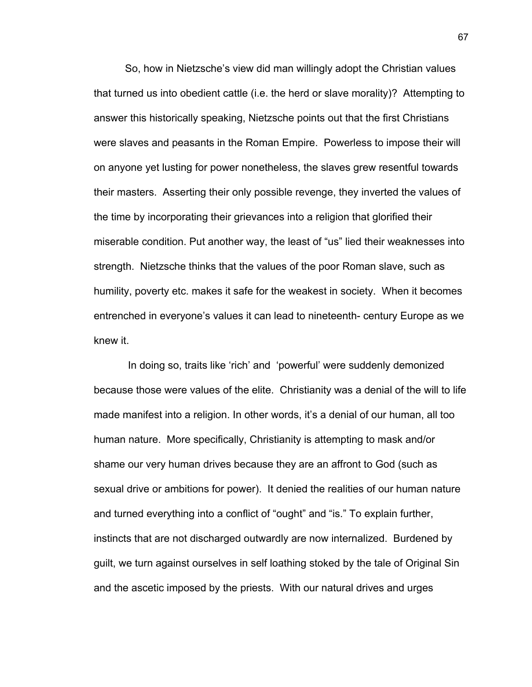So, how in Nietzsche's view did man willingly adopt the Christian values that turned us into obedient cattle (i.e. the herd or slave morality)? Attempting to answer this historically speaking, Nietzsche points out that the first Christians were slaves and peasants in the Roman Empire. Powerless to impose their will on anyone yet lusting for power nonetheless, the slaves grew resentful towards their masters. Asserting their only possible revenge, they inverted the values of the time by incorporating their grievances into a religion that glorified their miserable condition. Put another way, the least of "us" lied their weaknesses into strength. Nietzsche thinks that the values of the poor Roman slave, such as humility, poverty etc. makes it safe for the weakest in society. When it becomes entrenched in everyone's values it can lead to nineteenth- century Europe as we knew it.

 In doing so, traits like 'rich' and 'powerful' were suddenly demonized because those were values of the elite. Christianity was a denial of the will to life made manifest into a religion. In other words, it's a denial of our human, all too human nature. More specifically, Christianity is attempting to mask and/or shame our very human drives because they are an affront to God (such as sexual drive or ambitions for power). It denied the realities of our human nature and turned everything into a conflict of "ought" and "is." To explain further, instincts that are not discharged outwardly are now internalized. Burdened by guilt, we turn against ourselves in self loathing stoked by the tale of Original Sin and the ascetic imposed by the priests. With our natural drives and urges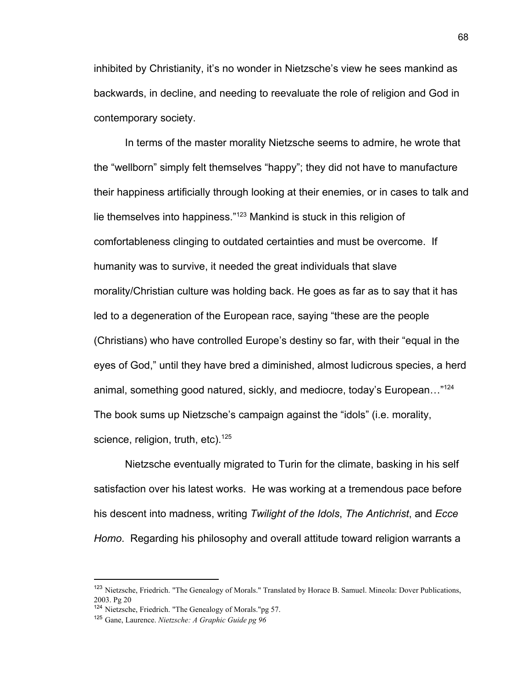inhibited by Christianity, it's no wonder in Nietzsche's view he sees mankind as backwards, in decline, and needing to reevaluate the role of religion and God in contemporary society.

In terms of the master morality Nietzsche seems to admire, he wrote that the "wellborn" simply felt themselves "happy"; they did not have to manufacture their happiness artificially through looking at their enemies, or in cases to talk and lie themselves into happiness." $123$  Mankind is stuck in this religion of comfortableness clinging to outdated certainties and must be overcome. If humanity was to survive, it needed the great individuals that slave morality/Christian culture was holding back. He goes as far as to say that it has led to a degeneration of the European race, saying "these are the people (Christians) who have controlled Europe's destiny so far, with their "equal in the eyes of God," until they have bred a diminished, almost ludicrous species, a herd animal, something good natured, sickly, and mediocre, today's European…"<sup>124</sup> The book sums up Nietzsche's campaign against the "idols" (i.e. morality, science, religion, truth, etc). $125$ 

Nietzsche eventually migrated to Turin for the climate, basking in his self satisfaction over his latest works. He was working at a tremendous pace before his descent into madness, writing *Twilight of the Idols*, *The Antichrist*, and *Ecce Homo*. Regarding his philosophy and overall attitude toward religion warrants a

<sup>&</sup>lt;sup>123</sup> Nietzsche, Friedrich. "The Genealogy of Morals." Translated by Horace B. Samuel. Mineola: Dover Publications, 2003. Pg 20

<sup>124</sup> Nietzsche, Friedrich. "The Genealogy of Morals."pg 57.

<sup>125</sup> Gane, Laurence. *Nietzsche: A Graphic Guide pg 96*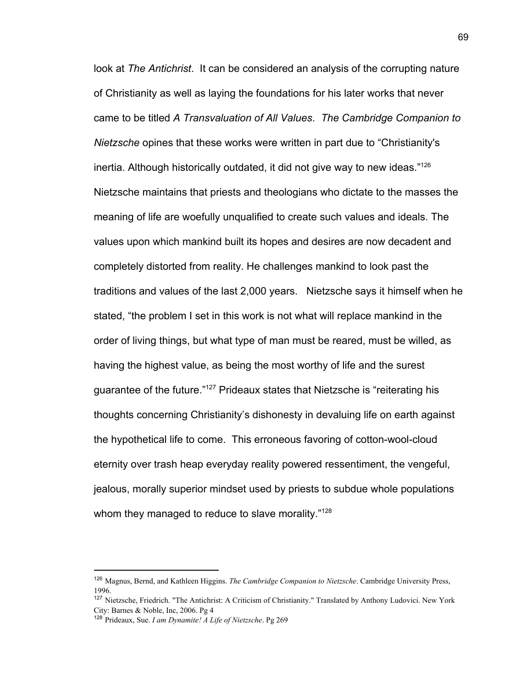look at *The Antichrist*. It can be considered an analysis of the corrupting nature of Christianity as well as laying the foundations for his later works that never came to be titled *A Transvaluation of All Values*. *The Cambridge Companion to Nietzsche* opines that these works were written in part due to "Christianity's inertia. Although historically outdated, it did not give way to new ideas."<sup>126</sup> Nietzsche maintains that priests and theologians who dictate to the masses the meaning of life are woefully unqualified to create such values and ideals. The values upon which mankind built its hopes and desires are now decadent and completely distorted from reality. He challenges mankind to look past the traditions and values of the last 2,000 years. Nietzsche says it himself when he stated, "the problem I set in this work is not what will replace mankind in the order of living things, but what type of man must be reared, must be willed, as having the highest value, as being the most worthy of life and the surest guarantee of the future."<sup>127</sup> Prideaux states that Nietzsche is "reiterating his thoughts concerning Christianity's dishonesty in devaluing life on earth against the hypothetical life to come. This erroneous favoring of cotton-wool-cloud eternity over trash heap everyday reality powered ressentiment, the vengeful, jealous, morally superior mindset used by priests to subdue whole populations whom they managed to reduce to slave morality."<sup>128</sup>

<sup>126</sup> Magnus, Bernd, and Kathleen Higgins. *The Cambridge Companion to Nietzsche*. Cambridge University Press, 1996.

<sup>127</sup> Nietzsche, Friedrich. "The Antichrist: A Criticism of Christianity." Translated by Anthony Ludovici. New York City: Barnes & Noble, Inc, 2006. Pg 4

<sup>128</sup> Prideaux, Sue. *I am Dynamite! A Life of Nietzsche*. Pg 269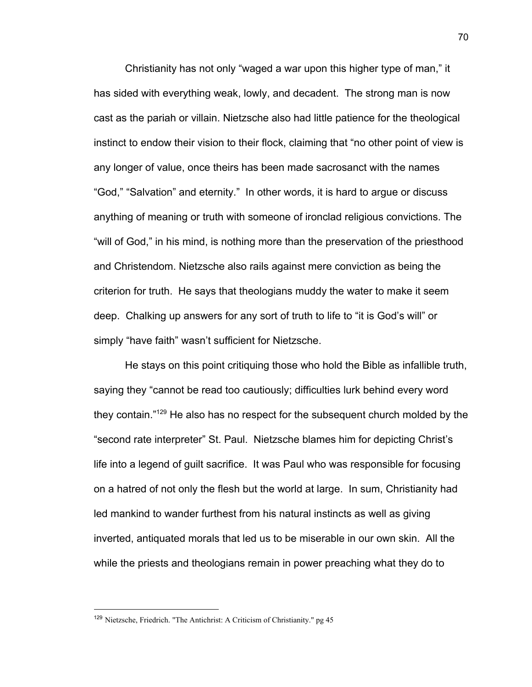Christianity has not only "waged a war upon this higher type of man," it has sided with everything weak, lowly, and decadent. The strong man is now cast as the pariah or villain. Nietzsche also had little patience for the theological instinct to endow their vision to their flock, claiming that "no other point of view is any longer of value, once theirs has been made sacrosanct with the names "God," "Salvation" and eternity." In other words, it is hard to argue or discuss anything of meaning or truth with someone of ironclad religious convictions. The "will of God," in his mind, is nothing more than the preservation of the priesthood and Christendom. Nietzsche also rails against mere conviction as being the criterion for truth. He says that theologians muddy the water to make it seem deep. Chalking up answers for any sort of truth to life to "it is God's will" or simply "have faith" wasn't sufficient for Nietzsche.

He stays on this point critiquing those who hold the Bible as infallible truth, saying they "cannot be read too cautiously; difficulties lurk behind every word they contain." $129$  He also has no respect for the subsequent church molded by the "second rate interpreter" St. Paul. Nietzsche blames him for depicting Christ's life into a legend of guilt sacrifice. It was Paul who was responsible for focusing on a hatred of not only the flesh but the world at large. In sum, Christianity had led mankind to wander furthest from his natural instincts as well as giving inverted, antiquated morals that led us to be miserable in our own skin. All the while the priests and theologians remain in power preaching what they do to

<sup>129</sup> Nietzsche, Friedrich. "The Antichrist: A Criticism of Christianity." pg 45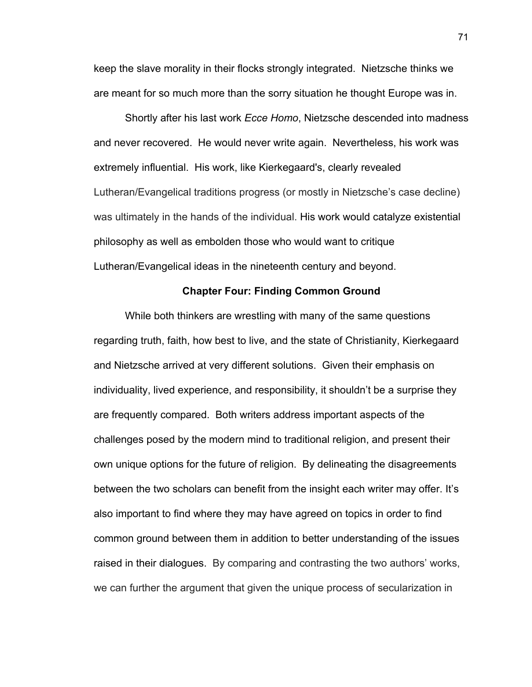keep the slave morality in their flocks strongly integrated. Nietzsche thinks we are meant for so much more than the sorry situation he thought Europe was in.

Shortly after his last work *Ecce Homo*, Nietzsche descended into madness and never recovered. He would never write again. Nevertheless, his work was extremely influential. His work, like Kierkegaard's, clearly revealed Lutheran/Evangelical traditions progress (or mostly in Nietzsche's case decline) was ultimately in the hands of the individual. His work would catalyze existential philosophy as well as embolden those who would want to critique Lutheran/Evangelical ideas in the nineteenth century and beyond.

## **Chapter Four: Finding Common Ground**

While both thinkers are wrestling with many of the same questions regarding truth, faith, how best to live, and the state of Christianity, Kierkegaard and Nietzsche arrived at very different solutions. Given their emphasis on individuality, lived experience, and responsibility, it shouldn't be a surprise they are frequently compared. Both writers address important aspects of the challenges posed by the modern mind to traditional religion, and present their own unique options for the future of religion. By delineating the disagreements between the two scholars can benefit from the insight each writer may offer. It's also important to find where they may have agreed on topics in order to find common ground between them in addition to better understanding of the issues raised in their dialogues. By comparing and contrasting the two authors' works, we can further the argument that given the unique process of secularization in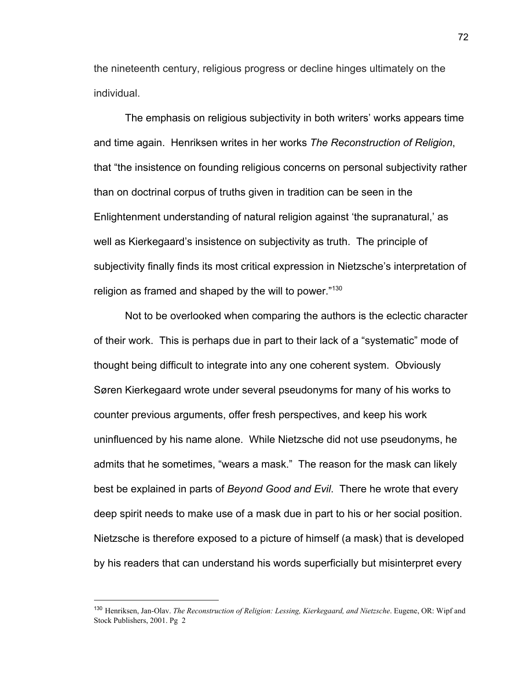the nineteenth century, religious progress or decline hinges ultimately on the individual.

The emphasis on religious subjectivity in both writers' works appears time and time again. Henriksen writes in her works *The Reconstruction of Religion*, that "the insistence on founding religious concerns on personal subjectivity rather than on doctrinal corpus of truths given in tradition can be seen in the Enlightenment understanding of natural religion against 'the supranatural,' as well as Kierkegaard's insistence on subjectivity as truth. The principle of subjectivity finally finds its most critical expression in Nietzsche's interpretation of religion as framed and shaped by the will to power."<sup>130</sup>

Not to be overlooked when comparing the authors is the eclectic character of their work. This is perhaps due in part to their lack of a "systematic" mode of thought being difficult to integrate into any one coherent system. Obviously Søren Kierkegaard wrote under several pseudonyms for many of his works to counter previous arguments, offer fresh perspectives, and keep his work uninfluenced by his name alone. While Nietzsche did not use pseudonyms, he admits that he sometimes, "wears a mask." The reason for the mask can likely best be explained in parts of *Beyond Good and Evil*. There he wrote that every deep spirit needs to make use of a mask due in part to his or her social position. Nietzsche is therefore exposed to a picture of himself (a mask) that is developed by his readers that can understand his words superficially but misinterpret every

<sup>130</sup> Henriksen, Jan-Olav. *The Reconstruction of Religion: Lessing, Kierkegaard, and Nietzsche*. Eugene, OR: Wipf and Stock Publishers, 2001. Pg 2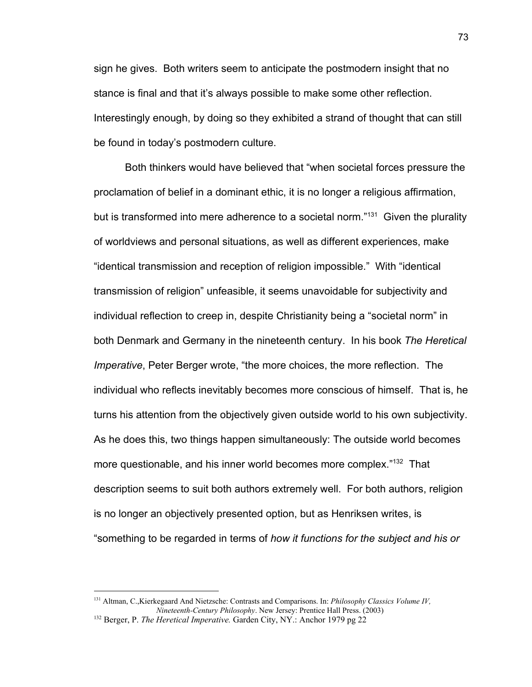sign he gives. Both writers seem to anticipate the postmodern insight that no stance is final and that it's always possible to make some other reflection. Interestingly enough, by doing so they exhibited a strand of thought that can still be found in today's postmodern culture.

Both thinkers would have believed that "when societal forces pressure the proclamation of belief in a dominant ethic, it is no longer a religious affirmation, but is transformed into mere adherence to a societal norm."<sup>131</sup> Given the plurality of worldviews and personal situations, as well as different experiences, make "identical transmission and reception of religion impossible." With "identical transmission of religion" unfeasible, it seems unavoidable for subjectivity and individual reflection to creep in, despite Christianity being a "societal norm" in both Denmark and Germany in the nineteenth century. In his book *The Heretical Imperative*, Peter Berger wrote, "the more choices, the more reflection. The individual who reflects inevitably becomes more conscious of himself. That is, he turns his attention from the objectively given outside world to his own subjectivity. As he does this, two things happen simultaneously: The outside world becomes more questionable, and his inner world becomes more complex."<sup>132</sup> That description seems to suit both authors extremely well. For both authors, religion is no longer an objectively presented option, but as Henriksen writes, is "something to be regarded in terms of *how it functions for the subject and his or*

<sup>131</sup> Altman, C.,Kierkegaard And Nietzsche: Contrasts and Comparisons. In: *Philosophy Classics Volume IV, Nineteenth-Century Philosophy*. New Jersey: Prentice Hall Press. (2003)

<sup>132</sup> Berger, P. *The Heretical Imperative.* Garden City, NY.: Anchor 1979 pg 22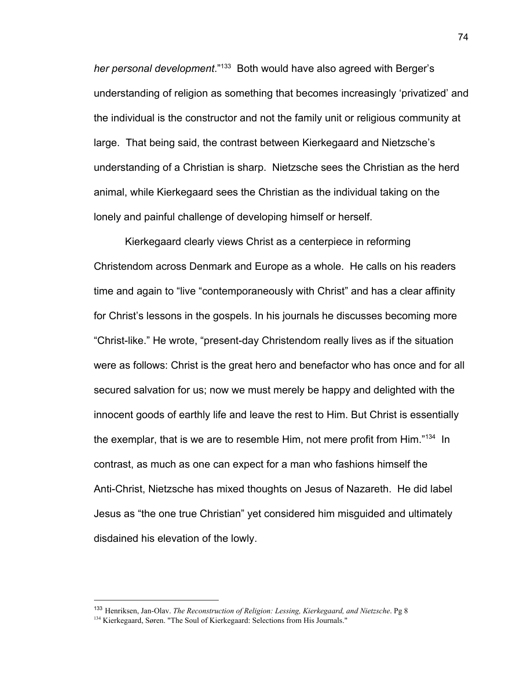*her personal development*."<sup>133</sup> Both would have also agreed with Berger's understanding of religion as something that becomes increasingly 'privatized' and the individual is the constructor and not the family unit or religious community at large. That being said, the contrast between Kierkegaard and Nietzsche's understanding of a Christian is sharp. Nietzsche sees the Christian as the herd animal, while Kierkegaard sees the Christian as the individual taking on the lonely and painful challenge of developing himself or herself.

Kierkegaard clearly views Christ as a centerpiece in reforming Christendom across Denmark and Europe as a whole. He calls on his readers time and again to "live "contemporaneously with Christ" and has a clear affinity for Christ's lessons in the gospels. In his journals he discusses becoming more "Christ-like." He wrote, "present-day Christendom really lives as if the situation were as follows: Christ is the great hero and benefactor who has once and for all secured salvation for us; now we must merely be happy and delighted with the innocent goods of earthly life and leave the rest to Him. But Christ is essentially the exemplar, that is we are to resemble Him, not mere profit from Him. $134$  In contrast, as much as one can expect for a man who fashions himself the Anti-Christ, Nietzsche has mixed thoughts on Jesus of Nazareth. He did label Jesus as "the one true Christian" yet considered him misguided and ultimately disdained his elevation of the lowly.

<sup>133</sup> Henriksen, Jan-Olav. *The Reconstruction of Religion: Lessing, Kierkegaard, and Nietzsche*. Pg 8

<sup>&</sup>lt;sup>134</sup> Kierkegaard, Søren. "The Soul of Kierkegaard: Selections from His Journals."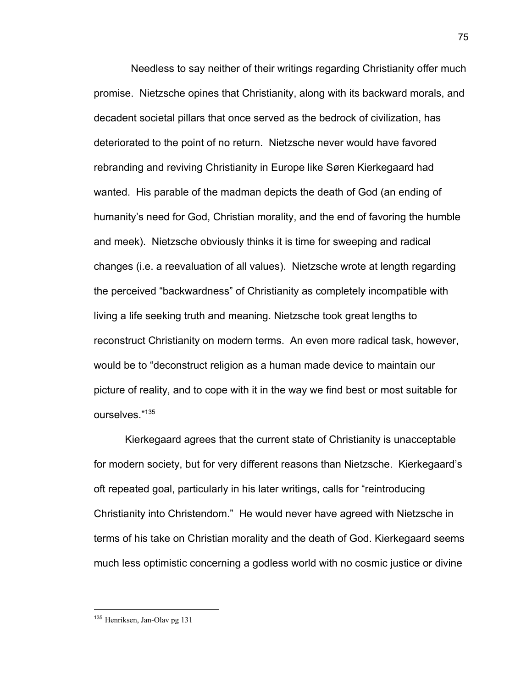Needless to say neither of their writings regarding Christianity offer much promise. Nietzsche opines that Christianity, along with its backward morals, and decadent societal pillars that once served as the bedrock of civilization, has deteriorated to the point of no return. Nietzsche never would have favored rebranding and reviving Christianity in Europe like Søren Kierkegaard had wanted. His parable of the madman depicts the death of God (an ending of humanity's need for God, Christian morality, and the end of favoring the humble and meek). Nietzsche obviously thinks it is time for sweeping and radical changes (i.e. a reevaluation of all values). Nietzsche wrote at length regarding the perceived "backwardness" of Christianity as completely incompatible with living a life seeking truth and meaning. Nietzsche took great lengths to reconstruct Christianity on modern terms. An even more radical task, however, would be to "deconstruct religion as a human made device to maintain our picture of reality, and to cope with it in the way we find best or most suitable for ourselves."<sup>135</sup>

Kierkegaard agrees that the current state of Christianity is unacceptable for modern society, but for very different reasons than Nietzsche. Kierkegaard's oft repeated goal, particularly in his later writings, calls for "reintroducing Christianity into Christendom." He would never have agreed with Nietzsche in terms of his take on Christian morality and the death of God. Kierkegaard seems much less optimistic concerning a godless world with no cosmic justice or divine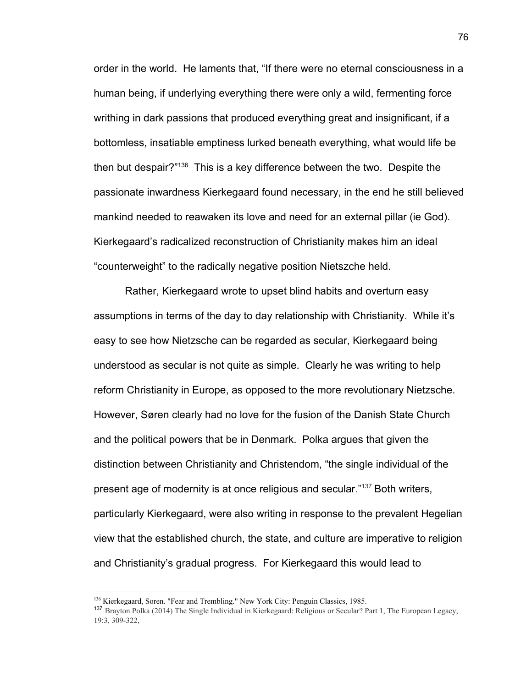order in the world. He laments that, "If there were no eternal consciousness in a human being, if underlying everything there were only a wild, fermenting force writhing in dark passions that produced everything great and insignificant, if a bottomless, insatiable emptiness lurked beneath everything, what would life be then but despair?"<sup>136</sup> This is a key difference between the two. Despite the passionate inwardness Kierkegaard found necessary, in the end he still believed mankind needed to reawaken its love and need for an external pillar (ie God). Kierkegaard's radicalized reconstruction of Christianity makes him an ideal "counterweight" to the radically negative position Nietszche held.

Rather, Kierkegaard wrote to upset blind habits and overturn easy assumptions in terms of the day to day relationship with Christianity. While it's easy to see how Nietzsche can be regarded as secular, Kierkegaard being understood as secular is not quite as simple. Clearly he was writing to help reform Christianity in Europe, as opposed to the more revolutionary Nietzsche. However, Søren clearly had no love for the fusion of the Danish State Church and the political powers that be in Denmark. Polka argues that given the distinction between Christianity and Christendom, "the single individual of the present age of modernity is at once religious and secular."<sup>137</sup> Both writers, particularly Kierkegaard, were also writing in response to the prevalent Hegelian view that the established church, the state, and culture are imperative to religion and Christianity's gradual progress. For Kierkegaard this would lead to

<sup>&</sup>lt;sup>136</sup> Kierkegaard, Soren. "Fear and Trembling." New York City: Penguin Classics, 1985.

<sup>137</sup> Brayton Polka (2014) The Single Individual in Kierkegaard: Religious or Secular? Part 1, The European Legacy, 19:3, 309-322,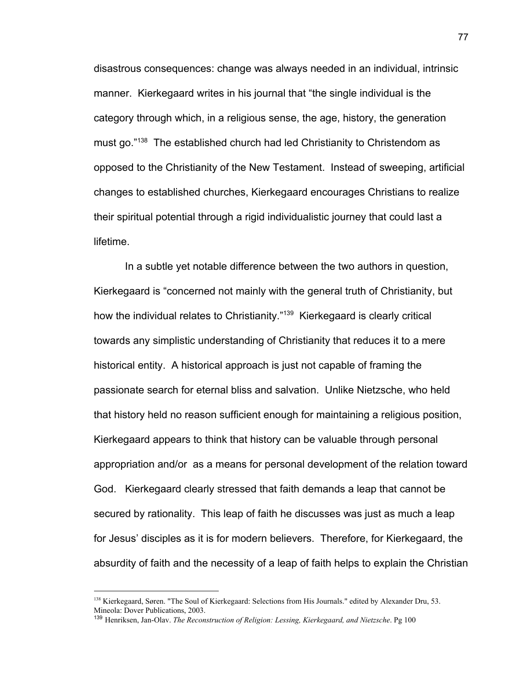disastrous consequences: change was always needed in an individual, intrinsic manner. Kierkegaard writes in his journal that "the single individual is the category through which, in a religious sense, the age, history, the generation must go."<sup>138</sup> The established church had led Christianity to Christendom as opposed to the Christianity of the New Testament. Instead of sweeping, artificial changes to established churches, Kierkegaard encourages Christians to realize their spiritual potential through a rigid individualistic journey that could last a lifetime.

In a subtle yet notable difference between the two authors in question, Kierkegaard is "concerned not mainly with the general truth of Christianity, but how the individual relates to Christianity."<sup>139</sup> Kierkegaard is clearly critical towards any simplistic understanding of Christianity that reduces it to a mere historical entity. A historical approach is just not capable of framing the passionate search for eternal bliss and salvation. Unlike Nietzsche, who held that history held no reason sufficient enough for maintaining a religious position, Kierkegaard appears to think that history can be valuable through personal appropriation and/or as a means for personal development of the relation toward God. Kierkegaard clearly stressed that faith demands a leap that cannot be secured by rationality. This leap of faith he discusses was just as much a leap for Jesus' disciples as it is for modern believers. Therefore, for Kierkegaard, the absurdity of faith and the necessity of a leap of faith helps to explain the Christian

<sup>&</sup>lt;sup>138</sup> Kierkegaard, Søren. "The Soul of Kierkegaard: Selections from His Journals." edited by Alexander Dru, 53. Mineola: Dover Publications, 2003.

<sup>139</sup> Henriksen, Jan-Olav. *The Reconstruction of Religion: Lessing, Kierkegaard, and Nietzsche*. Pg 100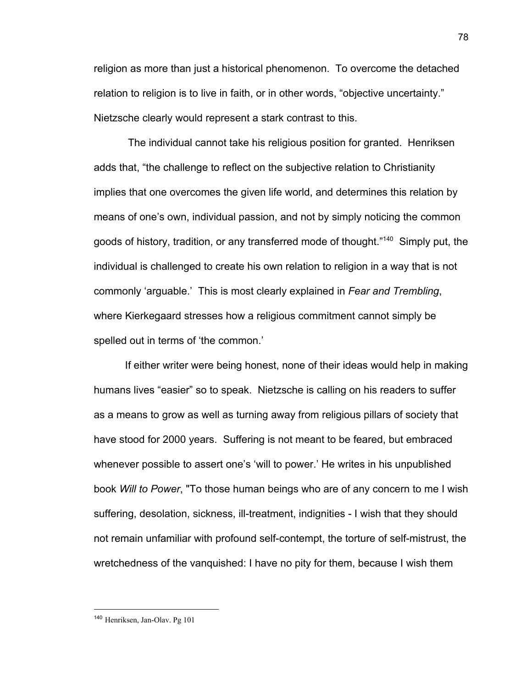religion as more than just a historical phenomenon. To overcome the detached relation to religion is to live in faith, or in other words, "objective uncertainty." Nietzsche clearly would represent a stark contrast to this.

 The individual cannot take his religious position for granted. Henriksen adds that, "the challenge to reflect on the subjective relation to Christianity implies that one overcomes the given life world, and determines this relation by means of one's own, individual passion, and not by simply noticing the common goods of history, tradition, or any transferred mode of thought."<sup>140</sup> Simply put, the individual is challenged to create his own relation to religion in a way that is not commonly 'arguable.' This is most clearly explained in *Fear and Trembling*, where Kierkegaard stresses how a religious commitment cannot simply be spelled out in terms of 'the common.'

If either writer were being honest, none of their ideas would help in making humans lives "easier" so to speak. Nietzsche is calling on his readers to suffer as a means to grow as well as turning away from religious pillars of society that have stood for 2000 years. Suffering is not meant to be feared, but embraced whenever possible to assert one's 'will to power.' He writes in his unpublished book *Will to Power*, "To those human beings who are of any concern to me I wish suffering, desolation, sickness, ill-treatment, indignities - I wish that they should not remain unfamiliar with profound self-contempt, the torture of self-mistrust, the wretchedness of the vanquished: I have no pity for them, because I wish them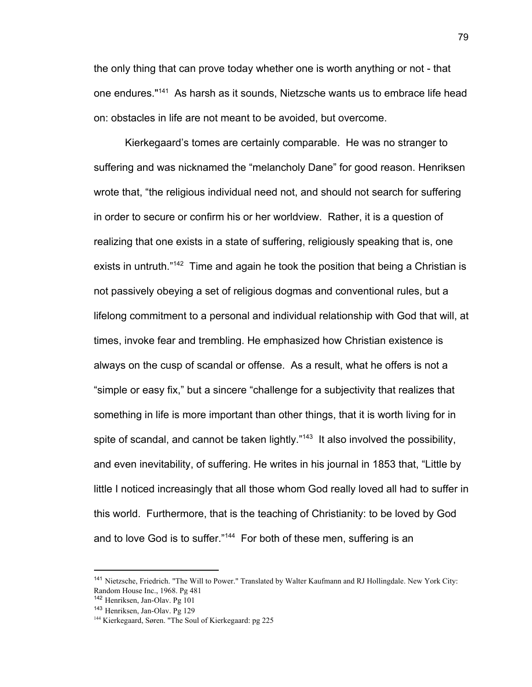the only thing that can prove today whether one is worth anything or not - that one endures."<sup>141</sup> As harsh as it sounds, Nietzsche wants us to embrace life head on: obstacles in life are not meant to be avoided, but overcome.

Kierkegaard's tomes are certainly comparable. He was no stranger to suffering and was nicknamed the "melancholy Dane" for good reason. Henriksen wrote that, "the religious individual need not, and should not search for suffering in order to secure or confirm his or her worldview. Rather, it is a question of realizing that one exists in a state of suffering, religiously speaking that is, one exists in untruth."<sup>142</sup> Time and again he took the position that being a Christian is not passively obeying a set of religious dogmas and conventional rules, but a lifelong commitment to a personal and individual relationship with God that will, at times, invoke fear and trembling. He emphasized how Christian existence is always on the cusp of scandal or offense. As a result, what he offers is not a "simple or easy fix," but a sincere "challenge for a subjectivity that realizes that something in life is more important than other things, that it is worth living for in spite of scandal, and cannot be taken lightly." $143$  It also involved the possibility, and even inevitability, of suffering. He writes in his journal in 1853 that, "Little by little I noticed increasingly that all those whom God really loved all had to suffer in this world. Furthermore, that is the teaching of Christianity: to be loved by God and to love God is to suffer." $144$  For both of these men, suffering is an

<sup>141</sup> Nietzsche, Friedrich. "The Will to Power." Translated by Walter Kaufmann and RJ Hollingdale. New York City: Random House Inc., 1968. Pg 481

<sup>142</sup> Henriksen, Jan-Olav. Pg 101

<sup>143</sup> Henriksen, Jan-Olav. Pg 129

<sup>&</sup>lt;sup>144</sup> Kierkegaard, Søren. "The Soul of Kierkegaard: pg 225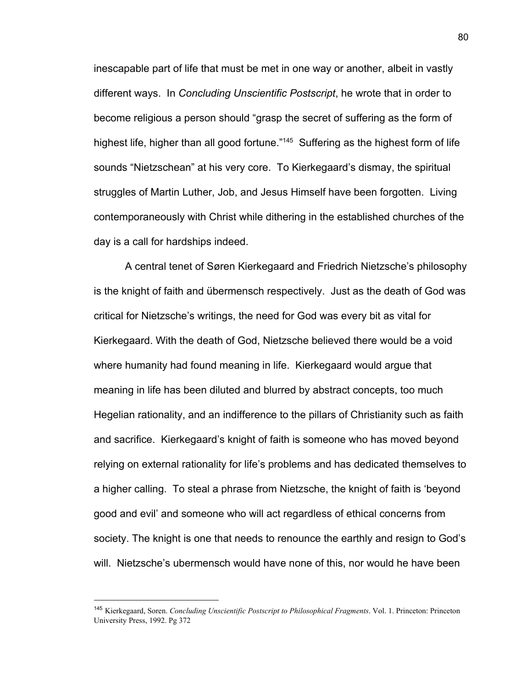inescapable part of life that must be met in one way or another, albeit in vastly different ways. In *Concluding Unscientific Postscript*, he wrote that in order to become religious a person should "grasp the secret of suffering as the form of highest life, higher than all good fortune."<sup>145</sup> Suffering as the highest form of life sounds "Nietzschean" at his very core. To Kierkegaard's dismay, the spiritual struggles of Martin Luther, Job, and Jesus Himself have been forgotten. Living contemporaneously with Christ while dithering in the established churches of the day is a call for hardships indeed.

A central tenet of Søren Kierkegaard and Friedrich Nietzsche's philosophy is the knight of faith and übermensch respectively. Just as the death of God was critical for Nietzsche's writings, the need for God was every bit as vital for Kierkegaard. With the death of God, Nietzsche believed there would be a void where humanity had found meaning in life. Kierkegaard would argue that meaning in life has been diluted and blurred by abstract concepts, too much Hegelian rationality, and an indifference to the pillars of Christianity such as faith and sacrifice. Kierkegaard's knight of faith is someone who has moved beyond relying on external rationality for life's problems and has dedicated themselves to a higher calling. To steal a phrase from Nietzsche, the knight of faith is 'beyond good and evil' and someone who will act regardless of ethical concerns from society. The knight is one that needs to renounce the earthly and resign to God's will. Nietzsche's ubermensch would have none of this, nor would he have been

<sup>145</sup> Kierkegaard, Soren. *Concluding Unscientific Postscript to Philosophical Fragments*. Vol. 1. Princeton: Princeton University Press, 1992. Pg 372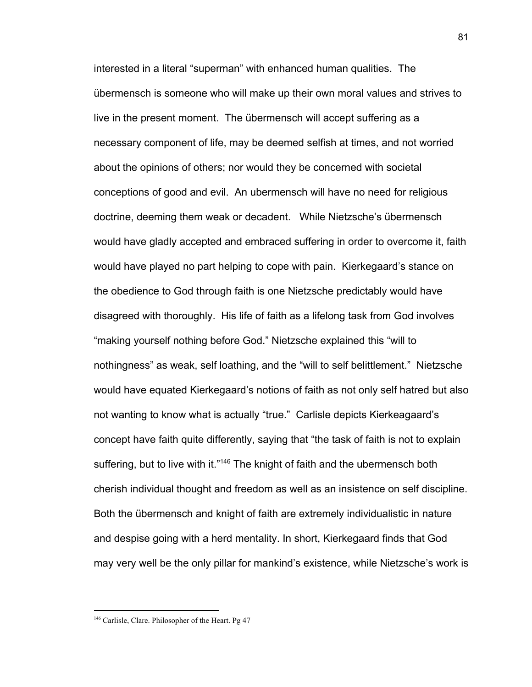interested in a literal "superman" with enhanced human qualities. The übermensch is someone who will make up their own moral values and strives to live in the present moment. The übermensch will accept suffering as a necessary component of life, may be deemed selfish at times, and not worried about the opinions of others; nor would they be concerned with societal conceptions of good and evil. An ubermensch will have no need for religious doctrine, deeming them weak or decadent. While Nietzsche's übermensch would have gladly accepted and embraced suffering in order to overcome it, faith would have played no part helping to cope with pain. Kierkegaard's stance on the obedience to God through faith is one Nietzsche predictably would have disagreed with thoroughly. His life of faith as a lifelong task from God involves "making yourself nothing before God." Nietzsche explained this "will to nothingness" as weak, self loathing, and the "will to self belittlement." Nietzsche would have equated Kierkegaard's notions of faith as not only self hatred but also not wanting to know what is actually "true." Carlisle depicts Kierkeagaard's concept have faith quite differently, saying that "the task of faith is not to explain suffering, but to live with it."<sup>146</sup> The knight of faith and the ubermensch both cherish individual thought and freedom as well as an insistence on self discipline. Both the übermensch and knight of faith are extremely individualistic in nature and despise going with a herd mentality. In short, Kierkegaard finds that God may very well be the only pillar for mankind's existence, while Nietzsche's work is

<sup>146</sup> Carlisle, Clare. Philosopher of the Heart. Pg 47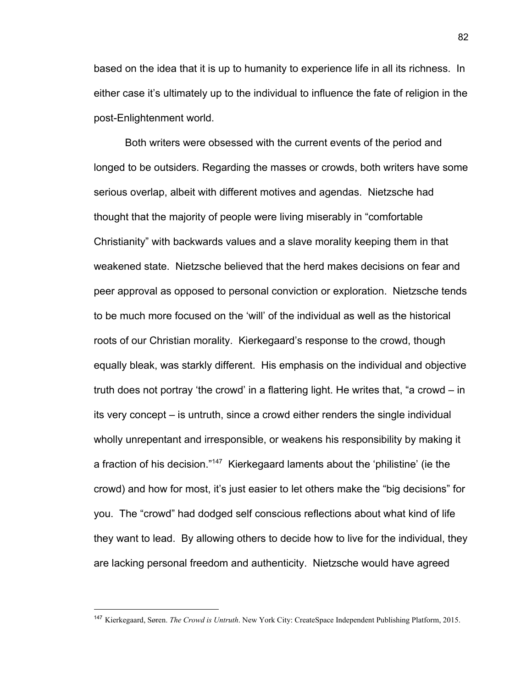based on the idea that it is up to humanity to experience life in all its richness. In either case it's ultimately up to the individual to influence the fate of religion in the post-Enlightenment world.

Both writers were obsessed with the current events of the period and longed to be outsiders. Regarding the masses or crowds, both writers have some serious overlap, albeit with different motives and agendas. Nietzsche had thought that the majority of people were living miserably in "comfortable Christianity" with backwards values and a slave morality keeping them in that weakened state. Nietzsche believed that the herd makes decisions on fear and peer approval as opposed to personal conviction or exploration. Nietzsche tends to be much more focused on the 'will' of the individual as well as the historical roots of our Christian morality. Kierkegaard's response to the crowd, though equally bleak, was starkly different. His emphasis on the individual and objective truth does not portray 'the crowd' in a flattering light. He writes that, "a crowd – in its very concept – is untruth, since a crowd either renders the single individual wholly unrepentant and irresponsible, or weakens his responsibility by making it a fraction of his decision."<sup>147</sup> Kierkegaard laments about the 'philistine' (ie the crowd) and how for most, it's just easier to let others make the "big decisions" for you. The "crowd" had dodged self conscious reflections about what kind of life they want to lead. By allowing others to decide how to live for the individual, they are lacking personal freedom and authenticity. Nietzsche would have agreed

<sup>147</sup> Kierkegaard, Søren. *The Crowd is Untruth*. New York City: CreateSpace Independent Publishing Platform, 2015.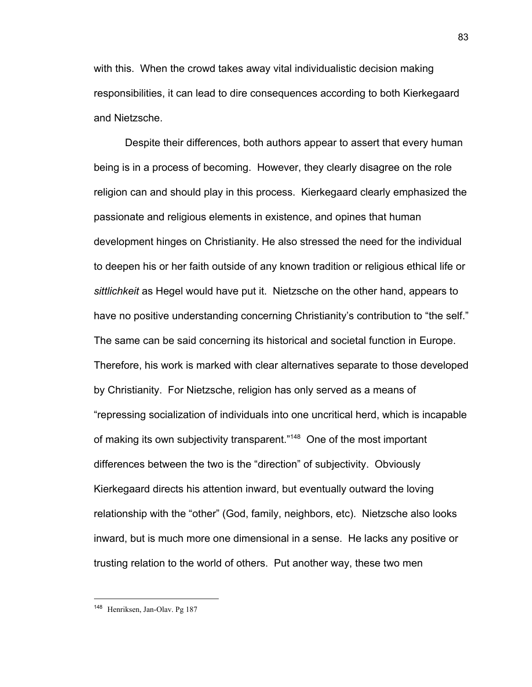with this. When the crowd takes away vital individualistic decision making responsibilities, it can lead to dire consequences according to both Kierkegaard and Nietzsche.

Despite their differences, both authors appear to assert that every human being is in a process of becoming. However, they clearly disagree on the role religion can and should play in this process. Kierkegaard clearly emphasized the passionate and religious elements in existence, and opines that human development hinges on Christianity. He also stressed the need for the individual to deepen his or her faith outside of any known tradition or religious ethical life or *sittlichkeit* as Hegel would have put it. Nietzsche on the other hand, appears to have no positive understanding concerning Christianity's contribution to "the self." The same can be said concerning its historical and societal function in Europe. Therefore, his work is marked with clear alternatives separate to those developed by Christianity. For Nietzsche, religion has only served as a means of "repressing socialization of individuals into one uncritical herd, which is incapable of making its own subjectivity transparent."<sup>148</sup> One of the most important differences between the two is the "direction" of subjectivity. Obviously Kierkegaard directs his attention inward, but eventually outward the loving relationship with the "other" (God, family, neighbors, etc). Nietzsche also looks inward, but is much more one dimensional in a sense. He lacks any positive or trusting relation to the world of others. Put another way, these two men

83

<sup>148</sup> Henriksen, Jan-Olav. Pg 187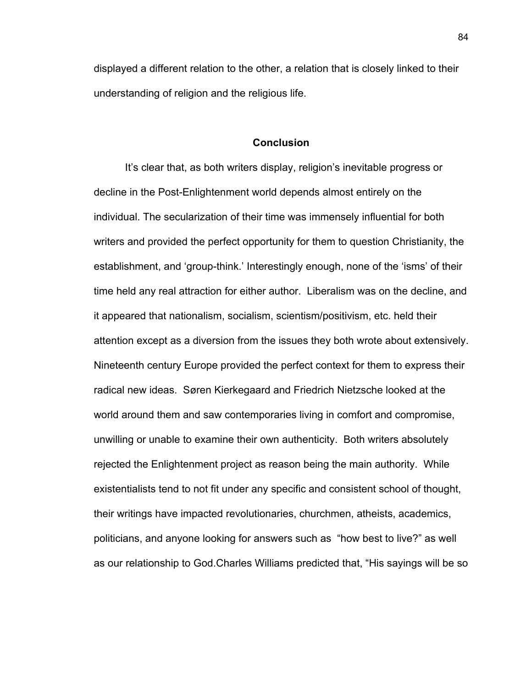displayed a different relation to the other, a relation that is closely linked to their understanding of religion and the religious life.

## **Conclusion**

It's clear that, as both writers display, religion's inevitable progress or decline in the Post-Enlightenment world depends almost entirely on the individual. The secularization of their time was immensely influential for both writers and provided the perfect opportunity for them to question Christianity, the establishment, and 'group-think.' Interestingly enough, none of the 'isms' of their time held any real attraction for either author. Liberalism was on the decline, and it appeared that nationalism, socialism, scientism/positivism, etc. held their attention except as a diversion from the issues they both wrote about extensively. Nineteenth century Europe provided the perfect context for them to express their radical new ideas. Søren Kierkegaard and Friedrich Nietzsche looked at the world around them and saw contemporaries living in comfort and compromise, unwilling or unable to examine their own authenticity. Both writers absolutely rejected the Enlightenment project as reason being the main authority. While existentialists tend to not fit under any specific and consistent school of thought, their writings have impacted revolutionaries, churchmen, atheists, academics, politicians, and anyone looking for answers such as "how best to live?" as well as our relationship to God.Charles Williams predicted that, "His sayings will be so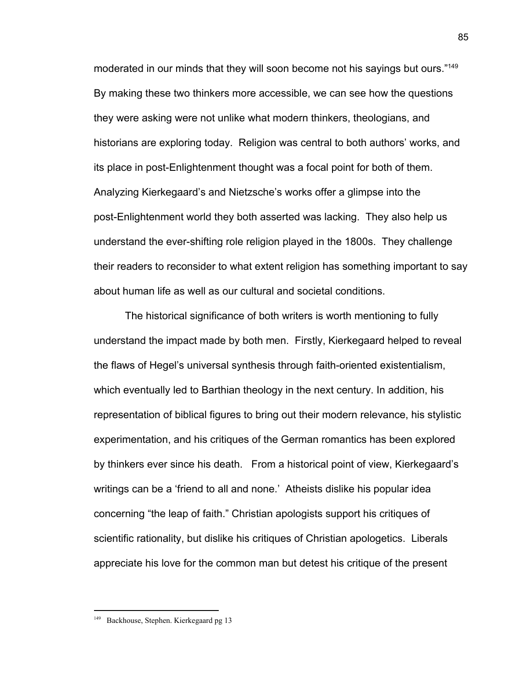moderated in our minds that they will soon become not his sayings but ours."<sup>149</sup> By making these two thinkers more accessible, we can see how the questions they were asking were not unlike what modern thinkers, theologians, and historians are exploring today. Religion was central to both authors' works, and its place in post-Enlightenment thought was a focal point for both of them. Analyzing Kierkegaard's and Nietzsche's works offer a glimpse into the post-Enlightenment world they both asserted was lacking. They also help us understand the ever-shifting role religion played in the 1800s. They challenge their readers to reconsider to what extent religion has something important to say about human life as well as our cultural and societal conditions.

The historical significance of both writers is worth mentioning to fully understand the impact made by both men. Firstly, Kierkegaard helped to reveal the flaws of Hegel's universal synthesis through faith-oriented existentialism, which eventually led to Barthian theology in the next century. In addition, his representation of biblical figures to bring out their modern relevance, his stylistic experimentation, and his critiques of the German romantics has been explored by thinkers ever since his death. From a historical point of view, Kierkegaard's writings can be a 'friend to all and none.' Atheists dislike his popular idea concerning "the leap of faith." Christian apologists support his critiques of scientific rationality, but dislike his critiques of Christian apologetics. Liberals appreciate his love for the common man but detest his critique of the present

<sup>&</sup>lt;sup>149</sup> Backhouse, Stephen. Kierkegaard pg 13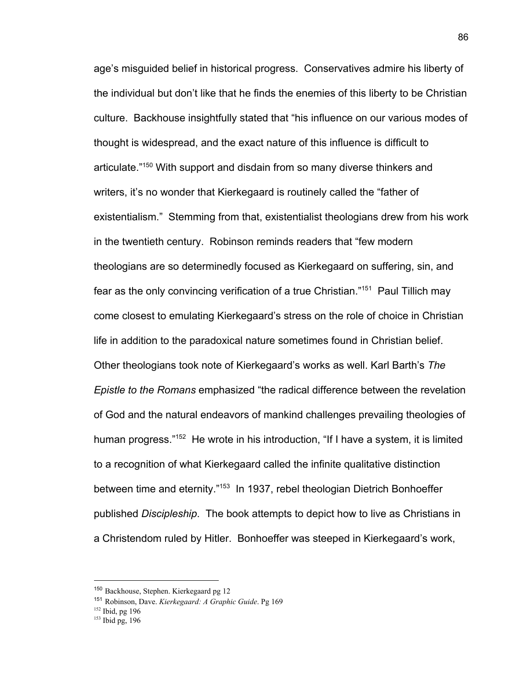age's misguided belief in historical progress. Conservatives admire his liberty of the individual but don't like that he finds the enemies of this liberty to be Christian culture. Backhouse insightfully stated that "his influence on our various modes of thought is widespread, and the exact nature of this influence is difficult to articulate."<sup>150</sup> With support and disdain from so many diverse thinkers and writers, it's no wonder that Kierkegaard is routinely called the "father of existentialism." Stemming from that, existentialist theologians drew from his work in the twentieth century. Robinson reminds readers that "few modern theologians are so determinedly focused as Kierkegaard on suffering, sin, and fear as the only convincing verification of a true Christian."<sup>151</sup> Paul Tillich may come closest to emulating Kierkegaard's stress on the role of choice in Christian life in addition to the paradoxical nature sometimes found in Christian belief. Other theologians took note of Kierkegaard's works as well. Karl Barth's *The Epistle to the Romans* emphasized "the radical difference between the revelation of God and the natural endeavors of mankind challenges prevailing theologies of human progress. $152$  He wrote in his introduction, "If I have a system, it is limited to a recognition of what Kierkegaard called the infinite qualitative distinction between time and eternity." $153$  In 1937, rebel theologian Dietrich Bonhoeffer published *Discipleship*. The book attempts to depict how to live as Christians in a Christendom ruled by Hitler. Bonhoeffer was steeped in Kierkegaard's work,

<sup>150</sup> Backhouse, Stephen. Kierkegaard pg 12

<sup>151</sup> Robinson, Dave. *Kierkegaard: A Graphic Guide*. Pg 169

 $152$  Ibid, pg 196

<sup>153</sup> Ibid pg, 196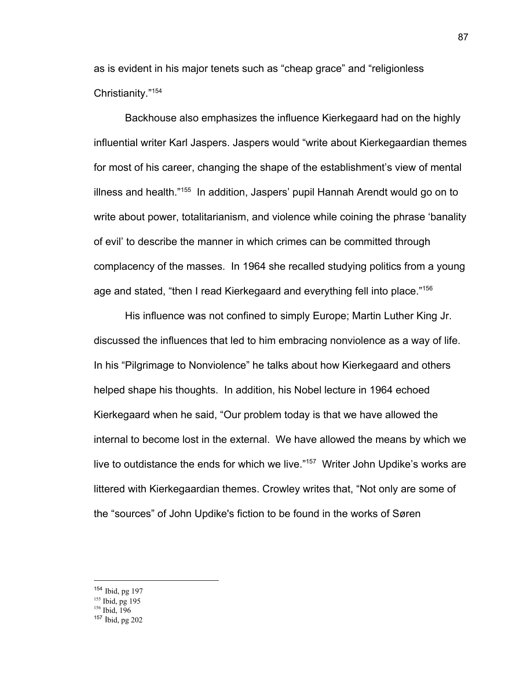as is evident in his major tenets such as "cheap grace" and "religionless Christianity."<sup>154</sup>

Backhouse also emphasizes the influence Kierkegaard had on the highly influential writer Karl Jaspers. Jaspers would "write about Kierkegaardian themes for most of his career, changing the shape of the establishment's view of mental illness and health. $155$  In addition, Jaspers' pupil Hannah Arendt would go on to write about power, totalitarianism, and violence while coining the phrase 'banality of evil' to describe the manner in which crimes can be committed through complacency of the masses. In 1964 she recalled studying politics from a young age and stated, "then I read Kierkegaard and everything fell into place."<sup>156</sup>

His influence was not confined to simply Europe; Martin Luther King Jr. discussed the influences that led to him embracing nonviolence as a way of life. In his "Pilgrimage to Nonviolence" he talks about how Kierkegaard and others helped shape his thoughts. In addition, his Nobel lecture in 1964 echoed Kierkegaard when he said, "Our problem today is that we have allowed the internal to become lost in the external. We have allowed the means by which we live to outdistance the ends for which we live."<sup>157</sup> Writer John Updike's works are littered with Kierkegaardian themes. Crowley writes that, "Not only are some of the "sources" of John Updike's fiction to be found in the works of Søren

<sup>154</sup> Ibid, pg 197

<sup>&</sup>lt;sup>155</sup> Ibid, pg 195<br><sup>156</sup> Ibid, 196

<sup>157</sup> Ibid, pg 202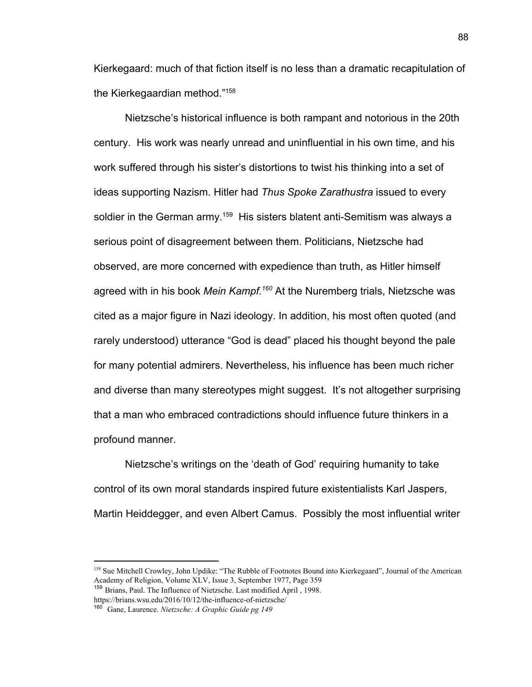Kierkegaard: much of that fiction itself is no less than a dramatic recapitulation of the Kierkegaardian method."<sup>158</sup>

Nietzsche's historical influence is both rampant and notorious in the 20th century. His work was nearly unread and uninfluential in his own time, and his work suffered through his sister's distortions to twist his thinking into a set of ideas supporting Nazism. Hitler had *Thus Spoke Zarathustra* issued to every soldier in the German army.<sup>159</sup> His sisters blatent anti-Semitism was always a serious point of disagreement between them. Politicians, Nietzsche had observed, are more concerned with expedience than truth, as Hitler himself agreed with in his book *Mein Kampf.<sup>160</sup>* At the Nuremberg trials, Nietzsche was cited as a major figure in Nazi ideology. In addition, his most often quoted (and rarely understood) utterance "God is dead" placed his thought beyond the pale for many potential admirers. Nevertheless, his influence has been much richer and diverse than many stereotypes might suggest. It's not altogether surprising that a man who embraced contradictions should influence future thinkers in a profound manner.

Nietzsche's writings on the 'death of God' requiring humanity to take control of its own moral standards inspired future existentialists Karl Jaspers, Martin Heiddegger, and even Albert Camus. Possibly the most influential writer

<sup>&</sup>lt;sup>158</sup> Sue Mitchell Crowley, John Updike: "The Rubble of Footnotes Bound into Kierkegaard", Journal of the American Academy of Religion, Volume XLV, Issue 3, September 1977, Page 359

<sup>159</sup> Brians, Paul. The Influence of Nietzsche. Last modified April , 1998. https://brians.wsu.edu/2016/10/12/the-influence-of-nietzsche/

<sup>160</sup> Gane, Laurence. *Nietzsche: A Graphic Guide pg 149*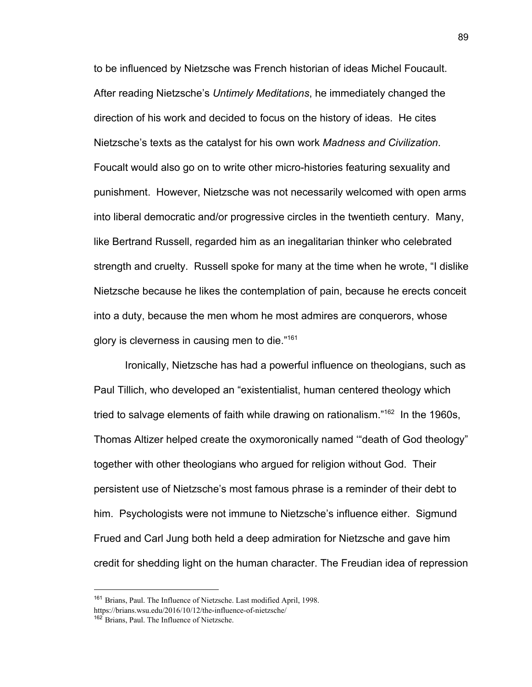to be influenced by Nietzsche was French historian of ideas Michel Foucault. After reading Nietzsche's *Untimely Meditations*, he immediately changed the direction of his work and decided to focus on the history of ideas. He cites Nietzsche's texts as the catalyst for his own work *Madness and Civilization*. Foucalt would also go on to write other micro-histories featuring sexuality and punishment. However, Nietzsche was not necessarily welcomed with open arms into liberal democratic and/or progressive circles in the twentieth century. Many, like Bertrand Russell, regarded him as an inegalitarian thinker who celebrated strength and cruelty. Russell spoke for many at the time when he wrote, "I dislike Nietzsche because he likes the contemplation of pain, because he erects conceit into a duty, because the men whom he most admires are conquerors, whose glory is cleverness in causing men to die."<sup>161</sup>

Ironically, Nietzsche has had a powerful influence on theologians, such as Paul Tillich, who developed an "existentialist, human centered theology which tried to salvage elements of faith while drawing on rationalism." $162$  In the 1960s, Thomas Altizer helped create the oxymoronically named '"death of God theology" together with other theologians who argued for religion without God. Their persistent use of Nietzsche's most famous phrase is a reminder of their debt to him. Psychologists were not immune to Nietzsche's influence either. Sigmund Frued and Carl Jung both held a deep admiration for Nietzsche and gave him credit for shedding light on the human character. The Freudian idea of repression

<sup>&</sup>lt;sup>161</sup> Brians, Paul. The Influence of Nietzsche. Last modified April, 1998. https://brians.wsu.edu/2016/10/12/the-influence-of-nietzsche/

<sup>162</sup> Brians, Paul. The Influence of Nietzsche.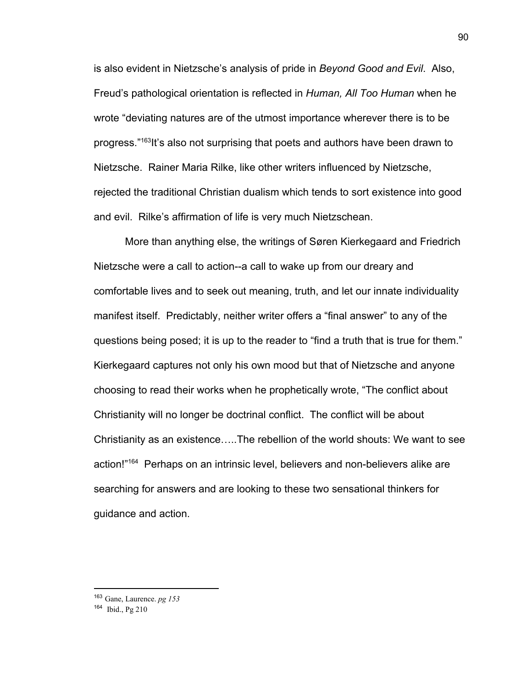is also evident in Nietzsche's analysis of pride in *Beyond Good and Evil*. Also, Freud's pathological orientation is reflected in *Human, All Too Human* when he wrote "deviating natures are of the utmost importance wherever there is to be progress."<sup>163</sup>lt's also not surprising that poets and authors have been drawn to Nietzsche. Rainer Maria Rilke, like other writers influenced by Nietzsche, rejected the traditional Christian dualism which tends to sort existence into good and evil. Rilke's affirmation of life is very much Nietzschean.

More than anything else, the writings of Søren Kierkegaard and Friedrich Nietzsche were a call to action--a call to wake up from our dreary and comfortable lives and to seek out meaning, truth, and let our innate individuality manifest itself. Predictably, neither writer offers a "final answer" to any of the questions being posed; it is up to the reader to "find a truth that is true for them." Kierkegaard captures not only his own mood but that of Nietzsche and anyone choosing to read their works when he prophetically wrote, "The conflict about Christianity will no longer be doctrinal conflict. The conflict will be about Christianity as an existence…..The rebellion of the world shouts: We want to see action!"<sup>164</sup> Perhaps on an intrinsic level, believers and non-believers alike are searching for answers and are looking to these two sensational thinkers for guidance and action.

<sup>163</sup> Gane, Laurence. *pg 153*

<sup>164</sup> Ibid., Pg 210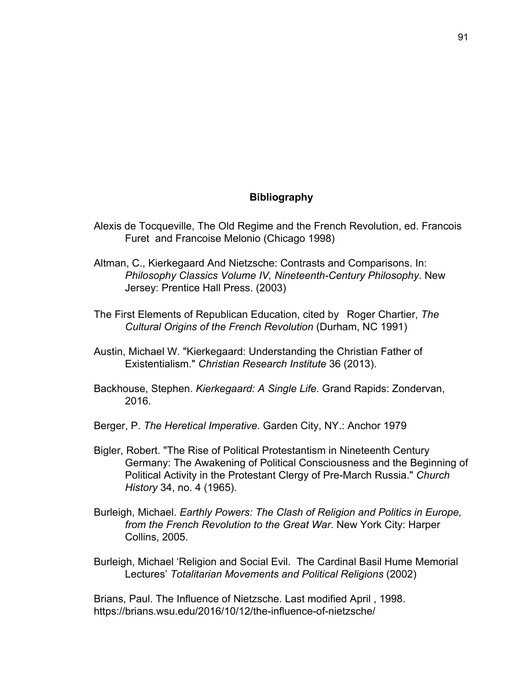## **Bibliography**

- Alexis de Tocqueville, The Old Regime and the French Revolution, ed. Francois Furet and Francoise Melonio (Chicago 1998)
- Altman, C., Kierkegaard And Nietzsche: Contrasts and Comparisons. In: *Philosophy Classics Volume IV, Nineteenth-Century Philosophy*. New Jersey: Prentice Hall Press. (2003)
- The First Elements of Republican Education, cited by Roger Chartier, *The Cultural Origins of the French Revolution* (Durham, NC 1991)
- Austin, Michael W. "Kierkegaard: Understanding the Christian Father of Existentialism." *Christian Research Institute* 36 (2013).
- Backhouse, Stephen. *Kierkegaard: A Single Life*. Grand Rapids: Zondervan, 2016.
- Berger, P. *The Heretical Imperative*. Garden City, NY.: Anchor 1979
- Bigler, Robert. "The Rise of Political Protestantism in Nineteenth Century Germany: The Awakening of Political Consciousness and the Beginning of Political Activity in the Protestant Clergy of Pre-March Russia." *Church History* 34, no. 4 (1965).
- Burleigh, Michael. *Earthly Powers: The Clash of Religion and Politics in Europe, from the French Revolution to the Great War*. New York City: Harper Collins, 2005.
- Burleigh, Michael 'Religion and Social Evil. The Cardinal Basil Hume Memorial Lectures' *Totalitarian Movements and Political Religions* (2002)

Brians, Paul. The Influence of Nietzsche. Last modified April , 1998. https://brians.wsu.edu/2016/10/12/the-influence-of-nietzsche/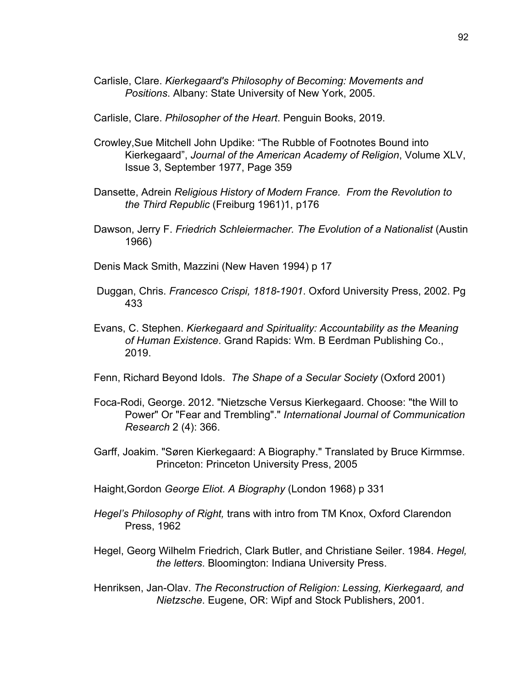- Carlisle, Clare. *Kierkegaard's Philosophy of Becoming: Movements and Positions*. Albany: State University of New York, 2005.
- Carlisle, Clare. *Philosopher of the Heart*. Penguin Books, 2019.
- Crowley,Sue Mitchell John Updike: "The Rubble of Footnotes Bound into Kierkegaard", *Journal of the American Academy of Religion*, Volume XLV, Issue 3, September 1977, Page 359
- Dansette, Adrein *Religious History of Modern France. From the Revolution to the Third Republic* (Freiburg 1961)1, p176
- Dawson, Jerry F. *Friedrich Schleiermacher. The Evolution of a Nationalist* (Austin 1966)
- Denis Mack Smith, Mazzini (New Haven 1994) p 17
- Duggan, Chris. *Francesco Crispi, 1818-1901*. Oxford University Press, 2002. Pg 433
- Evans, C. Stephen. *Kierkegaard and Spirituality: Accountability as the Meaning of Human Existence*. Grand Rapids: Wm. B Eerdman Publishing Co., 2019.
- Fenn, Richard Beyond Idols. *The Shape of a Secular Society* (Oxford 2001)
- Foca-Rodi, George. 2012. "Nietzsche Versus Kierkegaard. Choose: "the Will to Power" Or "Fear and Trembling"." *International Journal of Communication Research* 2 (4): 366.
- Garff, Joakim. "Søren Kierkegaard: A Biography." Translated by Bruce Kirmmse. Princeton: Princeton University Press, 2005
- Haight,Gordon *George Eliot. A Biography* (London 1968) p 331
- *Hegel's Philosophy of Right,* trans with intro from TM Knox, Oxford Clarendon Press, 1962
- Hegel, Georg Wilhelm Friedrich, Clark Butler, and Christiane Seiler. 1984. *Hegel, the letters*. Bloomington: Indiana University Press.
- Henriksen, Jan-Olav. *The Reconstruction of Religion: Lessing, Kierkegaard, and Nietzsche*. Eugene, OR: Wipf and Stock Publishers, 2001.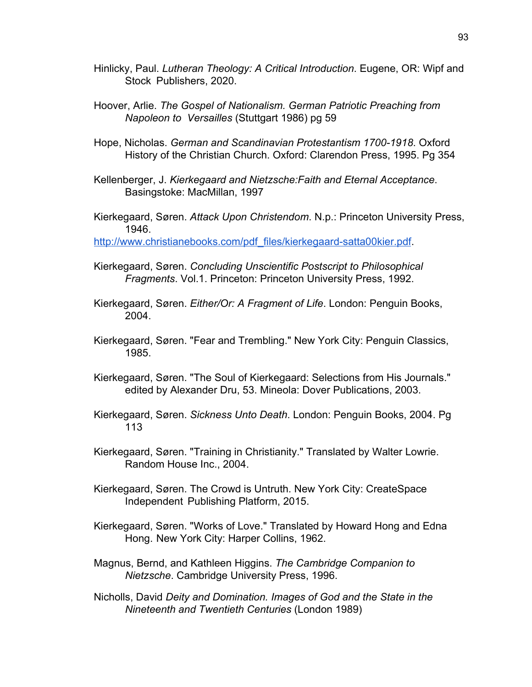- Hinlicky, Paul. *Lutheran Theology: A Critical Introduction*. Eugene, OR: Wipf and Stock Publishers, 2020.
- Hoover, Arlie. *The Gospel of Nationalism. German Patriotic Preaching from Napoleon to Versailles* (Stuttgart 1986) pg 59
- Hope, Nicholas. *German and Scandinavian Protestantism 1700-1918*. Oxford History of the Christian Church. Oxford: Clarendon Press, 1995. Pg 354
- Kellenberger, J. *Kierkegaard and Nietzsche:Faith and Eternal Acceptance*. Basingstoke: MacMillan, 1997
- Kierkegaard, Søren. *Attack Upon Christendom*. N.p.: Princeton University Press, 1946.

[http://www.christianebooks.com/pdf\\_files/kierkegaard-satta00kier.pdf](http://www.christianebooks.com/pdf_files/kierkegaard-satta00kier.pdf).

- Kierkegaard, Søren. *Concluding Unscientific Postscript to Philosophical Fragments*. Vol.1. Princeton: Princeton University Press, 1992.
- Kierkegaard, Søren. *Either/Or: A Fragment of Life*. London: Penguin Books, 2004.
- Kierkegaard, Søren. "Fear and Trembling." New York City: Penguin Classics, 1985.
- Kierkegaard, Søren. "The Soul of Kierkegaard: Selections from His Journals." edited by Alexander Dru, 53. Mineola: Dover Publications, 2003.
- Kierkegaard, Søren. *Sickness Unto Death*. London: Penguin Books, 2004. Pg 113
- Kierkegaard, Søren. "Training in Christianity." Translated by Walter Lowrie. Random House Inc., 2004.
- Kierkegaard, Søren. The Crowd is Untruth. New York City: CreateSpace Independent Publishing Platform, 2015.
- Kierkegaard, Søren. "Works of Love." Translated by Howard Hong and Edna Hong. New York City: Harper Collins, 1962.
- Magnus, Bernd, and Kathleen Higgins. *The Cambridge Companion to Nietzsche*. Cambridge University Press, 1996.
- Nicholls, David *Deity and Domination. Images of God and the State in the Nineteenth and Twentieth Centuries* (London 1989)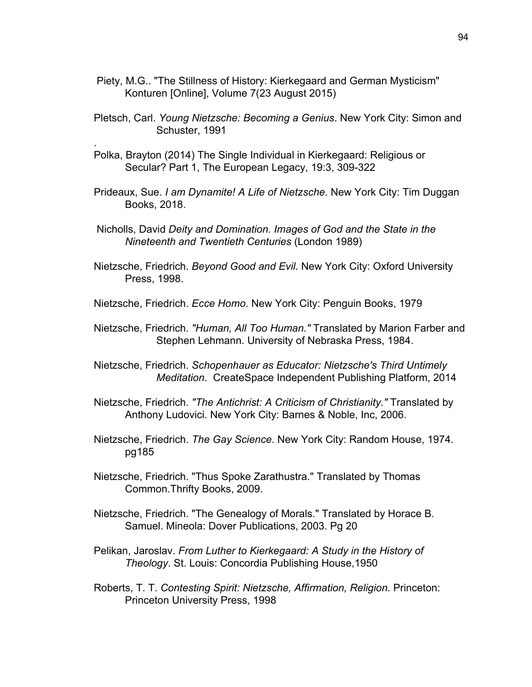- Piety, M.G.. "The Stillness of History: Kierkegaard and German Mysticism" Konturen [Online], Volume 7(23 August 2015)
- Pletsch, Carl. *Young Nietzsche: Becoming a Genius*. New York City: Simon and Schuster, 1991
- Polka, Brayton (2014) The Single Individual in Kierkegaard: Religious or Secular? Part 1, The European Legacy, 19:3, 309-322

.

- Prideaux, Sue. *I am Dynamite! A Life of Nietzsche*. New York City: Tim Duggan Books, 2018.
- Nicholls, David *Deity and Domination. Images of God and the State in the Nineteenth and Twentieth Centuries* (London 1989)
- Nietzsche, Friedrich. *Beyond Good and Evil*. New York City: Oxford University Press, 1998.
- Nietzsche, Friedrich. *Ecce Homo*. New York City: Penguin Books, 1979
- Nietzsche, Friedrich. *"Human, All Too Human."* Translated by Marion Farber and Stephen Lehmann. University of Nebraska Press, 1984.
- Nietzsche, Friedrich. *Schopenhauer as Educator: Nietzsche's Third Untimely Meditation*. CreateSpace Independent Publishing Platform, 2014
- Nietzsche, Friedrich. *"The Antichrist: A Criticism of Christianity."* Translated by Anthony Ludovici. New York City: Barnes & Noble, Inc, 2006.
- Nietzsche, Friedrich. *The Gay Science*. New York City: Random House, 1974. pg185
- Nietzsche, Friedrich. "Thus Spoke Zarathustra." Translated by Thomas Common.Thrifty Books, 2009.
- Nietzsche, Friedrich. "The Genealogy of Morals." Translated by Horace B. Samuel. Mineola: Dover Publications, 2003. Pg 20
- Pelikan, Jaroslav. *From Luther to Kierkegaard: A Study in the History of Theology*. St. Louis: Concordia Publishing House,1950
- Roberts, T. T. *Contesting Spirit: Nietzsche, Affirmation, Religion*. Princeton: Princeton University Press, 1998